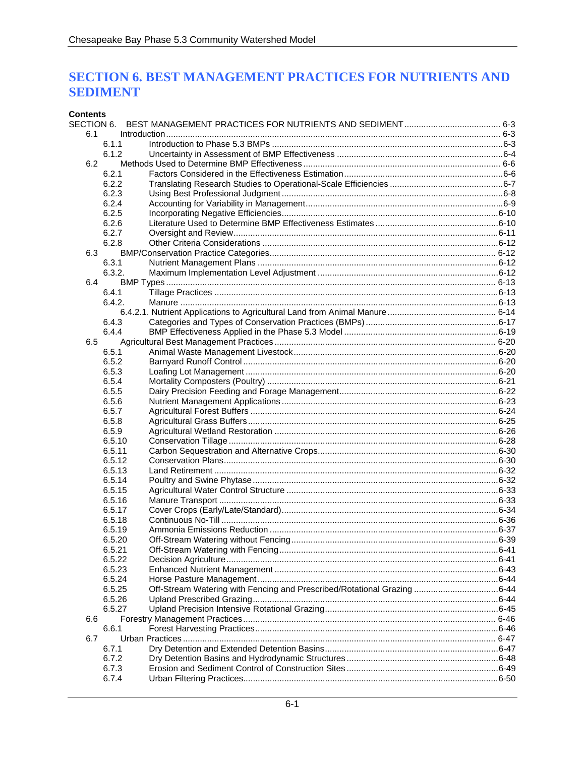### **SECTION 6. BEST MANAGEMENT PRACTICES FOR NUTRIENTS AND SEDIMENT**

#### **Contents**

| 6.1 |        |  |
|-----|--------|--|
|     | 6.1.1  |  |
|     | 6.1.2  |  |
| 6.2 |        |  |
|     | 6.2.1  |  |
|     | 6.2.2  |  |
|     | 6.2.3  |  |
|     |        |  |
|     | 6.2.4  |  |
|     | 6.2.5  |  |
|     | 6.2.6  |  |
|     | 6.2.7  |  |
|     | 6.2.8  |  |
| 6.3 |        |  |
|     | 6.3.1  |  |
|     | 6.3.2. |  |
| 6.4 |        |  |
|     | 6.4.1  |  |
|     | 6.4.2. |  |
|     |        |  |
|     | 6.4.3  |  |
|     | 6.4.4  |  |
| 6.5 |        |  |
|     | 6.5.1  |  |
|     | 6.5.2  |  |
|     | 6.5.3  |  |
|     |        |  |
|     | 6.5.4  |  |
|     | 6.5.5  |  |
|     | 6.5.6  |  |
|     | 6.5.7  |  |
|     | 6.5.8  |  |
|     | 6.5.9  |  |
|     | 6.5.10 |  |
|     | 6.5.11 |  |
|     | 6.5.12 |  |
|     | 6.5.13 |  |
|     | 6.5.14 |  |
|     | 6.5.15 |  |
|     | 6.5.16 |  |
|     | 6.5.17 |  |
|     | 6.5.18 |  |
|     | 6.5.19 |  |
|     | 6.5.20 |  |
|     | 6.5.21 |  |
|     | 6.5.22 |  |
|     | 6.5.23 |  |
|     | 6.5.24 |  |
|     | 6.5.25 |  |
|     |        |  |
|     | 6.5.26 |  |
|     | 6.5.27 |  |
| 6.6 |        |  |
|     | 6.6.1  |  |
| 6.7 |        |  |
|     | 6.7.1  |  |
|     | 6.7.2  |  |
|     | 6.7.3  |  |
|     | 6.7.4  |  |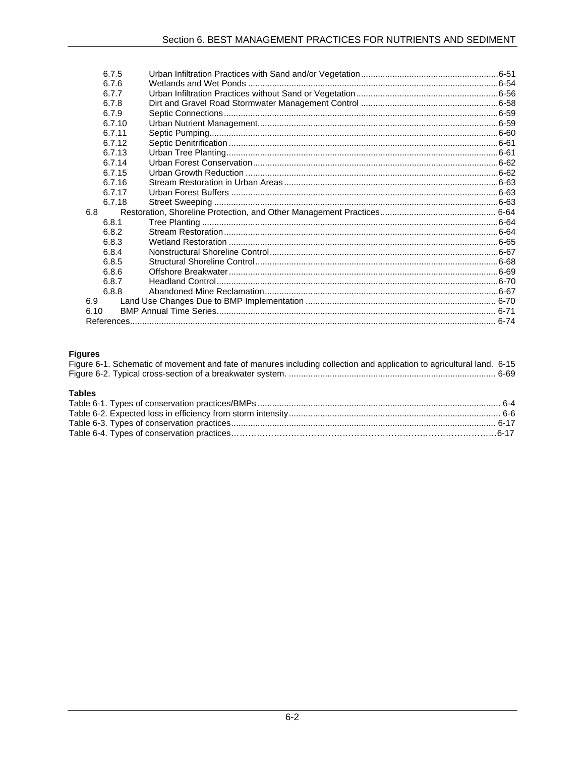|      | 6.7.5  |  |
|------|--------|--|
|      | 676    |  |
|      | 6.7.7  |  |
|      | 6.7.8  |  |
|      | 6.7.9  |  |
|      | 6.7.10 |  |
|      | 6.7.11 |  |
|      | 6.7.12 |  |
|      | 6.7.13 |  |
|      | 6.7.14 |  |
|      | 6.7.15 |  |
|      | 6.7.16 |  |
|      | 6717   |  |
|      | 6.7.18 |  |
| 6.8  |        |  |
|      | 6.8.1  |  |
|      | 6.8.2  |  |
|      | 6.8.3  |  |
|      | 6.8.4  |  |
|      | 6.8.5  |  |
|      | 6.8.6  |  |
|      | 6.8.7  |  |
|      | 6.8.8  |  |
| 6.9  |        |  |
| 6.10 |        |  |
|      |        |  |
|      |        |  |

#### **Figures**

| Figure 6-1. Schematic of movement and fate of manures including collection and application to agricultural land. 6-15 |  |
|-----------------------------------------------------------------------------------------------------------------------|--|
|                                                                                                                       |  |
|                                                                                                                       |  |
| <b>Tables</b>                                                                                                         |  |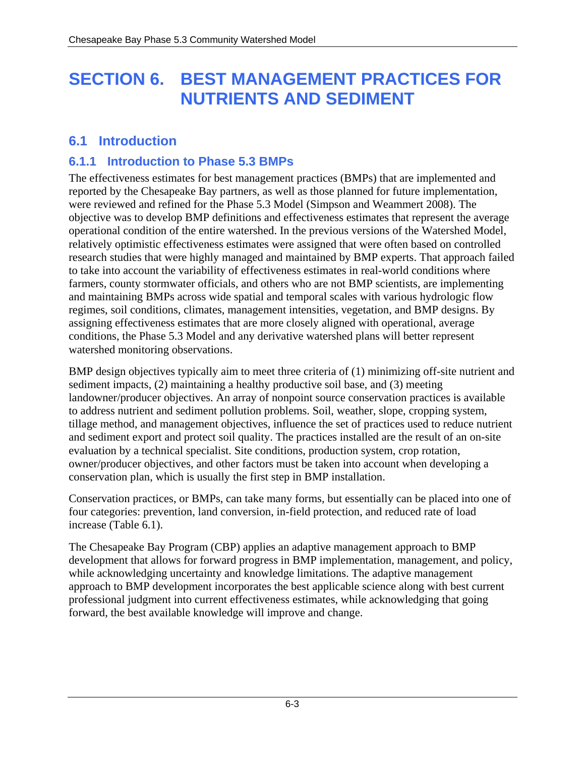# **SECTION 6. BEST MANAGEMENT PRACTICES FOR NUTRIENTS AND SEDIMENT**

# **6.1 Introduction**

### **6.1.1 Introduction to Phase 5.3 BMPs**

The effectiveness estimates for best management practices (BMPs) that are implemented and reported by the Chesapeake Bay partners, as well as those planned for future implementation, were reviewed and refined for the Phase 5.3 Model (Simpson and Weammert 2008). The objective was to develop BMP definitions and effectiveness estimates that represent the average operational condition of the entire watershed. In the previous versions of the Watershed Model, relatively optimistic effectiveness estimates were assigned that were often based on controlled research studies that were highly managed and maintained by BMP experts. That approach failed to take into account the variability of effectiveness estimates in real-world conditions where farmers, county stormwater officials, and others who are not BMP scientists, are implementing and maintaining BMPs across wide spatial and temporal scales with various hydrologic flow regimes, soil conditions, climates, management intensities, vegetation, and BMP designs. By assigning effectiveness estimates that are more closely aligned with operational, average conditions, the Phase 5.3 Model and any derivative watershed plans will better represent watershed monitoring observations.

BMP design objectives typically aim to meet three criteria of (1) minimizing off-site nutrient and sediment impacts, (2) maintaining a healthy productive soil base, and (3) meeting landowner/producer objectives. An array of nonpoint source conservation practices is available to address nutrient and sediment pollution problems. Soil, weather, slope, cropping system, tillage method, and management objectives, influence the set of practices used to reduce nutrient and sediment export and protect soil quality. The practices installed are the result of an on-site evaluation by a technical specialist. Site conditions, production system, crop rotation, owner/producer objectives, and other factors must be taken into account when developing a conservation plan, which is usually the first step in BMP installation.

Conservation practices, or BMPs, can take many forms, but essentially can be placed into one of four categories: prevention, land conversion, in-field protection, and reduced rate of load increase (Table 6.1).

The Chesapeake Bay Program (CBP) applies an adaptive management approach to BMP development that allows for forward progress in BMP implementation, management, and policy, while acknowledging uncertainty and knowledge limitations. The adaptive management approach to BMP development incorporates the best applicable science along with best current professional judgment into current effectiveness estimates, while acknowledging that going forward, the best available knowledge will improve and change.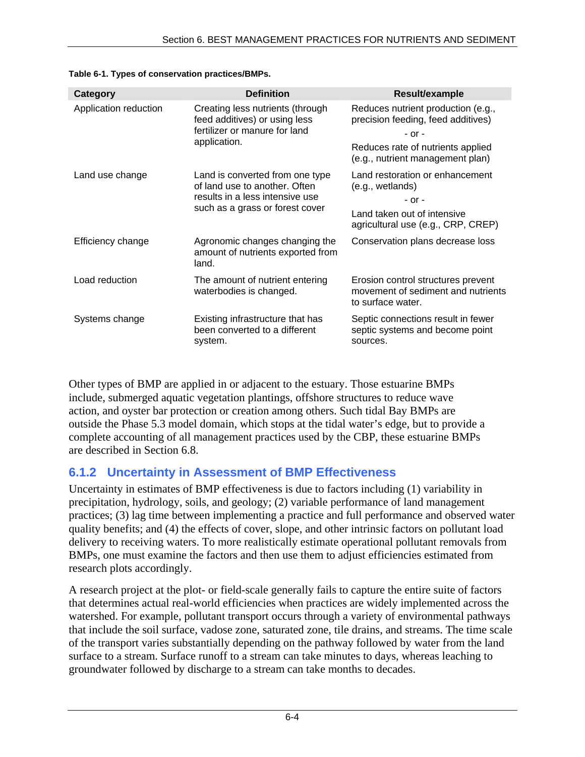| Category              | <b>Definition</b>                                                                                                                      | Result/example                                                                                                                                                  |
|-----------------------|----------------------------------------------------------------------------------------------------------------------------------------|-----------------------------------------------------------------------------------------------------------------------------------------------------------------|
| Application reduction | Creating less nutrients (through<br>feed additives) or using less<br>fertilizer or manure for land<br>application.                     | Reduces nutrient production (e.g.,<br>precision feeding, feed additives)<br>$-$ or $-$<br>Reduces rate of nutrients applied<br>(e.g., nutrient management plan) |
| Land use change       | Land is converted from one type<br>of land use to another. Often<br>results in a less intensive use<br>such as a grass or forest cover | Land restoration or enhancement<br>(e.g., wetlands)<br>$-$ or $-$<br>Land taken out of intensive<br>agricultural use (e.g., CRP, CREP)                          |
| Efficiency change     | Agronomic changes changing the<br>amount of nutrients exported from<br>land.                                                           | Conservation plans decrease loss                                                                                                                                |
| Load reduction        | The amount of nutrient entering<br>waterbodies is changed.                                                                             | Erosion control structures prevent<br>movement of sediment and nutrients<br>to surface water.                                                                   |
| Systems change        | Existing infrastructure that has<br>been converted to a different<br>system.                                                           | Septic connections result in fewer<br>septic systems and become point<br>sources.                                                                               |

#### **Table 6-1. Types of conservation practices/BMPs.**

Other types of BMP are applied in or adjacent to the estuary. Those estuarine BMPs include, submerged aquatic vegetation plantings, offshore structures to reduce wave action, and oyster bar protection or creation among others. Such tidal Bay BMPs are outside the Phase 5.3 model domain, which stops at the tidal water's edge, but to provide a complete accounting of all management practices used by the CBP, these estuarine BMPs are described in Section 6.8.

#### **6.1.2 Uncertainty in Assessment of BMP Effectiveness**

Uncertainty in estimates of BMP effectiveness is due to factors including (1) variability in precipitation, hydrology, soils, and geology; (2) variable performance of land management practices; (3) lag time between implementing a practice and full performance and observed water quality benefits; and (4) the effects of cover, slope, and other intrinsic factors on pollutant load delivery to receiving waters. To more realistically estimate operational pollutant removals from BMPs, one must examine the factors and then use them to adjust efficiencies estimated from research plots accordingly.

A research project at the plot- or field-scale generally fails to capture the entire suite of factors that determines actual real-world efficiencies when practices are widely implemented across the watershed. For example, pollutant transport occurs through a variety of environmental pathways that include the soil surface, vadose zone, saturated zone, tile drains, and streams. The time scale of the transport varies substantially depending on the pathway followed by water from the land surface to a stream. Surface runoff to a stream can take minutes to days, whereas leaching to groundwater followed by discharge to a stream can take months to decades.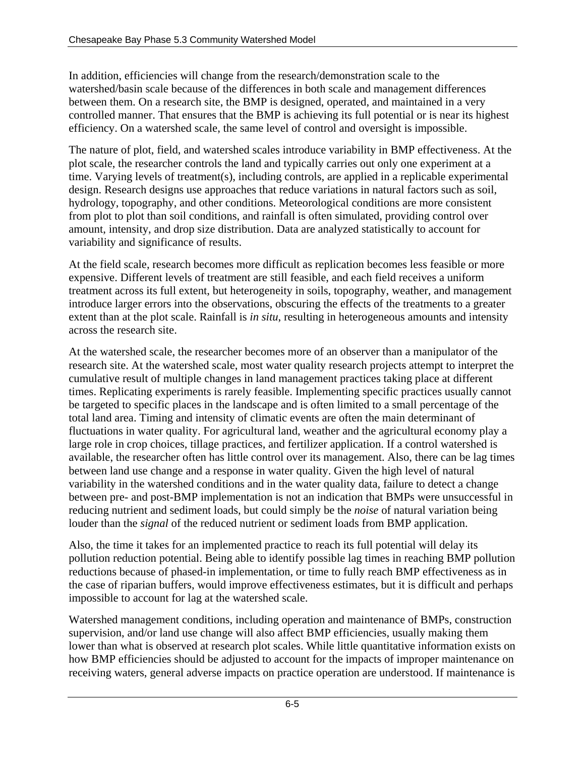In addition, efficiencies will change from the research/demonstration scale to the watershed/basin scale because of the differences in both scale and management differences between them. On a research site, the BMP is designed, operated, and maintained in a very controlled manner. That ensures that the BMP is achieving its full potential or is near its highest efficiency. On a watershed scale, the same level of control and oversight is impossible.

The nature of plot, field, and watershed scales introduce variability in BMP effectiveness. At the plot scale, the researcher controls the land and typically carries out only one experiment at a time. Varying levels of treatment(s), including controls, are applied in a replicable experimental design. Research designs use approaches that reduce variations in natural factors such as soil, hydrology, topography, and other conditions. Meteorological conditions are more consistent from plot to plot than soil conditions, and rainfall is often simulated, providing control over amount, intensity, and drop size distribution. Data are analyzed statistically to account for variability and significance of results.

At the field scale, research becomes more difficult as replication becomes less feasible or more expensive. Different levels of treatment are still feasible, and each field receives a uniform treatment across its full extent, but heterogeneity in soils, topography, weather, and management introduce larger errors into the observations, obscuring the effects of the treatments to a greater extent than at the plot scale. Rainfall is *in situ*, resulting in heterogeneous amounts and intensity across the research site.

At the watershed scale, the researcher becomes more of an observer than a manipulator of the research site. At the watershed scale, most water quality research projects attempt to interpret the cumulative result of multiple changes in land management practices taking place at different times. Replicating experiments is rarely feasible. Implementing specific practices usually cannot be targeted to specific places in the landscape and is often limited to a small percentage of the total land area. Timing and intensity of climatic events are often the main determinant of fluctuations in water quality. For agricultural land, weather and the agricultural economy play a large role in crop choices, tillage practices, and fertilizer application. If a control watershed is available, the researcher often has little control over its management. Also, there can be lag times between land use change and a response in water quality. Given the high level of natural variability in the watershed conditions and in the water quality data, failure to detect a change between pre- and post-BMP implementation is not an indication that BMPs were unsuccessful in reducing nutrient and sediment loads, but could simply be the *noise* of natural variation being louder than the *signal* of the reduced nutrient or sediment loads from BMP application.

Also, the time it takes for an implemented practice to reach its full potential will delay its pollution reduction potential. Being able to identify possible lag times in reaching BMP pollution reductions because of phased-in implementation, or time to fully reach BMP effectiveness as in the case of riparian buffers, would improve effectiveness estimates, but it is difficult and perhaps impossible to account for lag at the watershed scale.

Watershed management conditions, including operation and maintenance of BMPs, construction supervision, and/or land use change will also affect BMP efficiencies, usually making them lower than what is observed at research plot scales. While little quantitative information exists on how BMP efficiencies should be adjusted to account for the impacts of improper maintenance on receiving waters, general adverse impacts on practice operation are understood. If maintenance is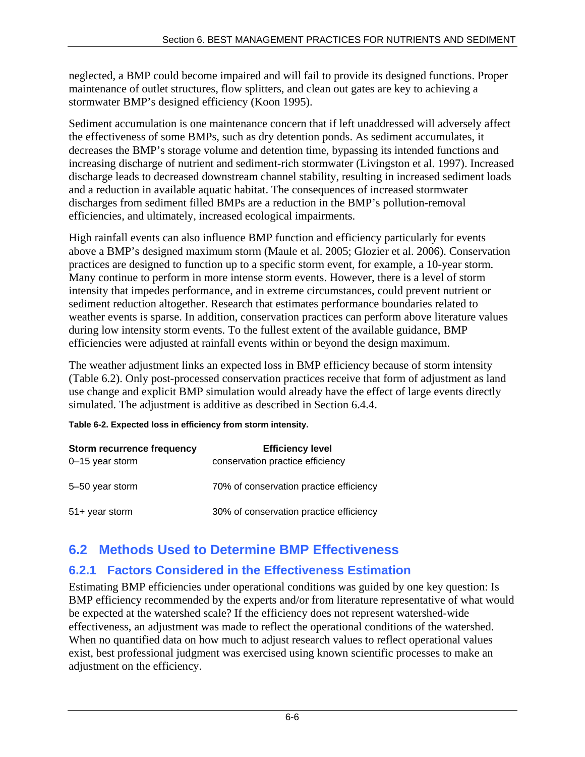neglected, a BMP could become impaired and will fail to provide its designed functions. Proper maintenance of outlet structures, flow splitters, and clean out gates are key to achieving a stormwater BMP's designed efficiency (Koon 1995).

Sediment accumulation is one maintenance concern that if left unaddressed will adversely affect the effectiveness of some BMPs, such as dry detention ponds. As sediment accumulates, it decreases the BMP's storage volume and detention time, bypassing its intended functions and increasing discharge of nutrient and sediment-rich stormwater (Livingston et al. 1997). Increased discharge leads to decreased downstream channel stability, resulting in increased sediment loads and a reduction in available aquatic habitat. The consequences of increased stormwater discharges from sediment filled BMPs are a reduction in the BMP's pollution-removal efficiencies, and ultimately, increased ecological impairments.

High rainfall events can also influence BMP function and efficiency particularly for events above a BMP's designed maximum storm (Maule et al. 2005; Glozier et al. 2006). Conservation practices are designed to function up to a specific storm event, for example, a 10-year storm. Many continue to perform in more intense storm events. However, there is a level of storm intensity that impedes performance, and in extreme circumstances, could prevent nutrient or sediment reduction altogether. Research that estimates performance boundaries related to weather events is sparse. In addition, conservation practices can perform above literature values during low intensity storm events. To the fullest extent of the available guidance, BMP efficiencies were adjusted at rainfall events within or beyond the design maximum.

The weather adjustment links an expected loss in BMP efficiency because of storm intensity (Table 6.2). Only post-processed conservation practices receive that form of adjustment as land use change and explicit BMP simulation would already have the effect of large events directly simulated. The adjustment is additive as described in Section 6.4.4.

#### **Table 6-2. Expected loss in efficiency from storm intensity.**

| <b>Storm recurrence frequency</b><br>0-15 year storm | <b>Efficiency level</b><br>conservation practice efficiency |
|------------------------------------------------------|-------------------------------------------------------------|
| 5-50 year storm                                      | 70% of conservation practice efficiency                     |
| $51 +$ year storm                                    | 30% of conservation practice efficiency                     |

# **6.2 Methods Used to Determine BMP Effectiveness**

### **6.2.1 Factors Considered in the Effectiveness Estimation**

Estimating BMP efficiencies under operational conditions was guided by one key question: Is BMP efficiency recommended by the experts and/or from literature representative of what would be expected at the watershed scale? If the efficiency does not represent watershed-wide effectiveness, an adjustment was made to reflect the operational conditions of the watershed. When no quantified data on how much to adjust research values to reflect operational values exist, best professional judgment was exercised using known scientific processes to make an adjustment on the efficiency.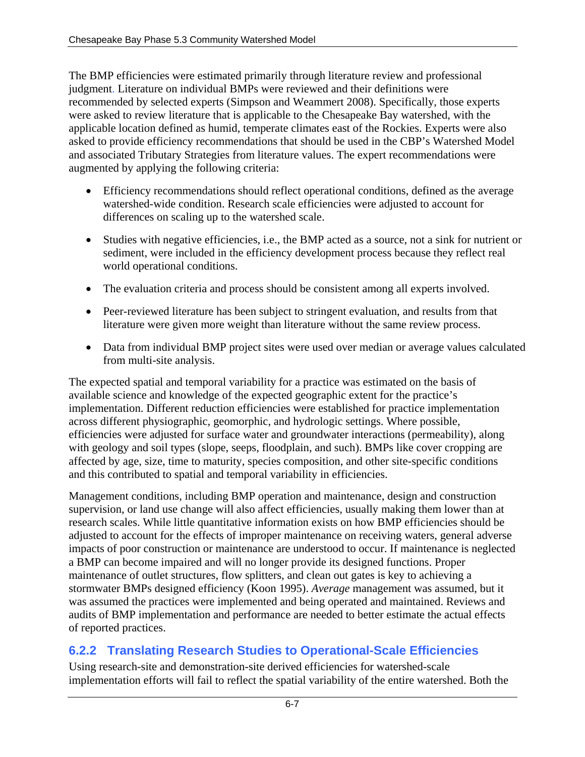The BMP efficiencies were estimated primarily through literature review and professional judgment. Literature on individual BMPs were reviewed and their definitions were recommended by selected experts (Simpson and Weammert 2008). Specifically, those experts were asked to review literature that is applicable to the Chesapeake Bay watershed, with the applicable location defined as humid, temperate climates east of the Rockies. Experts were also asked to provide efficiency recommendations that should be used in the CBP's Watershed Model and associated Tributary Strategies from literature values. The expert recommendations were augmented by applying the following criteria:

- Efficiency recommendations should reflect operational conditions, defined as the average watershed-wide condition. Research scale efficiencies were adjusted to account for differences on scaling up to the watershed scale.
- Studies with negative efficiencies, i.e., the BMP acted as a source, not a sink for nutrient or sediment, were included in the efficiency development process because they reflect real world operational conditions.
- The evaluation criteria and process should be consistent among all experts involved.
- Peer-reviewed literature has been subject to stringent evaluation, and results from that literature were given more weight than literature without the same review process.
- Data from individual BMP project sites were used over median or average values calculated from multi-site analysis.

The expected spatial and temporal variability for a practice was estimated on the basis of available science and knowledge of the expected geographic extent for the practice's implementation. Different reduction efficiencies were established for practice implementation across different physiographic, geomorphic, and hydrologic settings. Where possible, efficiencies were adjusted for surface water and groundwater interactions (permeability), along with geology and soil types (slope, seeps, floodplain, and such). BMPs like cover cropping are affected by age, size, time to maturity, species composition, and other site-specific conditions and this contributed to spatial and temporal variability in efficiencies.

Management conditions, including BMP operation and maintenance, design and construction supervision, or land use change will also affect efficiencies, usually making them lower than at research scales. While little quantitative information exists on how BMP efficiencies should be adjusted to account for the effects of improper maintenance on receiving waters, general adverse impacts of poor construction or maintenance are understood to occur. If maintenance is neglected a BMP can become impaired and will no longer provide its designed functions. Proper maintenance of outlet structures, flow splitters, and clean out gates is key to achieving a stormwater BMPs designed efficiency (Koon 1995). *Average* management was assumed, but it was assumed the practices were implemented and being operated and maintained. Reviews and audits of BMP implementation and performance are needed to better estimate the actual effects of reported practices.

### **6.2.2 Translating Research Studies to Operational-Scale Efficiencies**

Using research-site and demonstration-site derived efficiencies for watershed-scale implementation efforts will fail to reflect the spatial variability of the entire watershed. Both the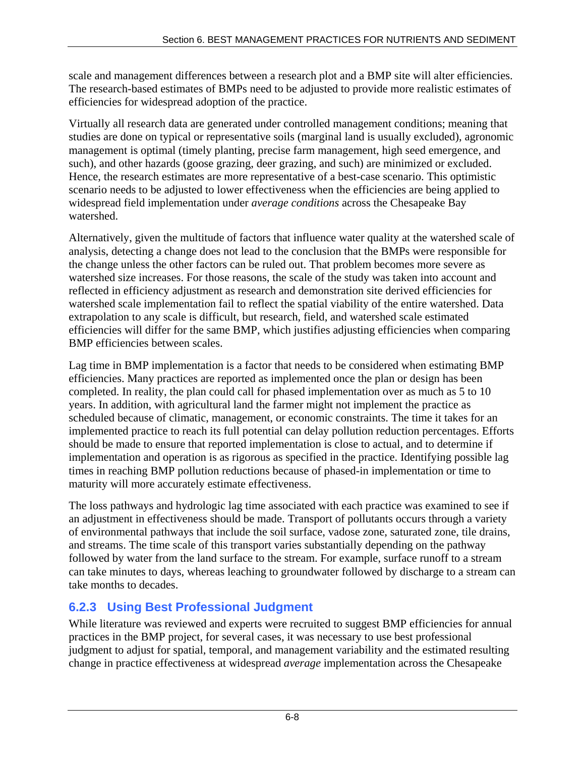scale and management differences between a research plot and a BMP site will alter efficiencies. The research-based estimates of BMPs need to be adjusted to provide more realistic estimates of efficiencies for widespread adoption of the practice.

Virtually all research data are generated under controlled management conditions; meaning that studies are done on typical or representative soils (marginal land is usually excluded), agronomic management is optimal (timely planting, precise farm management, high seed emergence, and such), and other hazards (goose grazing, deer grazing, and such) are minimized or excluded. Hence, the research estimates are more representative of a best-case scenario. This optimistic scenario needs to be adjusted to lower effectiveness when the efficiencies are being applied to widespread field implementation under *average conditions* across the Chesapeake Bay watershed.

Alternatively, given the multitude of factors that influence water quality at the watershed scale of analysis, detecting a change does not lead to the conclusion that the BMPs were responsible for the change unless the other factors can be ruled out. That problem becomes more severe as watershed size increases. For those reasons, the scale of the study was taken into account and reflected in efficiency adjustment as research and demonstration site derived efficiencies for watershed scale implementation fail to reflect the spatial viability of the entire watershed. Data extrapolation to any scale is difficult, but research, field, and watershed scale estimated efficiencies will differ for the same BMP, which justifies adjusting efficiencies when comparing BMP efficiencies between scales.

Lag time in BMP implementation is a factor that needs to be considered when estimating BMP efficiencies. Many practices are reported as implemented once the plan or design has been completed. In reality, the plan could call for phased implementation over as much as 5 to 10 years. In addition, with agricultural land the farmer might not implement the practice as scheduled because of climatic, management, or economic constraints. The time it takes for an implemented practice to reach its full potential can delay pollution reduction percentages. Efforts should be made to ensure that reported implementation is close to actual, and to determine if implementation and operation is as rigorous as specified in the practice. Identifying possible lag times in reaching BMP pollution reductions because of phased-in implementation or time to maturity will more accurately estimate effectiveness.

The loss pathways and hydrologic lag time associated with each practice was examined to see if an adjustment in effectiveness should be made. Transport of pollutants occurs through a variety of environmental pathways that include the soil surface, vadose zone, saturated zone, tile drains, and streams. The time scale of this transport varies substantially depending on the pathway followed by water from the land surface to the stream. For example, surface runoff to a stream can take minutes to days, whereas leaching to groundwater followed by discharge to a stream can take months to decades.

### **6.2.3 Using Best Professional Judgment**

While literature was reviewed and experts were recruited to suggest BMP efficiencies for annual practices in the BMP project, for several cases, it was necessary to use best professional judgment to adjust for spatial, temporal, and management variability and the estimated resulting change in practice effectiveness at widespread *average* implementation across the Chesapeake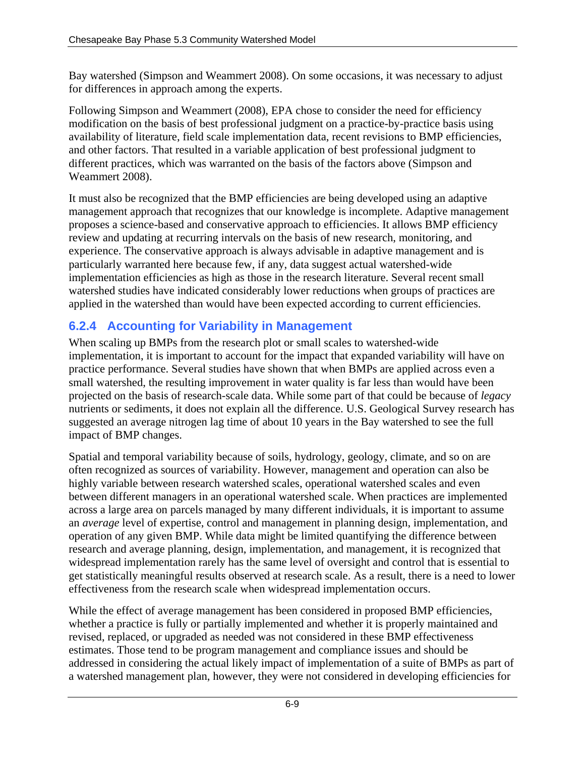Bay watershed (Simpson and Weammert 2008). On some occasions, it was necessary to adjust for differences in approach among the experts.

Following Simpson and Weammert (2008), EPA chose to consider the need for efficiency modification on the basis of best professional judgment on a practice-by-practice basis using availability of literature, field scale implementation data, recent revisions to BMP efficiencies, and other factors. That resulted in a variable application of best professional judgment to different practices, which was warranted on the basis of the factors above (Simpson and Weammert 2008).

It must also be recognized that the BMP efficiencies are being developed using an adaptive management approach that recognizes that our knowledge is incomplete. Adaptive management proposes a science-based and conservative approach to efficiencies. It allows BMP efficiency review and updating at recurring intervals on the basis of new research, monitoring, and experience. The conservative approach is always advisable in adaptive management and is particularly warranted here because few, if any, data suggest actual watershed-wide implementation efficiencies as high as those in the research literature. Several recent small watershed studies have indicated considerably lower reductions when groups of practices are applied in the watershed than would have been expected according to current efficiencies.

## **6.2.4 Accounting for Variability in Management**

When scaling up BMPs from the research plot or small scales to watershed-wide implementation, it is important to account for the impact that expanded variability will have on practice performance. Several studies have shown that when BMPs are applied across even a small watershed, the resulting improvement in water quality is far less than would have been projected on the basis of research-scale data. While some part of that could be because of *legacy* nutrients or sediments, it does not explain all the difference. U.S. Geological Survey research has suggested an average nitrogen lag time of about 10 years in the Bay watershed to see the full impact of BMP changes.

Spatial and temporal variability because of soils, hydrology, geology, climate, and so on are often recognized as sources of variability. However, management and operation can also be highly variable between research watershed scales, operational watershed scales and even between different managers in an operational watershed scale. When practices are implemented across a large area on parcels managed by many different individuals, it is important to assume an *average* level of expertise, control and management in planning design, implementation, and operation of any given BMP. While data might be limited quantifying the difference between research and average planning, design, implementation, and management, it is recognized that widespread implementation rarely has the same level of oversight and control that is essential to get statistically meaningful results observed at research scale. As a result, there is a need to lower effectiveness from the research scale when widespread implementation occurs.

While the effect of average management has been considered in proposed BMP efficiencies, whether a practice is fully or partially implemented and whether it is properly maintained and revised, replaced, or upgraded as needed was not considered in these BMP effectiveness estimates. Those tend to be program management and compliance issues and should be addressed in considering the actual likely impact of implementation of a suite of BMPs as part of a watershed management plan, however, they were not considered in developing efficiencies for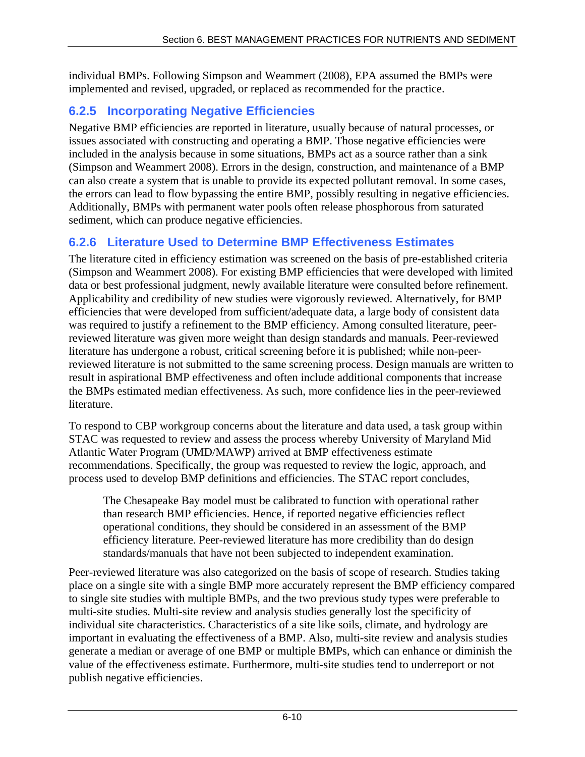individual BMPs. Following Simpson and Weammert (2008), EPA assumed the BMPs were implemented and revised, upgraded, or replaced as recommended for the practice.

### **6.2.5 Incorporating Negative Efficiencies**

Negative BMP efficiencies are reported in literature, usually because of natural processes, or issues associated with constructing and operating a BMP. Those negative efficiencies were included in the analysis because in some situations, BMPs act as a source rather than a sink (Simpson and Weammert 2008). Errors in the design, construction, and maintenance of a BMP can also create a system that is unable to provide its expected pollutant removal. In some cases, the errors can lead to flow bypassing the entire BMP, possibly resulting in negative efficiencies. Additionally, BMPs with permanent water pools often release phosphorous from saturated sediment, which can produce negative efficiencies.

#### **6.2.6 Literature Used to Determine BMP Effectiveness Estimates**

The literature cited in efficiency estimation was screened on the basis of pre-established criteria (Simpson and Weammert 2008). For existing BMP efficiencies that were developed with limited data or best professional judgment, newly available literature were consulted before refinement. Applicability and credibility of new studies were vigorously reviewed. Alternatively, for BMP efficiencies that were developed from sufficient/adequate data, a large body of consistent data was required to justify a refinement to the BMP efficiency. Among consulted literature, peerreviewed literature was given more weight than design standards and manuals. Peer-reviewed literature has undergone a robust, critical screening before it is published; while non-peerreviewed literature is not submitted to the same screening process. Design manuals are written to result in aspirational BMP effectiveness and often include additional components that increase the BMPs estimated median effectiveness. As such, more confidence lies in the peer-reviewed literature.

To respond to CBP workgroup concerns about the literature and data used, a task group within STAC was requested to review and assess the process whereby University of Maryland Mid Atlantic Water Program (UMD/MAWP) arrived at BMP effectiveness estimate recommendations. Specifically, the group was requested to review the logic, approach, and process used to develop BMP definitions and efficiencies. The STAC report concludes,

The Chesapeake Bay model must be calibrated to function with operational rather than research BMP efficiencies. Hence, if reported negative efficiencies reflect operational conditions, they should be considered in an assessment of the BMP efficiency literature. Peer-reviewed literature has more credibility than do design standards/manuals that have not been subjected to independent examination.

Peer-reviewed literature was also categorized on the basis of scope of research. Studies taking place on a single site with a single BMP more accurately represent the BMP efficiency compared to single site studies with multiple BMPs, and the two previous study types were preferable to multi-site studies. Multi-site review and analysis studies generally lost the specificity of individual site characteristics. Characteristics of a site like soils, climate, and hydrology are important in evaluating the effectiveness of a BMP. Also, multi-site review and analysis studies generate a median or average of one BMP or multiple BMPs, which can enhance or diminish the value of the effectiveness estimate. Furthermore, multi-site studies tend to underreport or not publish negative efficiencies.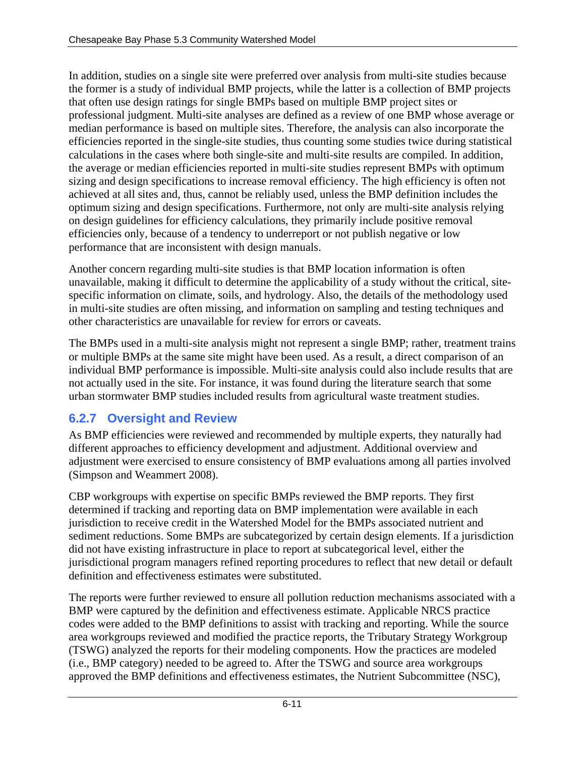In addition, studies on a single site were preferred over analysis from multi-site studies because the former is a study of individual BMP projects, while the latter is a collection of BMP projects that often use design ratings for single BMPs based on multiple BMP project sites or professional judgment. Multi-site analyses are defined as a review of one BMP whose average or median performance is based on multiple sites. Therefore, the analysis can also incorporate the efficiencies reported in the single-site studies, thus counting some studies twice during statistical calculations in the cases where both single-site and multi-site results are compiled. In addition, the average or median efficiencies reported in multi-site studies represent BMPs with optimum sizing and design specifications to increase removal efficiency. The high efficiency is often not achieved at all sites and, thus, cannot be reliably used, unless the BMP definition includes the optimum sizing and design specifications. Furthermore, not only are multi-site analysis relying on design guidelines for efficiency calculations, they primarily include positive removal efficiencies only, because of a tendency to underreport or not publish negative or low performance that are inconsistent with design manuals.

Another concern regarding multi-site studies is that BMP location information is often unavailable, making it difficult to determine the applicability of a study without the critical, sitespecific information on climate, soils, and hydrology. Also, the details of the methodology used in multi-site studies are often missing, and information on sampling and testing techniques and other characteristics are unavailable for review for errors or caveats.

The BMPs used in a multi-site analysis might not represent a single BMP; rather, treatment trains or multiple BMPs at the same site might have been used. As a result, a direct comparison of an individual BMP performance is impossible. Multi-site analysis could also include results that are not actually used in the site. For instance, it was found during the literature search that some urban stormwater BMP studies included results from agricultural waste treatment studies.

### **6.2.7 Oversight and Review**

As BMP efficiencies were reviewed and recommended by multiple experts, they naturally had different approaches to efficiency development and adjustment. Additional overview and adjustment were exercised to ensure consistency of BMP evaluations among all parties involved (Simpson and Weammert 2008).

CBP workgroups with expertise on specific BMPs reviewed the BMP reports. They first determined if tracking and reporting data on BMP implementation were available in each jurisdiction to receive credit in the Watershed Model for the BMPs associated nutrient and sediment reductions. Some BMPs are subcategorized by certain design elements. If a jurisdiction did not have existing infrastructure in place to report at subcategorical level, either the jurisdictional program managers refined reporting procedures to reflect that new detail or default definition and effectiveness estimates were substituted.

The reports were further reviewed to ensure all pollution reduction mechanisms associated with a BMP were captured by the definition and effectiveness estimate. Applicable NRCS practice codes were added to the BMP definitions to assist with tracking and reporting. While the source area workgroups reviewed and modified the practice reports, the Tributary Strategy Workgroup (TSWG) analyzed the reports for their modeling components. How the practices are modeled (i.e., BMP category) needed to be agreed to. After the TSWG and source area workgroups approved the BMP definitions and effectiveness estimates, the Nutrient Subcommittee (NSC),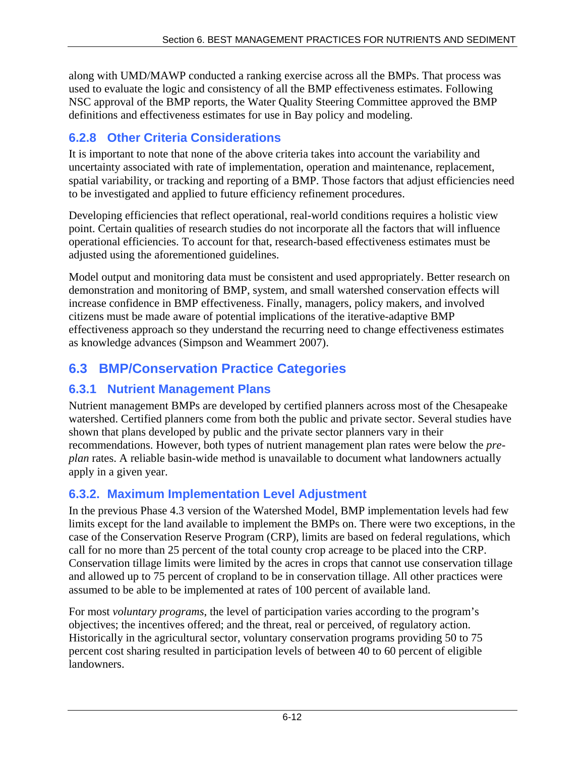along with UMD/MAWP conducted a ranking exercise across all the BMPs. That process was used to evaluate the logic and consistency of all the BMP effectiveness estimates. Following NSC approval of the BMP reports, the Water Quality Steering Committee approved the BMP definitions and effectiveness estimates for use in Bay policy and modeling.

### **6.2.8 Other Criteria Considerations**

It is important to note that none of the above criteria takes into account the variability and uncertainty associated with rate of implementation, operation and maintenance, replacement, spatial variability, or tracking and reporting of a BMP. Those factors that adjust efficiencies need to be investigated and applied to future efficiency refinement procedures.

Developing efficiencies that reflect operational, real-world conditions requires a holistic view point. Certain qualities of research studies do not incorporate all the factors that will influence operational efficiencies. To account for that, research-based effectiveness estimates must be adjusted using the aforementioned guidelines.

Model output and monitoring data must be consistent and used appropriately. Better research on demonstration and monitoring of BMP, system, and small watershed conservation effects will increase confidence in BMP effectiveness. Finally, managers, policy makers, and involved citizens must be made aware of potential implications of the iterative-adaptive BMP effectiveness approach so they understand the recurring need to change effectiveness estimates as knowledge advances (Simpson and Weammert 2007).

# **6.3 BMP/Conservation Practice Categories**

### **6.3.1 Nutrient Management Plans**

Nutrient management BMPs are developed by certified planners across most of the Chesapeake watershed. Certified planners come from both the public and private sector. Several studies have shown that plans developed by public and the private sector planners vary in their recommendations. However, both types of nutrient management plan rates were below the *preplan* rates. A reliable basin-wide method is unavailable to document what landowners actually apply in a given year.

### **6.3.2. Maximum Implementation Level Adjustment**

In the previous Phase 4.3 version of the Watershed Model, BMP implementation levels had few limits except for the land available to implement the BMPs on. There were two exceptions, in the case of the Conservation Reserve Program (CRP), limits are based on federal regulations, which call for no more than 25 percent of the total county crop acreage to be placed into the CRP. Conservation tillage limits were limited by the acres in crops that cannot use conservation tillage and allowed up to 75 percent of cropland to be in conservation tillage. All other practices were assumed to be able to be implemented at rates of 100 percent of available land.

For most *voluntary programs*, the level of participation varies according to the program's objectives; the incentives offered; and the threat, real or perceived, of regulatory action. Historically in the agricultural sector, voluntary conservation programs providing 50 to 75 percent cost sharing resulted in participation levels of between 40 to 60 percent of eligible landowners.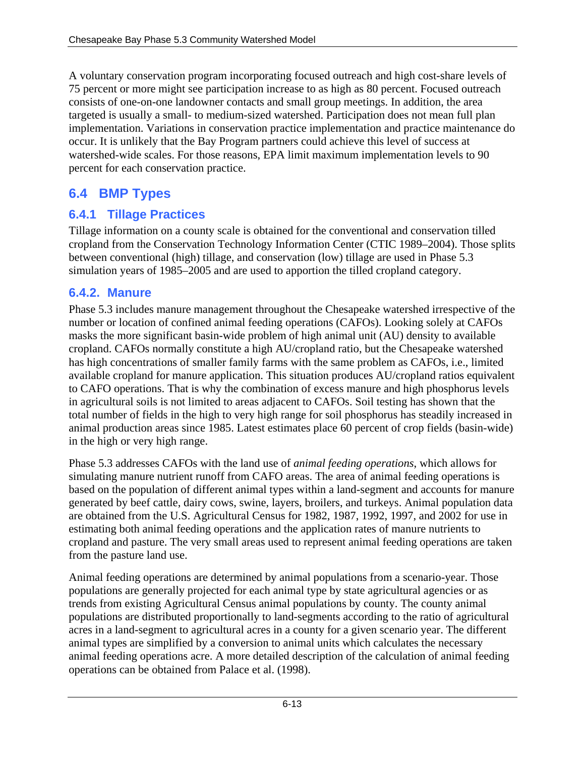A voluntary conservation program incorporating focused outreach and high cost-share levels of 75 percent or more might see participation increase to as high as 80 percent. Focused outreach consists of one-on-one landowner contacts and small group meetings. In addition, the area targeted is usually a small- to medium-sized watershed. Participation does not mean full plan implementation. Variations in conservation practice implementation and practice maintenance do occur. It is unlikely that the Bay Program partners could achieve this level of success at watershed-wide scales. For those reasons, EPA limit maximum implementation levels to 90 percent for each conservation practice.

# **6.4 BMP Types**

#### **6.4.1 Tillage Practices**

Tillage information on a county scale is obtained for the conventional and conservation tilled cropland from the Conservation Technology Information Center (CTIC 1989–2004). Those splits between conventional (high) tillage, and conservation (low) tillage are used in Phase 5.3 simulation years of 1985–2005 and are used to apportion the tilled cropland category.

#### **6.4.2. Manure**

Phase 5.3 includes manure management throughout the Chesapeake watershed irrespective of the number or location of confined animal feeding operations (CAFOs). Looking solely at CAFOs masks the more significant basin-wide problem of high animal unit (AU) density to available cropland. CAFOs normally constitute a high AU/cropland ratio, but the Chesapeake watershed has high concentrations of smaller family farms with the same problem as CAFOs, i.e., limited available cropland for manure application. This situation produces AU/cropland ratios equivalent to CAFO operations. That is why the combination of excess manure and high phosphorus levels in agricultural soils is not limited to areas adjacent to CAFOs. Soil testing has shown that the total number of fields in the high to very high range for soil phosphorus has steadily increased in animal production areas since 1985. Latest estimates place 60 percent of crop fields (basin-wide) in the high or very high range.

Phase 5.3 addresses CAFOs with the land use of *animal feeding operations*, which allows for simulating manure nutrient runoff from CAFO areas. The area of animal feeding operations is based on the population of different animal types within a land-segment and accounts for manure generated by beef cattle, dairy cows, swine, layers, broilers, and turkeys. Animal population data are obtained from the U.S. Agricultural Census for 1982, 1987, 1992, 1997, and 2002 for use in estimating both animal feeding operations and the application rates of manure nutrients to cropland and pasture. The very small areas used to represent animal feeding operations are taken from the pasture land use.

Animal feeding operations are determined by animal populations from a scenario-year. Those populations are generally projected for each animal type by state agricultural agencies or as trends from existing Agricultural Census animal populations by county. The county animal populations are distributed proportionally to land-segments according to the ratio of agricultural acres in a land-segment to agricultural acres in a county for a given scenario year. The different animal types are simplified by a conversion to animal units which calculates the necessary animal feeding operations acre. A more detailed description of the calculation of animal feeding operations can be obtained from Palace et al. (1998).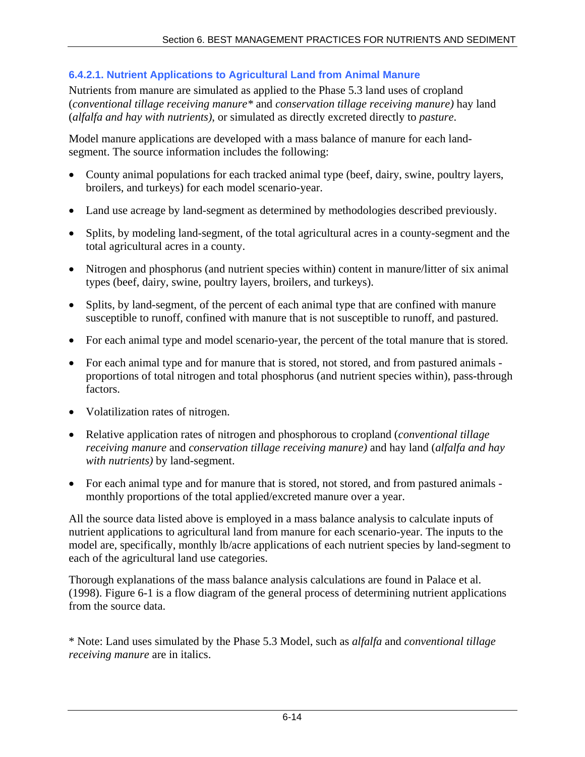#### **6.4.2.1. Nutrient Applications to Agricultural Land from Animal Manure**

Nutrients from manure are simulated as applied to the Phase 5.3 land uses of cropland (*conventional tillage receiving manure\** and *conservation tillage receiving manure)* hay land (*alfalfa and hay with nutrients)*, or simulated as directly excreted directly to *pasture*.

Model manure applications are developed with a mass balance of manure for each landsegment. The source information includes the following:

- County animal populations for each tracked animal type (beef, dairy, swine, poultry layers, broilers, and turkeys) for each model scenario-year.
- Land use acreage by land-segment as determined by methodologies described previously.
- Splits, by modeling land-segment, of the total agricultural acres in a county-segment and the total agricultural acres in a county.
- Nitrogen and phosphorus (and nutrient species within) content in manure/litter of six animal types (beef, dairy, swine, poultry layers, broilers, and turkeys).
- Splits, by land-segment, of the percent of each animal type that are confined with manure susceptible to runoff, confined with manure that is not susceptible to runoff, and pastured.
- For each animal type and model scenario-year, the percent of the total manure that is stored.
- For each animal type and for manure that is stored, not stored, and from pastured animals proportions of total nitrogen and total phosphorus (and nutrient species within), pass-through factors.
- Volatilization rates of nitrogen.
- Relative application rates of nitrogen and phosphorous to cropland (*conventional tillage receiving manure* and *conservation tillage receiving manure)* and hay land (*alfalfa and hay with nutrients)* by land-segment.
- For each animal type and for manure that is stored, not stored, and from pastured animals monthly proportions of the total applied/excreted manure over a year.

All the source data listed above is employed in a mass balance analysis to calculate inputs of nutrient applications to agricultural land from manure for each scenario-year. The inputs to the model are, specifically, monthly lb/acre applications of each nutrient species by land-segment to each of the agricultural land use categories.

Thorough explanations of the mass balance analysis calculations are found in Palace et al. (1998). Figure 6-1 is a flow diagram of the general process of determining nutrient applications from the source data.

\* Note: Land uses simulated by the Phase 5.3 Model, such as *alfalfa* and *conventional tillage receiving manure* are in italics.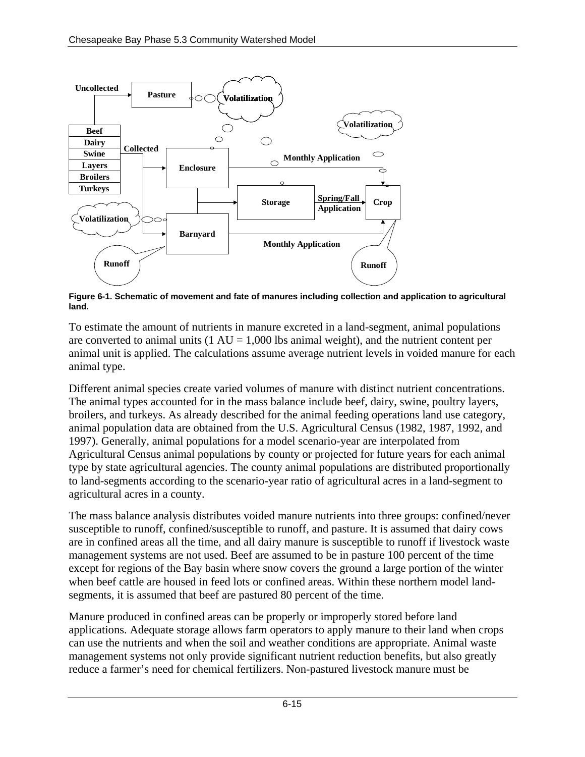

**Figure 6-1. Schematic of movement and fate of manures including collection and application to agricultural land.** 

To estimate the amount of nutrients in manure excreted in a land-segment, animal populations are converted to animal units  $(1 AU = 1,000$  lbs animal weight), and the nutrient content per animal unit is applied. The calculations assume average nutrient levels in voided manure for each animal type.

Different animal species create varied volumes of manure with distinct nutrient concentrations. The animal types accounted for in the mass balance include beef, dairy, swine, poultry layers, broilers, and turkeys. As already described for the animal feeding operations land use category, animal population data are obtained from the U.S. Agricultural Census (1982, 1987, 1992, and 1997). Generally, animal populations for a model scenario-year are interpolated from Agricultural Census animal populations by county or projected for future years for each animal type by state agricultural agencies. The county animal populations are distributed proportionally to land-segments according to the scenario-year ratio of agricultural acres in a land-segment to agricultural acres in a county.

The mass balance analysis distributes voided manure nutrients into three groups: confined/never susceptible to runoff, confined/susceptible to runoff, and pasture. It is assumed that dairy cows are in confined areas all the time, and all dairy manure is susceptible to runoff if livestock waste management systems are not used. Beef are assumed to be in pasture 100 percent of the time except for regions of the Bay basin where snow covers the ground a large portion of the winter when beef cattle are housed in feed lots or confined areas. Within these northern model landsegments, it is assumed that beef are pastured 80 percent of the time.

Manure produced in confined areas can be properly or improperly stored before land applications. Adequate storage allows farm operators to apply manure to their land when crops can use the nutrients and when the soil and weather conditions are appropriate. Animal waste management systems not only provide significant nutrient reduction benefits, but also greatly reduce a farmer's need for chemical fertilizers. Non-pastured livestock manure must be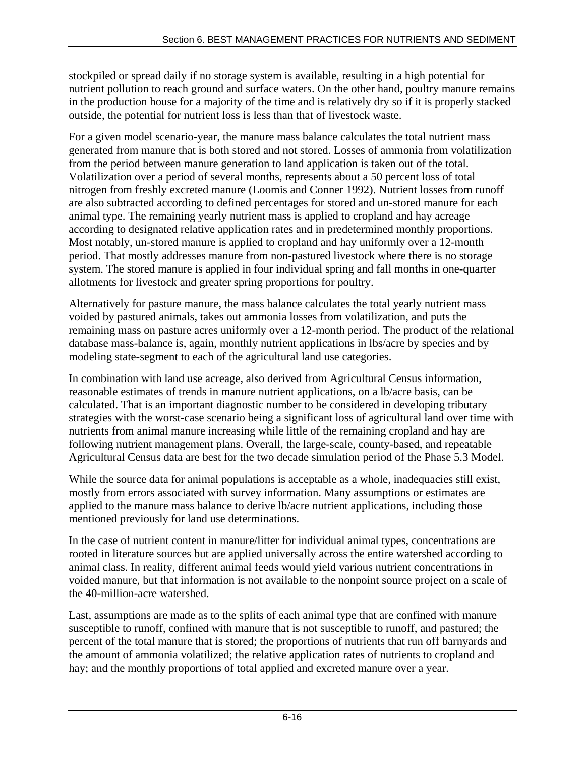stockpiled or spread daily if no storage system is available, resulting in a high potential for nutrient pollution to reach ground and surface waters. On the other hand, poultry manure remains in the production house for a majority of the time and is relatively dry so if it is properly stacked outside, the potential for nutrient loss is less than that of livestock waste.

For a given model scenario-year, the manure mass balance calculates the total nutrient mass generated from manure that is both stored and not stored. Losses of ammonia from volatilization from the period between manure generation to land application is taken out of the total. Volatilization over a period of several months, represents about a 50 percent loss of total nitrogen from freshly excreted manure (Loomis and Conner 1992). Nutrient losses from runoff are also subtracted according to defined percentages for stored and un-stored manure for each animal type. The remaining yearly nutrient mass is applied to cropland and hay acreage according to designated relative application rates and in predetermined monthly proportions. Most notably, un-stored manure is applied to cropland and hay uniformly over a 12-month period. That mostly addresses manure from non-pastured livestock where there is no storage system. The stored manure is applied in four individual spring and fall months in one-quarter allotments for livestock and greater spring proportions for poultry.

Alternatively for pasture manure, the mass balance calculates the total yearly nutrient mass voided by pastured animals, takes out ammonia losses from volatilization, and puts the remaining mass on pasture acres uniformly over a 12-month period. The product of the relational database mass-balance is, again, monthly nutrient applications in lbs/acre by species and by modeling state-segment to each of the agricultural land use categories.

In combination with land use acreage, also derived from Agricultural Census information, reasonable estimates of trends in manure nutrient applications, on a lb/acre basis, can be calculated. That is an important diagnostic number to be considered in developing tributary strategies with the worst-case scenario being a significant loss of agricultural land over time with nutrients from animal manure increasing while little of the remaining cropland and hay are following nutrient management plans. Overall, the large-scale, county-based, and repeatable Agricultural Census data are best for the two decade simulation period of the Phase 5.3 Model.

While the source data for animal populations is acceptable as a whole, inadequacies still exist, mostly from errors associated with survey information. Many assumptions or estimates are applied to the manure mass balance to derive lb/acre nutrient applications, including those mentioned previously for land use determinations.

In the case of nutrient content in manure/litter for individual animal types, concentrations are rooted in literature sources but are applied universally across the entire watershed according to animal class. In reality, different animal feeds would yield various nutrient concentrations in voided manure, but that information is not available to the nonpoint source project on a scale of the 40-million-acre watershed.

Last, assumptions are made as to the splits of each animal type that are confined with manure susceptible to runoff, confined with manure that is not susceptible to runoff, and pastured; the percent of the total manure that is stored; the proportions of nutrients that run off barnyards and the amount of ammonia volatilized; the relative application rates of nutrients to cropland and hay; and the monthly proportions of total applied and excreted manure over a year.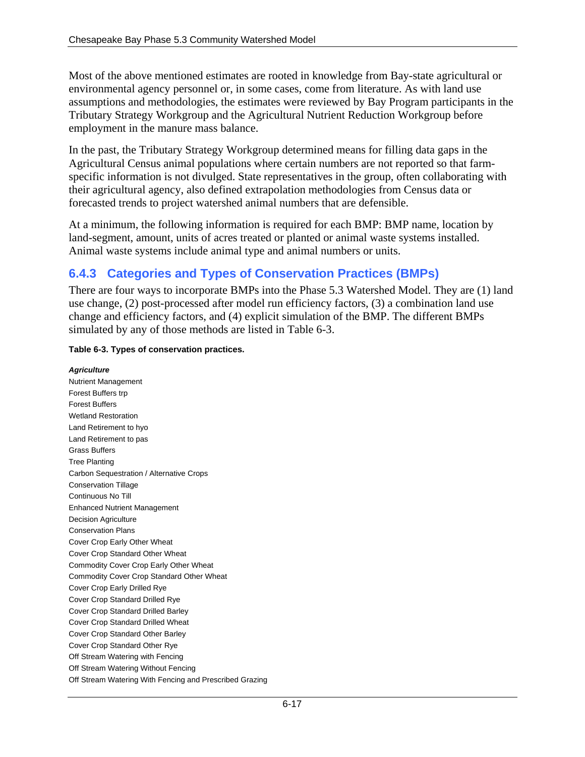Most of the above mentioned estimates are rooted in knowledge from Bay-state agricultural or environmental agency personnel or, in some cases, come from literature. As with land use assumptions and methodologies, the estimates were reviewed by Bay Program participants in the Tributary Strategy Workgroup and the Agricultural Nutrient Reduction Workgroup before employment in the manure mass balance.

In the past, the Tributary Strategy Workgroup determined means for filling data gaps in the Agricultural Census animal populations where certain numbers are not reported so that farmspecific information is not divulged. State representatives in the group, often collaborating with their agricultural agency, also defined extrapolation methodologies from Census data or forecasted trends to project watershed animal numbers that are defensible.

At a minimum, the following information is required for each BMP: BMP name, location by land-segment, amount, units of acres treated or planted or animal waste systems installed. Animal waste systems include animal type and animal numbers or units.

#### **6.4.3 Categories and Types of Conservation Practices (BMPs)**

There are four ways to incorporate BMPs into the Phase 5.3 Watershed Model. They are (1) land use change, (2) post-processed after model run efficiency factors, (3) a combination land use change and efficiency factors, and (4) explicit simulation of the BMP. The different BMPs simulated by any of those methods are listed in Table 6-3.

#### **Table 6-3. Types of conservation practices.**

*Agriculture* Nutrient Management Forest Buffers trp Forest Buffers Wetland Restoration Land Retirement to hyo Land Retirement to pas Grass Buffers Tree Planting Carbon Sequestration / Alternative Crops Conservation Tillage Continuous No Till Enhanced Nutrient Management Decision Agriculture Conservation Plans Cover Crop Early Other Wheat Cover Crop Standard Other Wheat Commodity Cover Crop Early Other Wheat Commodity Cover Crop Standard Other Wheat Cover Crop Early Drilled Rye Cover Crop Standard Drilled Rye Cover Crop Standard Drilled Barley Cover Crop Standard Drilled Wheat Cover Crop Standard Other Barley Cover Crop Standard Other Rye Off Stream Watering with Fencing Off Stream Watering Without Fencing Off Stream Watering With Fencing and Prescribed Grazing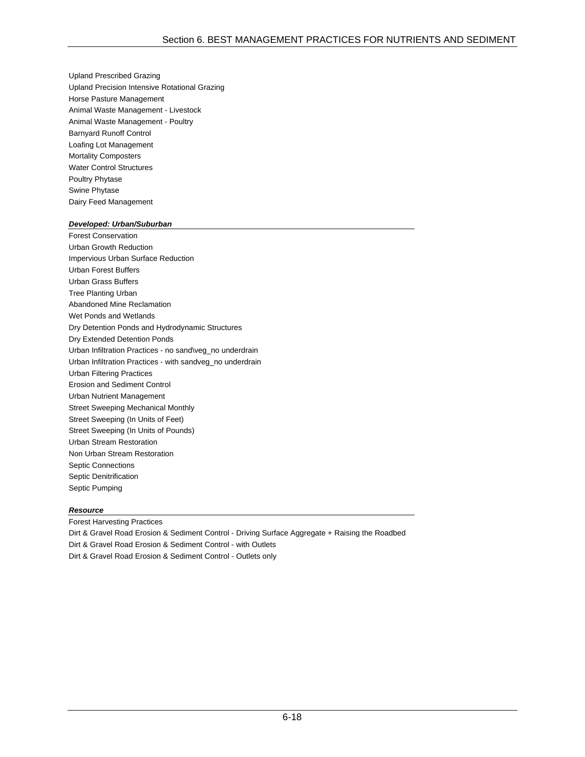Upland Prescribed Grazing Upland Precision Intensive Rotational Grazing Horse Pasture Management Animal Waste Management - Livestock Animal Waste Management - Poultry Barnyard Runoff Control Loafing Lot Management Mortality Composters Water Control Structures Poultry Phytase Swine Phytase Dairy Feed Management

#### *Developed: Urban/Suburban*

Forest Conservation Urban Growth Reduction Impervious Urban Surface Reduction Urban Forest Buffers Urban Grass Buffers Tree Planting Urban Abandoned Mine Reclamation Wet Ponds and Wetlands Dry Detention Ponds and Hydrodynamic Structures Dry Extended Detention Ponds Urban Infiltration Practices - no sand\veg\_no underdrain Urban Infiltration Practices - with sandveg\_no underdrain Urban Filtering Practices Erosion and Sediment Control Urban Nutrient Management Street Sweeping Mechanical Monthly Street Sweeping (In Units of Feet) Street Sweeping (In Units of Pounds) Urban Stream Restoration Non Urban Stream Restoration Septic Connections Septic Denitrification Septic Pumping

#### *Resource*

Forest Harvesting Practices Dirt & Gravel Road Erosion & Sediment Control - Driving Surface Aggregate + Raising the Roadbed Dirt & Gravel Road Erosion & Sediment Control - with Outlets Dirt & Gravel Road Erosion & Sediment Control - Outlets only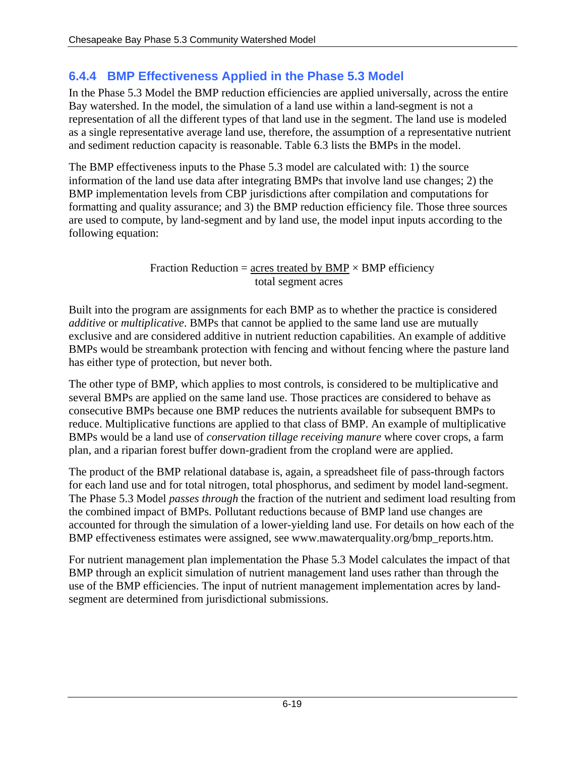### **6.4.4 BMP Effectiveness Applied in the Phase 5.3 Model**

In the Phase 5.3 Model the BMP reduction efficiencies are applied universally, across the entire Bay watershed. In the model, the simulation of a land use within a land-segment is not a representation of all the different types of that land use in the segment. The land use is modeled as a single representative average land use, therefore, the assumption of a representative nutrient and sediment reduction capacity is reasonable. Table 6.3 lists the BMPs in the model.

The BMP effectiveness inputs to the Phase 5.3 model are calculated with: 1) the source information of the land use data after integrating BMPs that involve land use changes; 2) the BMP implementation levels from CBP jurisdictions after compilation and computations for formatting and quality assurance; and 3) the BMP reduction efficiency file. Those three sources are used to compute, by land-segment and by land use, the model input inputs according to the following equation:

> Fraction Reduction = acres treated by  $BMP \times BMP$  efficiency total segment acres

Built into the program are assignments for each BMP as to whether the practice is considered *additive* or *multiplicative*. BMPs that cannot be applied to the same land use are mutually exclusive and are considered additive in nutrient reduction capabilities. An example of additive BMPs would be streambank protection with fencing and without fencing where the pasture land has either type of protection, but never both.

The other type of BMP, which applies to most controls, is considered to be multiplicative and several BMPs are applied on the same land use. Those practices are considered to behave as consecutive BMPs because one BMP reduces the nutrients available for subsequent BMPs to reduce. Multiplicative functions are applied to that class of BMP. An example of multiplicative BMPs would be a land use of *conservation tillage receiving manure* where cover crops, a farm plan, and a riparian forest buffer down-gradient from the cropland were are applied.

The product of the BMP relational database is, again, a spreadsheet file of pass-through factors for each land use and for total nitrogen, total phosphorus, and sediment by model land-segment. The Phase 5.3 Model *passes through* the fraction of the nutrient and sediment load resulting from the combined impact of BMPs. Pollutant reductions because of BMP land use changes are accounted for through the simulation of a lower-yielding land use. For details on how each of the BMP effectiveness estimates were assigned, see www.mawaterquality.org/bmp\_reports.htm.

For nutrient management plan implementation the Phase 5.3 Model calculates the impact of that BMP through an explicit simulation of nutrient management land uses rather than through the use of the BMP efficiencies. The input of nutrient management implementation acres by landsegment are determined from jurisdictional submissions.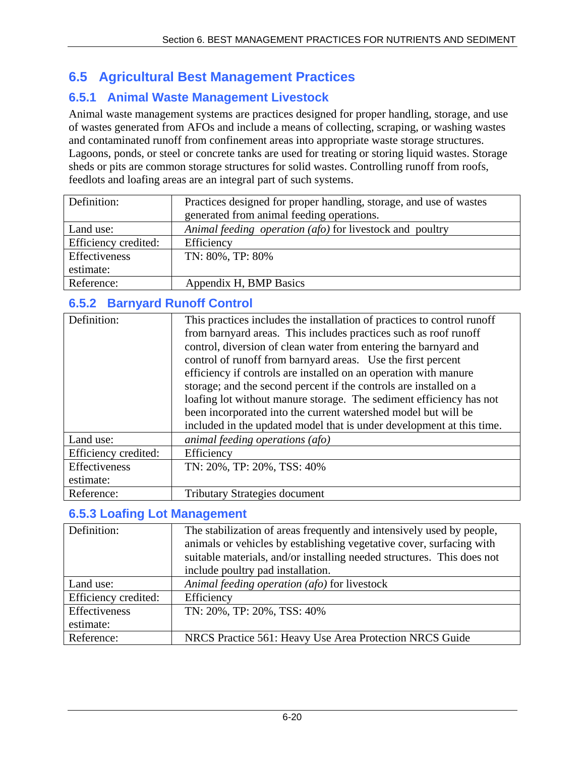# **6.5 Agricultural Best Management Practices**

### **6.5.1 Animal Waste Management Livestock**

Animal waste management systems are practices designed for proper handling, storage, and use of wastes generated from AFOs and include a means of collecting, scraping, or washing wastes and contaminated runoff from confinement areas into appropriate waste storage structures. Lagoons, ponds, or steel or concrete tanks are used for treating or storing liquid wastes. Storage sheds or pits are common storage structures for solid wastes. Controlling runoff from roofs, feedlots and loafing areas are an integral part of such systems.

| Definition:          | Practices designed for proper handling, storage, and use of wastes |
|----------------------|--------------------------------------------------------------------|
|                      | generated from animal feeding operations.                          |
| Land use:            | Animal feeding operation (afo) for livestock and poultry           |
| Efficiency credited: | Efficiency                                                         |
| Effectiveness        | TN: 80%, TP: 80%                                                   |
| estimate:            |                                                                    |
| Reference:           | Appendix H, BMP Basics                                             |

### **6.5.2 Barnyard Runoff Control**

| Definition:          | This practices includes the installation of practices to control runoff<br>from barnyard areas. This includes practices such as roof runoff<br>control, diversion of clean water from entering the barnyard and<br>control of runoff from barnyard areas. Use the first percent<br>efficiency if controls are installed on an operation with manure<br>storage; and the second percent if the controls are installed on a<br>loafing lot without manure storage. The sediment efficiency has not<br>been incorporated into the current watershed model but will be<br>included in the updated model that is under development at this time. |
|----------------------|---------------------------------------------------------------------------------------------------------------------------------------------------------------------------------------------------------------------------------------------------------------------------------------------------------------------------------------------------------------------------------------------------------------------------------------------------------------------------------------------------------------------------------------------------------------------------------------------------------------------------------------------|
| Land use:            | animal feeding operations (afo)                                                                                                                                                                                                                                                                                                                                                                                                                                                                                                                                                                                                             |
| Efficiency credited: | Efficiency                                                                                                                                                                                                                                                                                                                                                                                                                                                                                                                                                                                                                                  |
| Effectiveness        | TN: 20%, TP: 20%, TSS: 40%                                                                                                                                                                                                                                                                                                                                                                                                                                                                                                                                                                                                                  |
| estimate:            |                                                                                                                                                                                                                                                                                                                                                                                                                                                                                                                                                                                                                                             |
| Reference:           | <b>Tributary Strategies document</b>                                                                                                                                                                                                                                                                                                                                                                                                                                                                                                                                                                                                        |

#### **6.5.3 Loafing Lot Management**

| Definition:          | The stabilization of areas frequently and intensively used by people,<br>animals or vehicles by establishing vegetative cover, surfacing with<br>suitable materials, and/or installing needed structures. This does not |
|----------------------|-------------------------------------------------------------------------------------------------------------------------------------------------------------------------------------------------------------------------|
|                      | include poultry pad installation.                                                                                                                                                                                       |
| Land use:            | Animal feeding operation (afo) for livestock                                                                                                                                                                            |
| Efficiency credited: | Efficiency                                                                                                                                                                                                              |
| Effectiveness        | TN: 20%, TP: 20%, TSS: 40%                                                                                                                                                                                              |
| estimate:            |                                                                                                                                                                                                                         |
| Reference:           | NRCS Practice 561: Heavy Use Area Protection NRCS Guide                                                                                                                                                                 |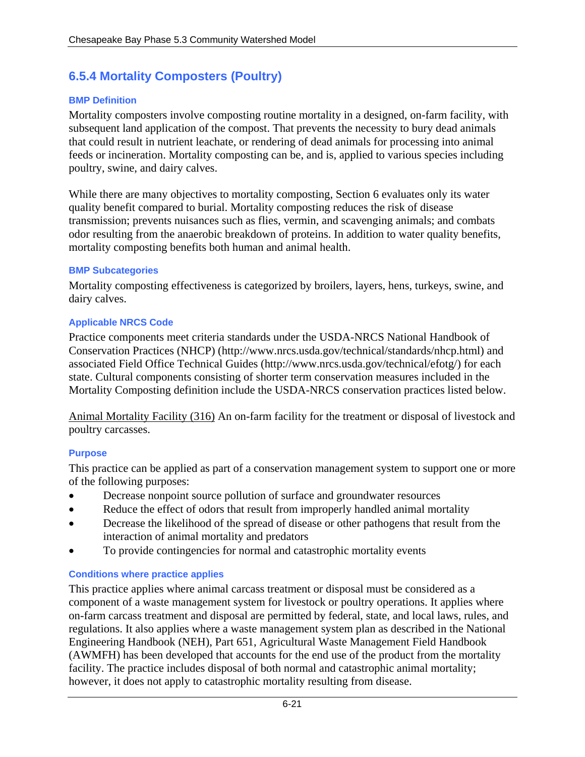### **6.5.4 Mortality Composters (Poultry)**

#### **BMP Definition**

Mortality composters involve composting routine mortality in a designed, on-farm facility, with subsequent land application of the compost. That prevents the necessity to bury dead animals that could result in nutrient leachate, or rendering of dead animals for processing into animal feeds or incineration. Mortality composting can be, and is, applied to various species including poultry, swine, and dairy calves.

While there are many objectives to mortality composting, Section 6 evaluates only its water quality benefit compared to burial. Mortality composting reduces the risk of disease transmission; prevents nuisances such as flies, vermin, and scavenging animals; and combats odor resulting from the anaerobic breakdown of proteins. In addition to water quality benefits, mortality composting benefits both human and animal health.

#### **BMP Subcategories**

Mortality composting effectiveness is categorized by broilers, layers, hens, turkeys, swine, and dairy calves.

#### **Applicable NRCS Code**

Practice components meet criteria standards under the USDA-NRCS National Handbook of Conservation Practices (NHCP) (http://www.nrcs.usda.gov/technical/standards/nhcp.html) and associated Field Office Technical Guides (http://www.nrcs.usda.gov/technical/efotg/) for each state. Cultural components consisting of shorter term conservation measures included in the Mortality Composting definition include the USDA-NRCS conservation practices listed below.

Animal Mortality Facility (316) An on-farm facility for the treatment or disposal of livestock and poultry carcasses.

#### **Purpose**

This practice can be applied as part of a conservation management system to support one or more of the following purposes:

- Decrease nonpoint source pollution of surface and groundwater resources
- Reduce the effect of odors that result from improperly handled animal mortality
- Decrease the likelihood of the spread of disease or other pathogens that result from the interaction of animal mortality and predators
- To provide contingencies for normal and catastrophic mortality events

#### **Conditions where practice applies**

This practice applies where animal carcass treatment or disposal must be considered as a component of a waste management system for livestock or poultry operations. It applies where on-farm carcass treatment and disposal are permitted by federal, state, and local laws, rules, and regulations. It also applies where a waste management system plan as described in the National Engineering Handbook (NEH), Part 651, Agricultural Waste Management Field Handbook (AWMFH) has been developed that accounts for the end use of the product from the mortality facility. The practice includes disposal of both normal and catastrophic animal mortality; however, it does not apply to catastrophic mortality resulting from disease.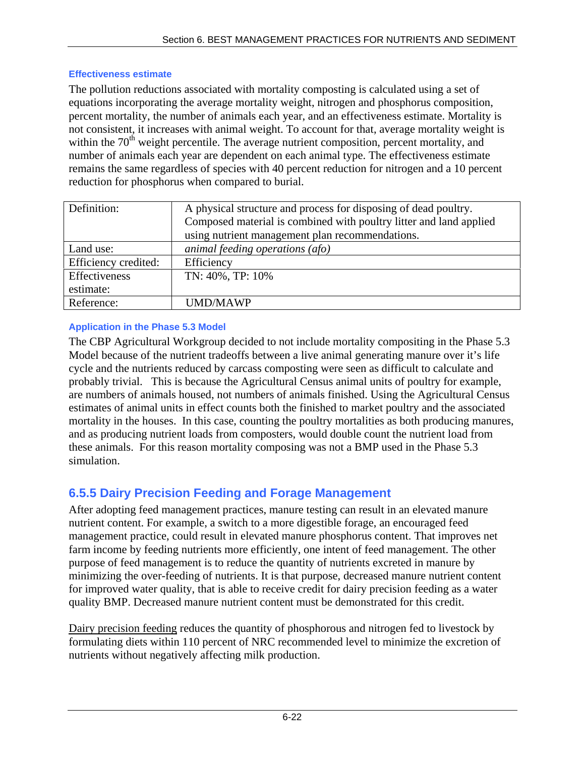#### **Effectiveness estimate**

The pollution reductions associated with mortality composting is calculated using a set of equations incorporating the average mortality weight, nitrogen and phosphorus composition, percent mortality, the number of animals each year, and an effectiveness estimate. Mortality is not consistent, it increases with animal weight. To account for that, average mortality weight is within the  $70<sup>th</sup>$  weight percentile. The average nutrient composition, percent mortality, and number of animals each year are dependent on each animal type. The effectiveness estimate remains the same regardless of species with 40 percent reduction for nitrogen and a 10 percent reduction for phosphorus when compared to burial.

| Definition:          | A physical structure and process for disposing of dead poultry.<br>Composed material is combined with poultry litter and land applied |
|----------------------|---------------------------------------------------------------------------------------------------------------------------------------|
|                      | using nutrient management plan recommendations.                                                                                       |
| Land use:            | animal feeding operations (afo)                                                                                                       |
| Efficiency credited: | Efficiency                                                                                                                            |
| Effectiveness        | TN: 40%, TP: 10%                                                                                                                      |
| estimate:            |                                                                                                                                       |
| Reference:           | UMD/MAWP                                                                                                                              |

#### **Application in the Phase 5.3 Model**

The CBP Agricultural Workgroup decided to not include mortality compositing in the Phase 5.3 Model because of the nutrient tradeoffs between a live animal generating manure over it's life cycle and the nutrients reduced by carcass composting were seen as difficult to calculate and probably trivial. This is because the Agricultural Census animal units of poultry for example, are numbers of animals housed, not numbers of animals finished. Using the Agricultural Census estimates of animal units in effect counts both the finished to market poultry and the associated mortality in the houses. In this case, counting the poultry mortalities as both producing manures, and as producing nutrient loads from composters, would double count the nutrient load from these animals. For this reason mortality composing was not a BMP used in the Phase 5.3 simulation.

### **6.5.5 Dairy Precision Feeding and Forage Management**

After adopting feed management practices, manure testing can result in an elevated manure nutrient content. For example, a switch to a more digestible forage, an encouraged feed management practice, could result in elevated manure phosphorus content. That improves net farm income by feeding nutrients more efficiently, one intent of feed management. The other purpose of feed management is to reduce the quantity of nutrients excreted in manure by minimizing the over-feeding of nutrients. It is that purpose, decreased manure nutrient content for improved water quality, that is able to receive credit for dairy precision feeding as a water quality BMP. Decreased manure nutrient content must be demonstrated for this credit.

Dairy precision feeding reduces the quantity of phosphorous and nitrogen fed to livestock by formulating diets within 110 percent of NRC recommended level to minimize the excretion of nutrients without negatively affecting milk production.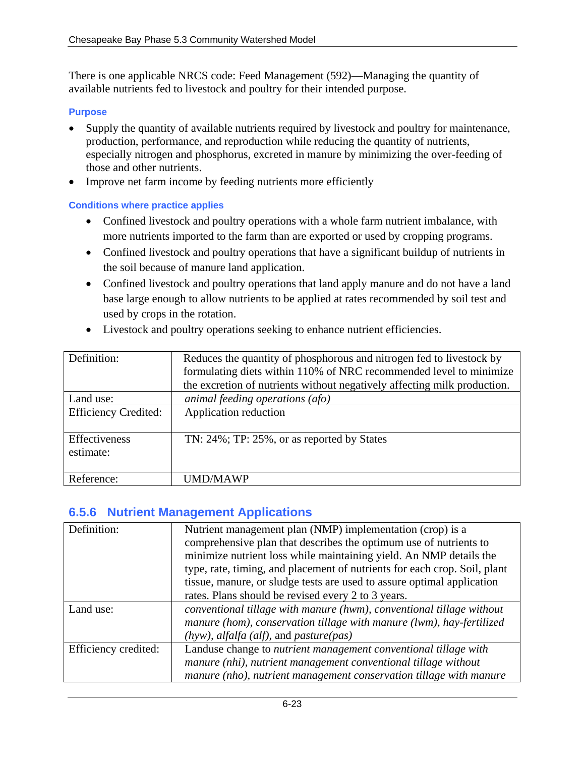There is one applicable NRCS code: Feed Management (592)—Managing the quantity of available nutrients fed to livestock and poultry for their intended purpose.

#### **Purpose**

- Supply the quantity of available nutrients required by livestock and poultry for maintenance, production, performance, and reproduction while reducing the quantity of nutrients, especially nitrogen and phosphorus, excreted in manure by minimizing the over-feeding of those and other nutrients.
- Improve net farm income by feeding nutrients more efficiently

#### **Conditions where practice applies**

- Confined livestock and poultry operations with a whole farm nutrient imbalance, with more nutrients imported to the farm than are exported or used by cropping programs.
- Confined livestock and poultry operations that have a significant buildup of nutrients in the soil because of manure land application.
- Confined livestock and poultry operations that land apply manure and do not have a land base large enough to allow nutrients to be applied at rates recommended by soil test and used by crops in the rotation.

| • Livestock and poultry operations seeking to enhance nutrient efficiencies. |
|------------------------------------------------------------------------------|
|                                                                              |

| Definition:                 | Reduces the quantity of phosphorous and nitrogen fed to livestock by     |
|-----------------------------|--------------------------------------------------------------------------|
|                             | formulating diets within 110% of NRC recommended level to minimize       |
|                             | the excretion of nutrients without negatively affecting milk production. |
| Land use:                   | animal feeding operations (afo)                                          |
| <b>Efficiency Credited:</b> | Application reduction                                                    |
|                             |                                                                          |
| Effectiveness               | TN: 24%; TP: 25%, or as reported by States                               |
| estimate:                   |                                                                          |
|                             |                                                                          |
| Reference:                  | UMD/MAWP                                                                 |

#### **6.5.6 Nutrient Management Applications**

| Definition:          | Nutrient management plan (NMP) implementation (crop) is a                 |  |  |
|----------------------|---------------------------------------------------------------------------|--|--|
|                      | comprehensive plan that describes the optimum use of nutrients to         |  |  |
|                      | minimize nutrient loss while maintaining yield. An NMP details the        |  |  |
|                      | type, rate, timing, and placement of nutrients for each crop. Soil, plant |  |  |
|                      | tissue, manure, or sludge tests are used to assure optimal application    |  |  |
|                      | rates. Plans should be revised every 2 to 3 years.                        |  |  |
| Land use:            | conventional tillage with manure (hwm), conventional tillage without      |  |  |
|                      | manure (hom), conservation tillage with manure (lwm), hay-fertilized      |  |  |
|                      | (hyw), alfalfa (alf), and pasture(pas)                                    |  |  |
| Efficiency credited: | Landuse change to nutrient management conventional tillage with           |  |  |
|                      | manure (nhi), nutrient management conventional tillage without            |  |  |
|                      | manure (nho), nutrient management conservation tillage with manure        |  |  |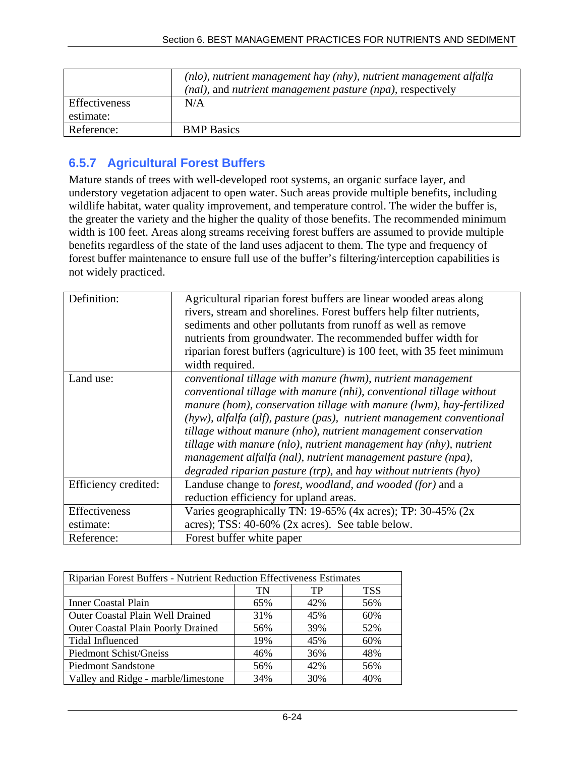|               | (nlo), nutrient management hay (nhy), nutrient management alfalfa<br>(nal), and nutrient management pasture (npa), respectively |
|---------------|---------------------------------------------------------------------------------------------------------------------------------|
| Effectiveness | N/A                                                                                                                             |
| estimate:     |                                                                                                                                 |
| Reference:    | <b>BMP</b> Basics                                                                                                               |

#### **6.5.7 Agricultural Forest Buffers**

Mature stands of trees with well-developed root systems, an organic surface layer, and understory vegetation adjacent to open water. Such areas provide multiple benefits, including wildlife habitat, water quality improvement, and temperature control. The wider the buffer is, the greater the variety and the higher the quality of those benefits. The recommended minimum width is 100 feet. Areas along streams receiving forest buffers are assumed to provide multiple benefits regardless of the state of the land uses adjacent to them. The type and frequency of forest buffer maintenance to ensure full use of the buffer's filtering/interception capabilities is not widely practiced.

| Definition:          | Agricultural riparian forest buffers are linear wooded areas along<br>rivers, stream and shorelines. Forest buffers help filter nutrients,<br>sediments and other pollutants from runoff as well as remove<br>nutrients from groundwater. The recommended buffer width for<br>riparian forest buffers (agriculture) is 100 feet, with 35 feet minimum<br>width required.                                                                                                                                                                                             |
|----------------------|----------------------------------------------------------------------------------------------------------------------------------------------------------------------------------------------------------------------------------------------------------------------------------------------------------------------------------------------------------------------------------------------------------------------------------------------------------------------------------------------------------------------------------------------------------------------|
| Land use:            | conventional tillage with manure (hwm), nutrient management<br>conventional tillage with manure (nhi), conventional tillage without<br>manure (hom), conservation tillage with manure (lwm), hay-fertilized<br>(hyw), alfalfa (alf), pasture (pas), nutrient management conventional<br>tillage without manure (nho), nutrient management conservation<br>tillage with manure (nlo), nutrient management hay (nhy), nutrient<br>management alfalfa (nal), nutrient management pasture (npa),<br>degraded riparian pasture (trp), and hay without nutrients ( $hyo$ ) |
| Efficiency credited: | Landuse change to forest, woodland, and wooded (for) and a<br>reduction efficiency for upland areas.                                                                                                                                                                                                                                                                                                                                                                                                                                                                 |
| Effectiveness        | Varies geographically TN: 19-65% (4x acres); TP: 30-45% (2x                                                                                                                                                                                                                                                                                                                                                                                                                                                                                                          |
| estimate:            | acres); TSS: 40-60% (2x acres). See table below.                                                                                                                                                                                                                                                                                                                                                                                                                                                                                                                     |
| Reference:           | Forest buffer white paper                                                                                                                                                                                                                                                                                                                                                                                                                                                                                                                                            |

| <b>Riparian Forest Buffers - Nutrient Reduction Effectiveness Estimates</b> |     |     |            |  |
|-----------------------------------------------------------------------------|-----|-----|------------|--|
|                                                                             | TN  | TP  | <b>TSS</b> |  |
| Inner Coastal Plain                                                         | 65% | 42% | 56%        |  |
| <b>Outer Coastal Plain Well Drained</b>                                     | 31% | 45% | 60%        |  |
| <b>Outer Coastal Plain Poorly Drained</b>                                   | 56% | 39% | 52%        |  |
| Tidal Influenced                                                            | 19% | 45% | 60%        |  |
| <b>Piedmont Schist/Gneiss</b>                                               | 46% | 36% | 48%        |  |
| <b>Piedmont Sandstone</b>                                                   | 56% | 42% | 56%        |  |
| Valley and Ridge - marble/limestone                                         | 34% | 30% | 40%        |  |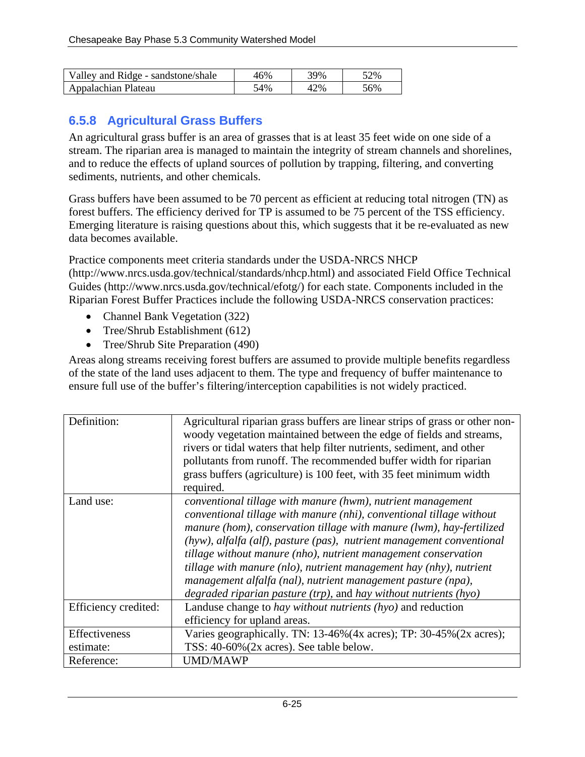| Valley and Ridge - sandstone/shale | 46% | 39% | $52\%$ |
|------------------------------------|-----|-----|--------|
| Appalachian Plateau                | 54% | 42% | 56%    |

### **6.5.8 Agricultural Grass Buffers**

An agricultural grass buffer is an area of grasses that is at least 35 feet wide on one side of a stream. The riparian area is managed to maintain the integrity of stream channels and shorelines, and to reduce the effects of upland sources of pollution by trapping, filtering, and converting sediments, nutrients, and other chemicals.

Grass buffers have been assumed to be 70 percent as efficient at reducing total nitrogen (TN) as forest buffers. The efficiency derived for TP is assumed to be 75 percent of the TSS efficiency. Emerging literature is raising questions about this, which suggests that it be re-evaluated as new data becomes available.

Practice components meet criteria standards under the USDA-NRCS NHCP (http://www.nrcs.usda.gov/technical/standards/nhcp.html) and associated Field Office Technical Guides (http://www.nrcs.usda.gov/technical/efotg/) for each state. Components included in the Riparian Forest Buffer Practices include the following USDA-NRCS conservation practices:

- Channel Bank Vegetation (322)
- Tree/Shrub Establishment (612)
- Tree/Shrub Site Preparation (490)

Areas along streams receiving forest buffers are assumed to provide multiple benefits regardless of the state of the land uses adjacent to them. The type and frequency of buffer maintenance to ensure full use of the buffer's filtering/interception capabilities is not widely practiced.

| Definition:          | Agricultural riparian grass buffers are linear strips of grass or other non-<br>woody vegetation maintained between the edge of fields and streams,<br>rivers or tidal waters that help filter nutrients, sediment, and other<br>pollutants from runoff. The recommended buffer width for riparian<br>grass buffers (agriculture) is 100 feet, with 35 feet minimum width<br>required.                                                                                                                                                                               |
|----------------------|----------------------------------------------------------------------------------------------------------------------------------------------------------------------------------------------------------------------------------------------------------------------------------------------------------------------------------------------------------------------------------------------------------------------------------------------------------------------------------------------------------------------------------------------------------------------|
| Land use:            | conventional tillage with manure (hwm), nutrient management<br>conventional tillage with manure (nhi), conventional tillage without<br>manure (hom), conservation tillage with manure (lwm), hay-fertilized<br>(hyw), alfalfa (alf), pasture (pas), nutrient management conventional<br>tillage without manure (nho), nutrient management conservation<br>tillage with manure (nlo), nutrient management hay (nhy), nutrient<br>management alfalfa (nal), nutrient management pasture (npa),<br>degraded riparian pasture (trp), and hay without nutrients ( $hyo$ ) |
| Efficiency credited: | Landuse change to hay without nutrients $(hyo)$ and reduction<br>efficiency for upland areas.                                                                                                                                                                                                                                                                                                                                                                                                                                                                        |
| Effectiveness        | Varies geographically. TN: 13-46% (4x acres); TP: 30-45% (2x acres);                                                                                                                                                                                                                                                                                                                                                                                                                                                                                                 |
| estimate:            | TSS: 40-60% (2x acres). See table below.                                                                                                                                                                                                                                                                                                                                                                                                                                                                                                                             |
| Reference:           | UMD/MAWP                                                                                                                                                                                                                                                                                                                                                                                                                                                                                                                                                             |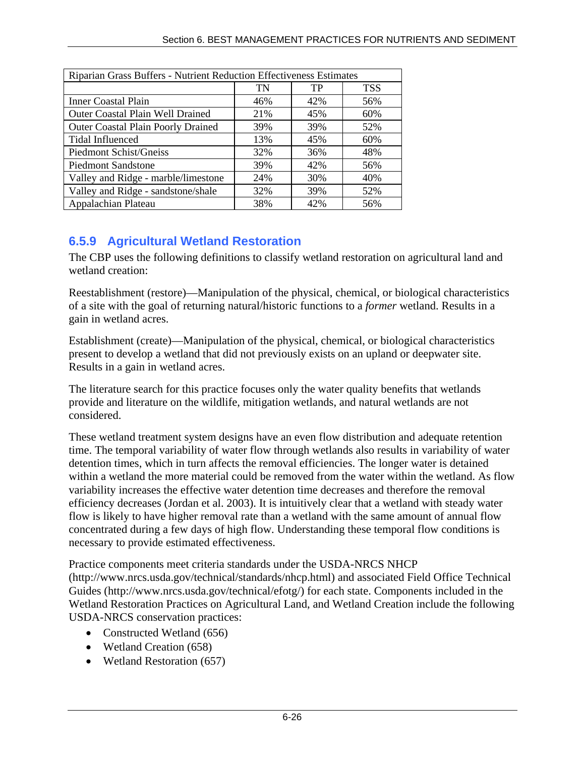| Riparian Grass Buffers - Nutrient Reduction Effectiveness Estimates |     |     |            |
|---------------------------------------------------------------------|-----|-----|------------|
|                                                                     | TN  | TP  | <b>TSS</b> |
| <b>Inner Coastal Plain</b>                                          | 46% | 42% | 56%        |
| <b>Outer Coastal Plain Well Drained</b>                             | 21% | 45% | 60%        |
| <b>Outer Coastal Plain Poorly Drained</b>                           | 39% | 39% | 52%        |
| Tidal Influenced                                                    | 13% | 45% | 60%        |
| <b>Piedmont Schist/Gneiss</b>                                       | 32% | 36% | 48%        |
| <b>Piedmont Sandstone</b>                                           | 39% | 42% | 56%        |
| Valley and Ridge - marble/limestone                                 | 24% | 30% | 40%        |
| Valley and Ridge - sandstone/shale                                  | 32% | 39% | 52%        |
| Appalachian Plateau                                                 | 38% | 42% | 56%        |

### **6.5.9 Agricultural Wetland Restoration**

The CBP uses the following definitions to classify wetland restoration on agricultural land and wetland creation:

Reestablishment (restore)—Manipulation of the physical, chemical, or biological characteristics of a site with the goal of returning natural/historic functions to a *former* wetland. Results in a gain in wetland acres.

Establishment (create)—Manipulation of the physical, chemical, or biological characteristics present to develop a wetland that did not previously exists on an upland or deepwater site. Results in a gain in wetland acres.

The literature search for this practice focuses only the water quality benefits that wetlands provide and literature on the wildlife, mitigation wetlands, and natural wetlands are not considered.

These wetland treatment system designs have an even flow distribution and adequate retention time. The temporal variability of water flow through wetlands also results in variability of water detention times, which in turn affects the removal efficiencies. The longer water is detained within a wetland the more material could be removed from the water within the wetland. As flow variability increases the effective water detention time decreases and therefore the removal efficiency decreases (Jordan et al. 2003). It is intuitively clear that a wetland with steady water flow is likely to have higher removal rate than a wetland with the same amount of annual flow concentrated during a few days of high flow. Understanding these temporal flow conditions is necessary to provide estimated effectiveness.

Practice components meet criteria standards under the USDA-NRCS NHCP (http://www.nrcs.usda.gov/technical/standards/nhcp.html) and associated Field Office Technical Guides (http://www.nrcs.usda.gov/technical/efotg/) for each state. Components included in the Wetland Restoration Practices on Agricultural Land, and Wetland Creation include the following USDA-NRCS conservation practices:

- Constructed Wetland (656)
- Wetland Creation (658)
- Wetland Restoration (657)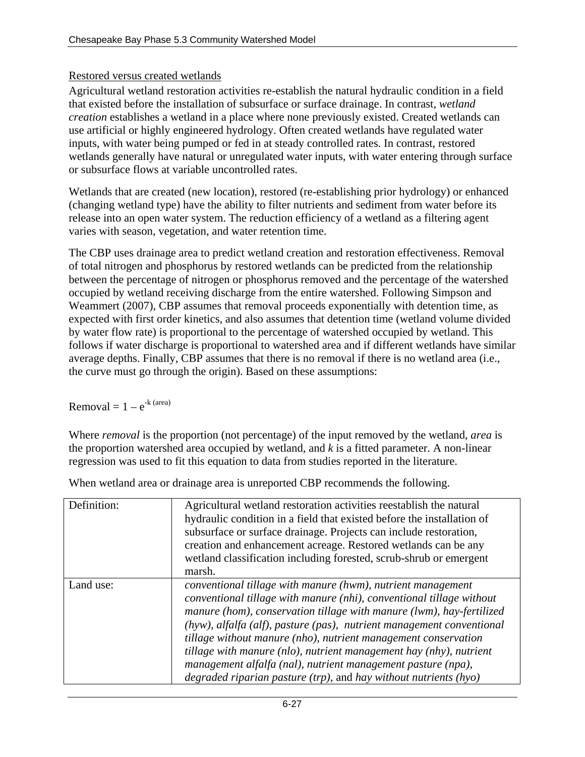#### Restored versus created wetlands

Agricultural wetland restoration activities re-establish the natural hydraulic condition in a field that existed before the installation of subsurface or surface drainage. In contrast, *wetland creation* establishes a wetland in a place where none previously existed. Created wetlands can use artificial or highly engineered hydrology. Often created wetlands have regulated water inputs, with water being pumped or fed in at steady controlled rates. In contrast, restored wetlands generally have natural or unregulated water inputs, with water entering through surface or subsurface flows at variable uncontrolled rates.

Wetlands that are created (new location), restored (re-establishing prior hydrology) or enhanced (changing wetland type) have the ability to filter nutrients and sediment from water before its release into an open water system. The reduction efficiency of a wetland as a filtering agent varies with season, vegetation, and water retention time.

The CBP uses drainage area to predict wetland creation and restoration effectiveness. Removal of total nitrogen and phosphorus by restored wetlands can be predicted from the relationship between the percentage of nitrogen or phosphorus removed and the percentage of the watershed occupied by wetland receiving discharge from the entire watershed. Following Simpson and Weammert (2007), CBP assumes that removal proceeds exponentially with detention time, as expected with first order kinetics, and also assumes that detention time (wetland volume divided by water flow rate) is proportional to the percentage of watershed occupied by wetland. This follows if water discharge is proportional to watershed area and if different wetlands have similar average depths. Finally, CBP assumes that there is no removal if there is no wetland area (i.e., the curve must go through the origin). Based on these assumptions:

 $Removal = 1 - e<sup>-k (area)</sup>$ 

Where *removal* is the proportion (not percentage) of the input removed by the wetland, *area* is the proportion watershed area occupied by wetland, and *k* is a fitted parameter. A non-linear regression was used to fit this equation to data from studies reported in the literature.

| Definition: | Agricultural wetland restoration activities reestablish the natural<br>hydraulic condition in a field that existed before the installation of<br>subsurface or surface drainage. Projects can include restoration,<br>creation and enhancement acreage. Restored wetlands can be any<br>wetland classification including forested, scrub-shrub or emergent<br>marsh.                                                                                                                                                                                             |
|-------------|------------------------------------------------------------------------------------------------------------------------------------------------------------------------------------------------------------------------------------------------------------------------------------------------------------------------------------------------------------------------------------------------------------------------------------------------------------------------------------------------------------------------------------------------------------------|
| Land use:   | conventional tillage with manure (hwm), nutrient management<br>conventional tillage with manure (nhi), conventional tillage without<br>manure (hom), conservation tillage with manure (lwm), hay-fertilized<br>(hyw), alfalfa (alf), pasture (pas), nutrient management conventional<br>tillage without manure (nho), nutrient management conservation<br>tillage with manure (nlo), nutrient management hay (nhy), nutrient<br>management alfalfa (nal), nutrient management pasture (npa),<br>degraded riparian pasture (trp), and hay without nutrients (hyo) |

When wetland area or drainage area is unreported CBP recommends the following.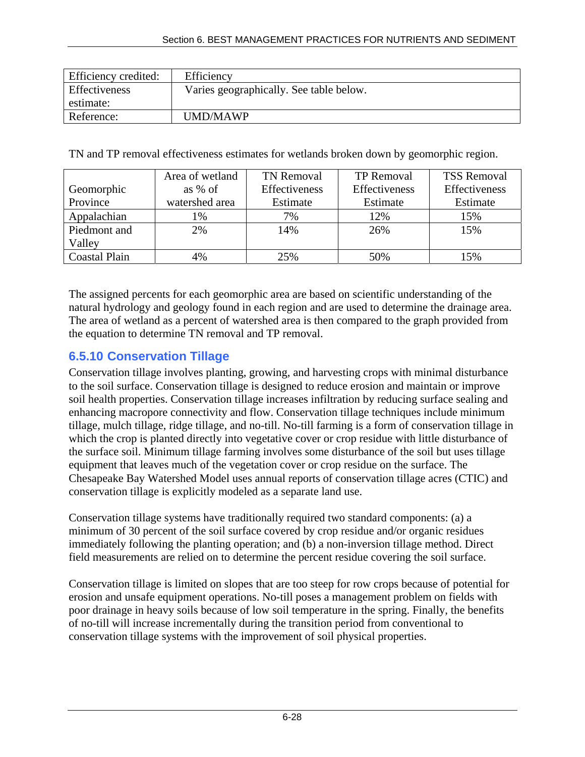| Efficiency credited: | Efficiency                              |
|----------------------|-----------------------------------------|
| Effectiveness        | Varies geographically. See table below. |
| estimate:            |                                         |
| Reference:           | UMD/MAWP                                |

TN and TP removal effectiveness estimates for wetlands broken down by geomorphic region.

|                      | Area of wetland | <b>TN Removal</b>    | <b>TP</b> Removal | <b>TSS Removal</b> |
|----------------------|-----------------|----------------------|-------------------|--------------------|
| Geomorphic           | as % of         | <b>Effectiveness</b> | Effectiveness     | Effectiveness      |
| Province             | watershed area  | Estimate             | Estimate          | Estimate           |
| Appalachian          | 1%              | 7%                   | 12%               | 15%                |
| Piedmont and         | 2%              | 14%                  | 26%               | 15%                |
| Valley               |                 |                      |                   |                    |
| <b>Coastal Plain</b> | 4%              | 25%                  | 50%               | 15%                |

The assigned percents for each geomorphic area are based on scientific understanding of the natural hydrology and geology found in each region and are used to determine the drainage area. The area of wetland as a percent of watershed area is then compared to the graph provided from the equation to determine TN removal and TP removal.

### **6.5.10 Conservation Tillage**

Conservation tillage involves planting, growing, and harvesting crops with minimal disturbance to the soil surface. Conservation tillage is designed to reduce erosion and maintain or improve soil health properties. Conservation tillage increases infiltration by reducing surface sealing and enhancing macropore connectivity and flow. Conservation tillage techniques include minimum tillage, mulch tillage, ridge tillage, and no-till. No-till farming is a form of conservation tillage in which the crop is planted directly into vegetative cover or crop residue with little disturbance of the surface soil. Minimum tillage farming involves some disturbance of the soil but uses tillage equipment that leaves much of the vegetation cover or crop residue on the surface. The Chesapeake Bay Watershed Model uses annual reports of conservation tillage acres (CTIC) and conservation tillage is explicitly modeled as a separate land use.

Conservation tillage systems have traditionally required two standard components: (a) a minimum of 30 percent of the soil surface covered by crop residue and/or organic residues immediately following the planting operation; and (b) a non-inversion tillage method. Direct field measurements are relied on to determine the percent residue covering the soil surface.

Conservation tillage is limited on slopes that are too steep for row crops because of potential for erosion and unsafe equipment operations. No-till poses a management problem on fields with poor drainage in heavy soils because of low soil temperature in the spring. Finally, the benefits of no-till will increase incrementally during the transition period from conventional to conservation tillage systems with the improvement of soil physical properties.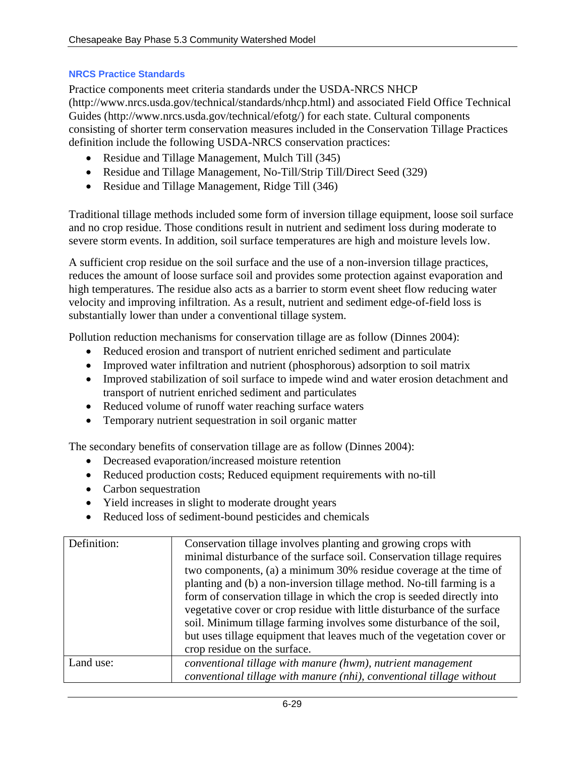#### **NRCS Practice Standards**

Practice components meet criteria standards under the USDA-NRCS NHCP (http://www.nrcs.usda.gov/technical/standards/nhcp.html) and associated Field Office Technical Guides (http://www.nrcs.usda.gov/technical/efotg/) for each state. Cultural components consisting of shorter term conservation measures included in the Conservation Tillage Practices definition include the following USDA-NRCS conservation practices:

- Residue and Tillage Management, Mulch Till (345)
- Residue and Tillage Management, No-Till/Strip Till/Direct Seed (329)
- Residue and Tillage Management, Ridge Till (346)

Traditional tillage methods included some form of inversion tillage equipment, loose soil surface and no crop residue. Those conditions result in nutrient and sediment loss during moderate to severe storm events. In addition, soil surface temperatures are high and moisture levels low.

A sufficient crop residue on the soil surface and the use of a non-inversion tillage practices, reduces the amount of loose surface soil and provides some protection against evaporation and high temperatures. The residue also acts as a barrier to storm event sheet flow reducing water velocity and improving infiltration. As a result, nutrient and sediment edge-of-field loss is substantially lower than under a conventional tillage system.

Pollution reduction mechanisms for conservation tillage are as follow (Dinnes 2004):

- Reduced erosion and transport of nutrient enriched sediment and particulate
- Improved water infiltration and nutrient (phosphorous) adsorption to soil matrix
- Improved stabilization of soil surface to impede wind and water erosion detachment and transport of nutrient enriched sediment and particulates
- Reduced volume of runoff water reaching surface waters
- Temporary nutrient sequestration in soil organic matter

The secondary benefits of conservation tillage are as follow (Dinnes 2004):

- Decreased evaporation/increased moisture retention
- Reduced production costs; Reduced equipment requirements with no-till
- Carbon sequestration
- Yield increases in slight to moderate drought years
- Reduced loss of sediment-bound pesticides and chemicals

| Definition: | Conservation tillage involves planting and growing crops with           |  |  |
|-------------|-------------------------------------------------------------------------|--|--|
|             | minimal disturbance of the surface soil. Conservation tillage requires  |  |  |
|             | two components, (a) a minimum 30% residue coverage at the time of       |  |  |
|             | planting and (b) a non-inversion tillage method. No-till farming is a   |  |  |
|             | form of conservation tillage in which the crop is seeded directly into  |  |  |
|             | vegetative cover or crop residue with little disturbance of the surface |  |  |
|             | soil. Minimum tillage farming involves some disturbance of the soil,    |  |  |
|             | but uses tillage equipment that leaves much of the vegetation cover or  |  |  |
|             | crop residue on the surface.                                            |  |  |
| Land use:   | conventional tillage with manure (hwm), nutrient management             |  |  |
|             | conventional tillage with manure (nhi), conventional tillage without    |  |  |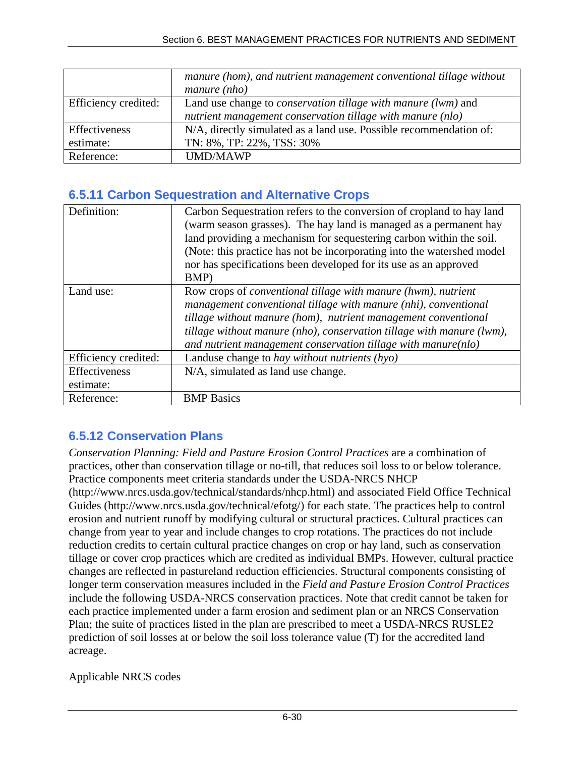|                      | manure (hom), and nutrient management conventional tillage without<br>manure (nho) |
|----------------------|------------------------------------------------------------------------------------|
| Efficiency credited: | Land use change to <i>conservation tillage with manure (lwm)</i> and               |
|                      | nutrient management conservation tillage with manure (nlo)                         |
| Effectiveness        | N/A, directly simulated as a land use. Possible recommendation of:                 |
| estimate:            | TN: 8%, TP: 22%, TSS: 30%                                                          |
| Reference:           | <b>UMD/MAWP</b>                                                                    |

#### **6.5.11 Carbon Sequestration and Alternative Crops**

| Definition:          | Carbon Sequestration refers to the conversion of cropland to hay land<br>(warm season grasses). The hay land is managed as a permanent hay<br>land providing a mechanism for sequestering carbon within the soil.<br>(Note: this practice has not be incorporating into the watershed model)<br>nor has specifications been developed for its use as an approved<br>BMP) |
|----------------------|--------------------------------------------------------------------------------------------------------------------------------------------------------------------------------------------------------------------------------------------------------------------------------------------------------------------------------------------------------------------------|
| Land use:            | Row crops of <i>conventional tillage with manure (hwm)</i> , <i>nutrient</i><br>management conventional tillage with manure (nhi), conventional<br>tillage without manure (hom), nutrient management conventional<br>tillage without manure (nho), conservation tillage with manure (lwm),<br>and nutrient management conservation tillage with manure(nlo)              |
| Efficiency credited: | Landuse change to hay without nutrients (hyo)                                                                                                                                                                                                                                                                                                                            |
| Effectiveness        | N/A, simulated as land use change.                                                                                                                                                                                                                                                                                                                                       |
| estimate:            |                                                                                                                                                                                                                                                                                                                                                                          |
| Reference:           | <b>BMP</b> Basics                                                                                                                                                                                                                                                                                                                                                        |

### **6.5.12 Conservation Plans**

*Conservation Planning: Field and Pasture Erosion Control Practices* are a combination of practices, other than conservation tillage or no-till, that reduces soil loss to or below tolerance. Practice components meet criteria standards under the USDA-NRCS NHCP (http://www.nrcs.usda.gov/technical/standards/nhcp.html) and associated Field Office Technical Guides (http://www.nrcs.usda.gov/technical/efotg/) for each state. The practices help to control erosion and nutrient runoff by modifying cultural or structural practices. Cultural practices can change from year to year and include changes to crop rotations. The practices do not include reduction credits to certain cultural practice changes on crop or hay land, such as conservation tillage or cover crop practices which are credited as individual BMPs. However, cultural practice changes are reflected in pastureland reduction efficiencies. Structural components consisting of longer term conservation measures included in the *Field and Pasture Erosion Control Practices* include the following USDA-NRCS conservation practices. Note that credit cannot be taken for each practice implemented under a farm erosion and sediment plan or an NRCS Conservation Plan; the suite of practices listed in the plan are prescribed to meet a USDA-NRCS RUSLE2 prediction of soil losses at or below the soil loss tolerance value (T) for the accredited land acreage.

Applicable NRCS codes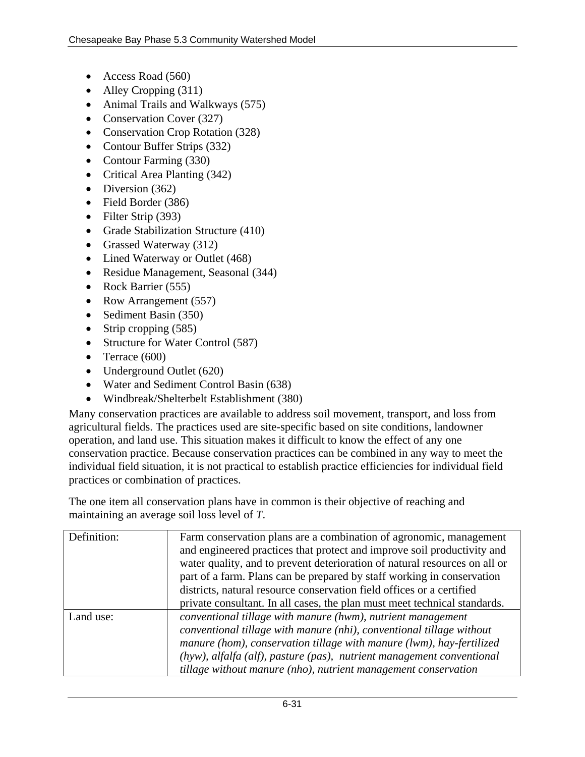- Access Road (560)
- Alley Cropping (311)
- Animal Trails and Walkways (575)
- Conservation Cover (327)
- Conservation Crop Rotation (328)
- Contour Buffer Strips (332)
- Contour Farming (330)
- Critical Area Planting (342)
- Diversion (362)
- Field Border (386)
- Filter Strip (393)
- Grade Stabilization Structure (410)
- Grassed Waterway (312)
- Lined Waterway or Outlet (468)
- Residue Management, Seasonal (344)
- Rock Barrier (555)
- Row Arrangement (557)
- Sediment Basin (350)
- Strip cropping (585)
- Structure for Water Control (587)
- Terrace  $(600)$
- Underground Outlet (620)
- Water and Sediment Control Basin (638)
- Windbreak/Shelterbelt Establishment (380)

Many conservation practices are available to address soil movement, transport, and loss from agricultural fields. The practices used are site-specific based on site conditions, landowner operation, and land use. This situation makes it difficult to know the effect of any one conservation practice. Because conservation practices can be combined in any way to meet the individual field situation, it is not practical to establish practice efficiencies for individual field practices or combination of practices.

The one item all conservation plans have in common is their objective of reaching and maintaining an average soil loss level of *T*.

| Definition: | Farm conservation plans are a combination of agronomic, management<br>and engineered practices that protect and improve soil productivity and<br>water quality, and to prevent deterioration of natural resources on all or<br>part of a farm. Plans can be prepared by staff working in conservation<br>districts, natural resource conservation field offices or a certified<br>private consultant. In all cases, the plan must meet technical standards. |
|-------------|-------------------------------------------------------------------------------------------------------------------------------------------------------------------------------------------------------------------------------------------------------------------------------------------------------------------------------------------------------------------------------------------------------------------------------------------------------------|
| Land use:   | conventional tillage with manure (hwm), nutrient management<br>conventional tillage with manure (nhi), conventional tillage without<br>manure (hom), conservation tillage with manure (lwm), hay-fertilized<br>(hyw), alfalfa (alf), pasture (pas), nutrient management conventional<br>tillage without manure (nho), nutrient management conservation                                                                                                      |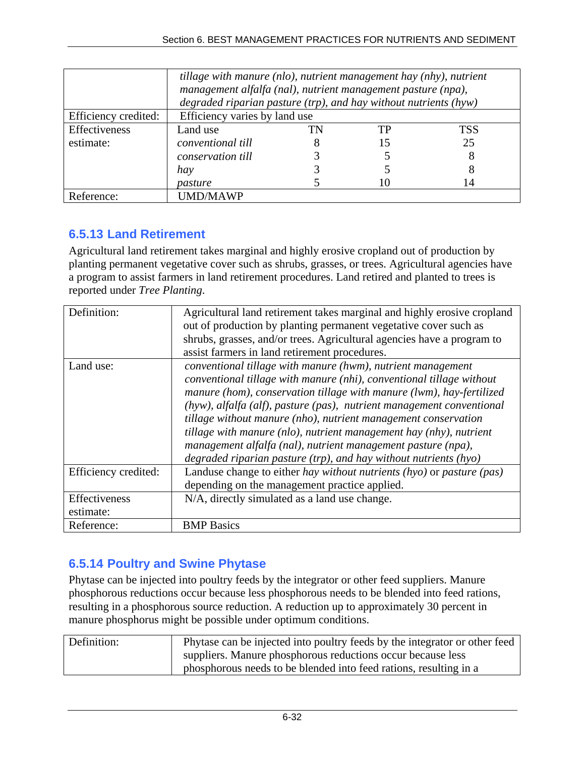|                      | tillage with manure (nlo), nutrient management hay (nhy), nutrient<br>management alfalfa (nal), nutrient management pasture (npa),<br>degraded riparian pasture (trp), and hay without nutrients (hyw) |    |    |            |
|----------------------|--------------------------------------------------------------------------------------------------------------------------------------------------------------------------------------------------------|----|----|------------|
| Efficiency credited: | Efficiency varies by land use                                                                                                                                                                          |    |    |            |
| Effectiveness        | Land use                                                                                                                                                                                               | TN | TP | <b>TSS</b> |
| estimate:            | conventional till                                                                                                                                                                                      |    | 15 | 25         |
|                      | conservation till                                                                                                                                                                                      |    |    |            |
|                      | hay                                                                                                                                                                                                    |    |    | 8          |
|                      | pasture                                                                                                                                                                                                |    | 10 | 14         |
| Reference:           | UMD/MAWP                                                                                                                                                                                               |    |    |            |

### **6.5.13 Land Retirement**

Agricultural land retirement takes marginal and highly erosive cropland out of production by planting permanent vegetative cover such as shrubs, grasses, or trees. Agricultural agencies have a program to assist farmers in land retirement procedures. Land retired and planted to trees is reported under *Tree Planting*.

| Definition:                | Agricultural land retirement takes marginal and highly erosive cropland<br>out of production by planting permanent vegetative cover such as<br>shrubs, grasses, and/or trees. Agricultural agencies have a program to<br>assist farmers in land retirement procedures.                                                                                                                                                                                                                                                                                               |
|----------------------------|----------------------------------------------------------------------------------------------------------------------------------------------------------------------------------------------------------------------------------------------------------------------------------------------------------------------------------------------------------------------------------------------------------------------------------------------------------------------------------------------------------------------------------------------------------------------|
| Land use:                  | conventional tillage with manure (hwm), nutrient management<br>conventional tillage with manure (nhi), conventional tillage without<br>manure (hom), conservation tillage with manure (lwm), hay-fertilized<br>(hyw), alfalfa (alf), pasture (pas), nutrient management conventional<br>tillage without manure (nho), nutrient management conservation<br>tillage with manure (nlo), nutrient management hay (nhy), nutrient<br>management alfalfa (nal), nutrient management pasture (npa),<br>degraded riparian pasture (trp), and hay without nutrients ( $hyo$ ) |
| Efficiency credited:       | Landuse change to either hay without nutrients $(hyo)$ or pasture (pas)<br>depending on the management practice applied.                                                                                                                                                                                                                                                                                                                                                                                                                                             |
| Effectiveness<br>estimate: | N/A, directly simulated as a land use change.                                                                                                                                                                                                                                                                                                                                                                                                                                                                                                                        |
| Reference:                 | <b>BMP</b> Basics                                                                                                                                                                                                                                                                                                                                                                                                                                                                                                                                                    |

### **6.5.14 Poultry and Swine Phytase**

Phytase can be injected into poultry feeds by the integrator or other feed suppliers. Manure phosphorous reductions occur because less phosphorous needs to be blended into feed rations, resulting in a phosphorous source reduction. A reduction up to approximately 30 percent in manure phosphorus might be possible under optimum conditions.

| Definition: | Phytase can be injected into poultry feeds by the integrator or other feed |
|-------------|----------------------------------------------------------------------------|
|             | suppliers. Manure phosphorous reductions occur because less                |
|             | phosphorous needs to be blended into feed rations, resulting in a          |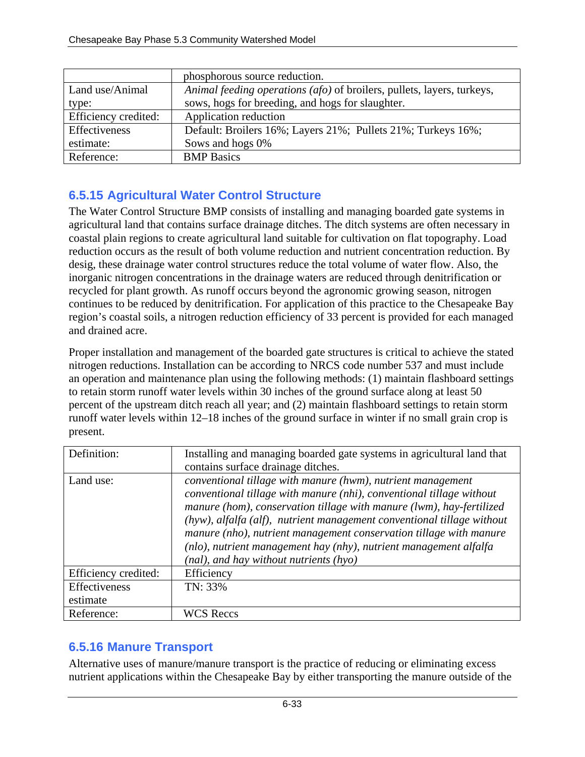|                      | phosphorous source reduction.                                          |
|----------------------|------------------------------------------------------------------------|
| Land use/Animal      | Animal feeding operations (afo) of broilers, pullets, layers, turkeys, |
| type:                | sows, hogs for breeding, and hogs for slaughter.                       |
| Efficiency credited: | Application reduction                                                  |
| Effectiveness        | Default: Broilers 16%; Layers 21%; Pullets 21%; Turkeys 16%;           |
| estimate:            | Sows and hogs 0%                                                       |
| Reference:           | <b>BMP</b> Basics                                                      |

### **6.5.15 Agricultural Water Control Structure**

The Water Control Structure BMP consists of installing and managing boarded gate systems in agricultural land that contains surface drainage ditches. The ditch systems are often necessary in coastal plain regions to create agricultural land suitable for cultivation on flat topography. Load reduction occurs as the result of both volume reduction and nutrient concentration reduction. By desig, these drainage water control structures reduce the total volume of water flow. Also, the inorganic nitrogen concentrations in the drainage waters are reduced through denitrification or recycled for plant growth. As runoff occurs beyond the agronomic growing season, nitrogen continues to be reduced by denitrification. For application of this practice to the Chesapeake Bay region's coastal soils, a nitrogen reduction efficiency of 33 percent is provided for each managed and drained acre.

Proper installation and management of the boarded gate structures is critical to achieve the stated nitrogen reductions. Installation can be according to NRCS code number 537 and must include an operation and maintenance plan using the following methods: (1) maintain flashboard settings to retain storm runoff water levels within 30 inches of the ground surface along at least 50 percent of the upstream ditch reach all year; and (2) maintain flashboard settings to retain storm runoff water levels within 12–18 inches of the ground surface in winter if no small grain crop is present.

| Definition:          | Installing and managing boarded gate systems in agricultural land that<br>contains surface drainage ditches.                                                                                                                                                                                                                                                                                                                                                                    |
|----------------------|---------------------------------------------------------------------------------------------------------------------------------------------------------------------------------------------------------------------------------------------------------------------------------------------------------------------------------------------------------------------------------------------------------------------------------------------------------------------------------|
| Land use:            | conventional tillage with manure (hwm), nutrient management<br>conventional tillage with manure (nhi), conventional tillage without<br>manure (hom), conservation tillage with manure (lwm), hay-fertilized<br>(hyw), alfalfa (alf), nutrient management conventional tillage without<br>manure (nho), nutrient management conservation tillage with manure<br>(nlo), nutrient management hay (nhy), nutrient management alfalfa<br>$(nal)$ , and hay without nutrients $(hyo)$ |
| Efficiency credited: | Efficiency                                                                                                                                                                                                                                                                                                                                                                                                                                                                      |
| Effectiveness        | TN: 33%                                                                                                                                                                                                                                                                                                                                                                                                                                                                         |
| estimate             |                                                                                                                                                                                                                                                                                                                                                                                                                                                                                 |
| Reference:           | WCS Reccs                                                                                                                                                                                                                                                                                                                                                                                                                                                                       |

#### **6.5.16 Manure Transport**

Alternative uses of manure/manure transport is the practice of reducing or eliminating excess nutrient applications within the Chesapeake Bay by either transporting the manure outside of the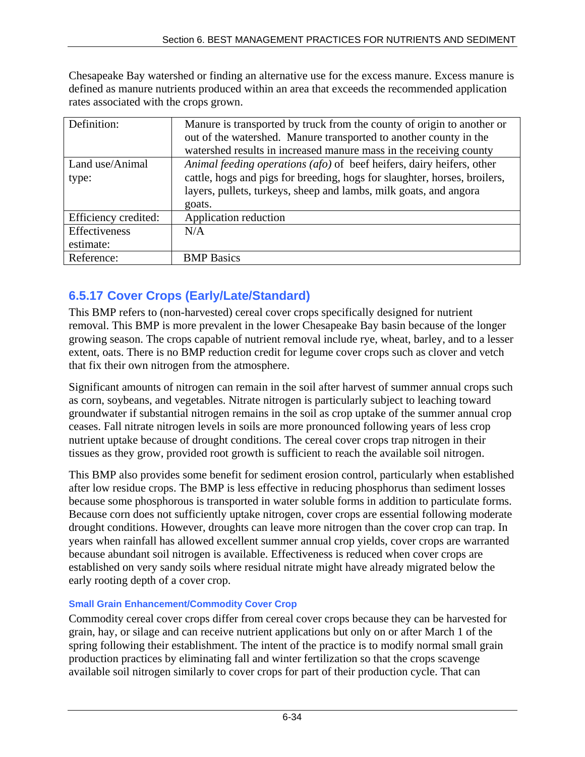Chesapeake Bay watershed or finding an alternative use for the excess manure. Excess manure is defined as manure nutrients produced within an area that exceeds the recommended application rates associated with the crops grown.

| Definition:          | Manure is transported by truck from the county of origin to another or<br>out of the watershed. Manure transported to another county in the<br>watershed results in increased manure mass in the receiving county |
|----------------------|-------------------------------------------------------------------------------------------------------------------------------------------------------------------------------------------------------------------|
| Land use/Animal      | Animal feeding operations (afo) of beef heifers, dairy heifers, other                                                                                                                                             |
| type:                | cattle, hogs and pigs for breeding, hogs for slaughter, horses, broilers,                                                                                                                                         |
|                      | layers, pullets, turkeys, sheep and lambs, milk goats, and angora                                                                                                                                                 |
|                      | goats.                                                                                                                                                                                                            |
| Efficiency credited: | Application reduction                                                                                                                                                                                             |
| Effectiveness        | N/A                                                                                                                                                                                                               |
| estimate:            |                                                                                                                                                                                                                   |
| Reference:           | <b>BMP</b> Basics                                                                                                                                                                                                 |

# **6.5.17 Cover Crops (Early/Late/Standard)**

This BMP refers to (non-harvested) cereal cover crops specifically designed for nutrient removal. This BMP is more prevalent in the lower Chesapeake Bay basin because of the longer growing season. The crops capable of nutrient removal include rye, wheat, barley, and to a lesser extent, oats. There is no BMP reduction credit for legume cover crops such as clover and vetch that fix their own nitrogen from the atmosphere.

Significant amounts of nitrogen can remain in the soil after harvest of summer annual crops such as corn, soybeans, and vegetables. Nitrate nitrogen is particularly subject to leaching toward groundwater if substantial nitrogen remains in the soil as crop uptake of the summer annual crop ceases. Fall nitrate nitrogen levels in soils are more pronounced following years of less crop nutrient uptake because of drought conditions. The cereal cover crops trap nitrogen in their tissues as they grow, provided root growth is sufficient to reach the available soil nitrogen.

This BMP also provides some benefit for sediment erosion control, particularly when established after low residue crops. The BMP is less effective in reducing phosphorus than sediment losses because some phosphorous is transported in water soluble forms in addition to particulate forms. Because corn does not sufficiently uptake nitrogen, cover crops are essential following moderate drought conditions. However, droughts can leave more nitrogen than the cover crop can trap. In years when rainfall has allowed excellent summer annual crop yields, cover crops are warranted because abundant soil nitrogen is available. Effectiveness is reduced when cover crops are established on very sandy soils where residual nitrate might have already migrated below the early rooting depth of a cover crop.

#### **Small Grain Enhancement/Commodity Cover Crop**

Commodity cereal cover crops differ from cereal cover crops because they can be harvested for grain, hay, or silage and can receive nutrient applications but only on or after March 1 of the spring following their establishment. The intent of the practice is to modify normal small grain production practices by eliminating fall and winter fertilization so that the crops scavenge available soil nitrogen similarly to cover crops for part of their production cycle. That can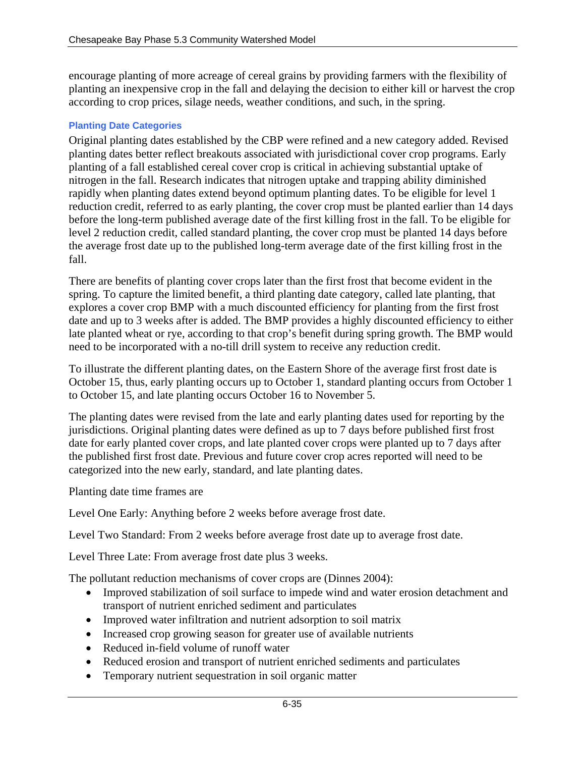encourage planting of more acreage of cereal grains by providing farmers with the flexibility of planting an inexpensive crop in the fall and delaying the decision to either kill or harvest the crop according to crop prices, silage needs, weather conditions, and such, in the spring.

#### **Planting Date Categories**

Original planting dates established by the CBP were refined and a new category added. Revised planting dates better reflect breakouts associated with jurisdictional cover crop programs. Early planting of a fall established cereal cover crop is critical in achieving substantial uptake of nitrogen in the fall. Research indicates that nitrogen uptake and trapping ability diminished rapidly when planting dates extend beyond optimum planting dates. To be eligible for level 1 reduction credit, referred to as early planting, the cover crop must be planted earlier than 14 days before the long-term published average date of the first killing frost in the fall. To be eligible for level 2 reduction credit, called standard planting, the cover crop must be planted 14 days before the average frost date up to the published long-term average date of the first killing frost in the fall.

There are benefits of planting cover crops later than the first frost that become evident in the spring. To capture the limited benefit, a third planting date category, called late planting, that explores a cover crop BMP with a much discounted efficiency for planting from the first frost date and up to 3 weeks after is added. The BMP provides a highly discounted efficiency to either late planted wheat or rye, according to that crop's benefit during spring growth. The BMP would need to be incorporated with a no-till drill system to receive any reduction credit.

To illustrate the different planting dates, on the Eastern Shore of the average first frost date is October 15, thus, early planting occurs up to October 1, standard planting occurs from October 1 to October 15, and late planting occurs October 16 to November 5.

The planting dates were revised from the late and early planting dates used for reporting by the jurisdictions. Original planting dates were defined as up to 7 days before published first frost date for early planted cover crops, and late planted cover crops were planted up to 7 days after the published first frost date. Previous and future cover crop acres reported will need to be categorized into the new early, standard, and late planting dates.

Planting date time frames are

Level One Early: Anything before 2 weeks before average frost date.

Level Two Standard: From 2 weeks before average frost date up to average frost date.

Level Three Late: From average frost date plus 3 weeks.

The pollutant reduction mechanisms of cover crops are (Dinnes 2004):

- Improved stabilization of soil surface to impede wind and water erosion detachment and transport of nutrient enriched sediment and particulates
- Improved water infiltration and nutrient adsorption to soil matrix
- Increased crop growing season for greater use of available nutrients
- Reduced in-field volume of runoff water
- Reduced erosion and transport of nutrient enriched sediments and particulates
- Temporary nutrient sequestration in soil organic matter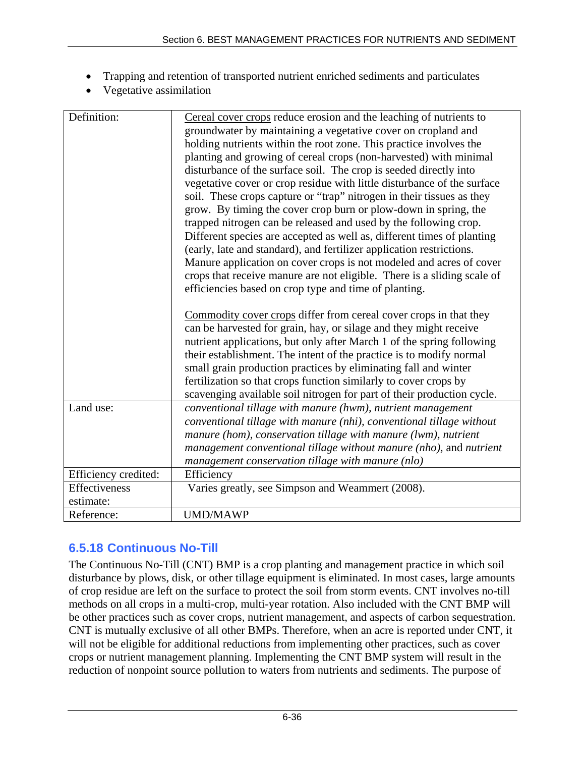- Trapping and retention of transported nutrient enriched sediments and particulates
- Vegetative assimilation

| Definition:                | Cereal cover crops reduce erosion and the leaching of nutrients to<br>groundwater by maintaining a vegetative cover on cropland and<br>holding nutrients within the root zone. This practice involves the<br>planting and growing of cereal crops (non-harvested) with minimal<br>disturbance of the surface soil. The crop is seeded directly into<br>vegetative cover or crop residue with little disturbance of the surface<br>soil. These crops capture or "trap" nitrogen in their tissues as they<br>grow. By timing the cover crop burn or plow-down in spring, the<br>trapped nitrogen can be released and used by the following crop.<br>Different species are accepted as well as, different times of planting<br>(early, late and standard), and fertilizer application restrictions.<br>Manure application on cover crops is not modeled and acres of cover<br>crops that receive manure are not eligible. There is a sliding scale of<br>efficiencies based on crop type and time of planting.<br>Commodity cover crops differ from cereal cover crops in that they<br>can be harvested for grain, hay, or silage and they might receive<br>nutrient applications, but only after March 1 of the spring following<br>their establishment. The intent of the practice is to modify normal<br>small grain production practices by eliminating fall and winter<br>fertilization so that crops function similarly to cover crops by<br>scavenging available soil nitrogen for part of their production cycle. |
|----------------------------|------------------------------------------------------------------------------------------------------------------------------------------------------------------------------------------------------------------------------------------------------------------------------------------------------------------------------------------------------------------------------------------------------------------------------------------------------------------------------------------------------------------------------------------------------------------------------------------------------------------------------------------------------------------------------------------------------------------------------------------------------------------------------------------------------------------------------------------------------------------------------------------------------------------------------------------------------------------------------------------------------------------------------------------------------------------------------------------------------------------------------------------------------------------------------------------------------------------------------------------------------------------------------------------------------------------------------------------------------------------------------------------------------------------------------------------------------------------------------------------------------------------------|
| Land use:                  | conventional tillage with manure (hwm), nutrient management<br>conventional tillage with manure (nhi), conventional tillage without<br>manure (hom), conservation tillage with manure (lwm), nutrient<br>management conventional tillage without manure (nho), and nutrient<br>management conservation tillage with manure (nlo)                                                                                                                                                                                                                                                                                                                                                                                                                                                                                                                                                                                                                                                                                                                                                                                                                                                                                                                                                                                                                                                                                                                                                                                       |
| Efficiency credited:       | Efficiency                                                                                                                                                                                                                                                                                                                                                                                                                                                                                                                                                                                                                                                                                                                                                                                                                                                                                                                                                                                                                                                                                                                                                                                                                                                                                                                                                                                                                                                                                                             |
| Effectiveness<br>estimate: | Varies greatly, see Simpson and Weammert (2008).                                                                                                                                                                                                                                                                                                                                                                                                                                                                                                                                                                                                                                                                                                                                                                                                                                                                                                                                                                                                                                                                                                                                                                                                                                                                                                                                                                                                                                                                       |
| Reference:                 | <b>UMD/MAWP</b>                                                                                                                                                                                                                                                                                                                                                                                                                                                                                                                                                                                                                                                                                                                                                                                                                                                                                                                                                                                                                                                                                                                                                                                                                                                                                                                                                                                                                                                                                                        |

### **6.5.18 Continuous No-Till**

The Continuous No-Till (CNT) BMP is a crop planting and management practice in which soil disturbance by plows, disk, or other tillage equipment is eliminated. In most cases, large amounts of crop residue are left on the surface to protect the soil from storm events. CNT involves no-till methods on all crops in a multi-crop, multi-year rotation. Also included with the CNT BMP will be other practices such as cover crops, nutrient management, and aspects of carbon sequestration. CNT is mutually exclusive of all other BMPs. Therefore, when an acre is reported under CNT, it will not be eligible for additional reductions from implementing other practices, such as cover crops or nutrient management planning. Implementing the CNT BMP system will result in the reduction of nonpoint source pollution to waters from nutrients and sediments. The purpose of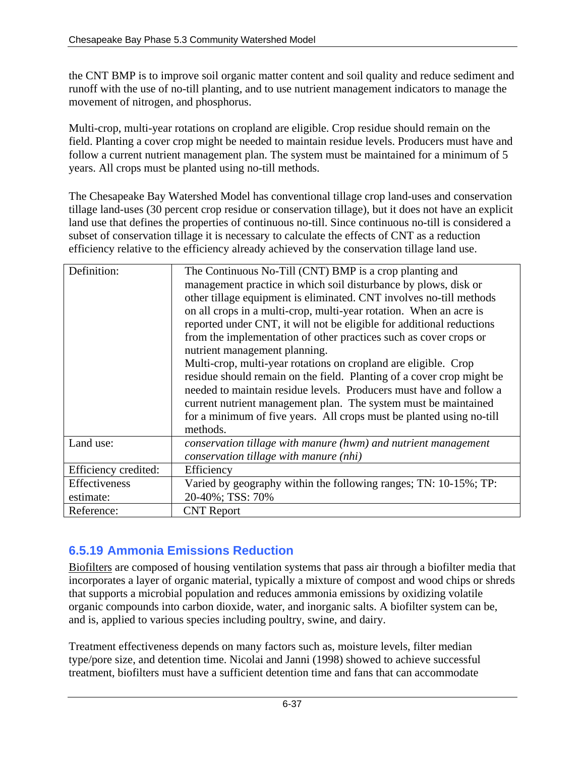the CNT BMP is to improve soil organic matter content and soil quality and reduce sediment and runoff with the use of no-till planting, and to use nutrient management indicators to manage the movement of nitrogen, and phosphorus.

Multi-crop, multi-year rotations on cropland are eligible. Crop residue should remain on the field. Planting a cover crop might be needed to maintain residue levels. Producers must have and follow a current nutrient management plan. The system must be maintained for a minimum of 5 years. All crops must be planted using no-till methods.

The Chesapeake Bay Watershed Model has conventional tillage crop land-uses and conservation tillage land-uses (30 percent crop residue or conservation tillage), but it does not have an explicit land use that defines the properties of continuous no-till. Since continuous no-till is considered a subset of conservation tillage it is necessary to calculate the effects of CNT as a reduction efficiency relative to the efficiency already achieved by the conservation tillage land use.

| Definition:          | The Continuous No-Till (CNT) BMP is a crop planting and<br>management practice in which soil disturbance by plows, disk or<br>other tillage equipment is eliminated. CNT involves no-till methods<br>on all crops in a multi-crop, multi-year rotation. When an acre is<br>reported under CNT, it will not be eligible for additional reductions<br>from the implementation of other practices such as cover crops or<br>nutrient management planning.<br>Multi-crop, multi-year rotations on cropland are eligible. Crop |
|----------------------|---------------------------------------------------------------------------------------------------------------------------------------------------------------------------------------------------------------------------------------------------------------------------------------------------------------------------------------------------------------------------------------------------------------------------------------------------------------------------------------------------------------------------|
|                      | residue should remain on the field. Planting of a cover crop might be<br>needed to maintain residue levels. Producers must have and follow a                                                                                                                                                                                                                                                                                                                                                                              |
|                      | current nutrient management plan. The system must be maintained<br>for a minimum of five years. All crops must be planted using no-till<br>methods.                                                                                                                                                                                                                                                                                                                                                                       |
| Land use:            | conservation tillage with manure (hwm) and nutrient management                                                                                                                                                                                                                                                                                                                                                                                                                                                            |
|                      | conservation tillage with manure (nhi)                                                                                                                                                                                                                                                                                                                                                                                                                                                                                    |
| Efficiency credited: | Efficiency                                                                                                                                                                                                                                                                                                                                                                                                                                                                                                                |
| Effectiveness        | Varied by geography within the following ranges; TN: 10-15%; TP:                                                                                                                                                                                                                                                                                                                                                                                                                                                          |
| estimate:            | 20-40%; TSS: 70%                                                                                                                                                                                                                                                                                                                                                                                                                                                                                                          |
| Reference:           | <b>CNT</b> Report                                                                                                                                                                                                                                                                                                                                                                                                                                                                                                         |

## **6.5.19 Ammonia Emissions Reduction**

Biofilters are composed of housing ventilation systems that pass air through a biofilter media that incorporates a layer of organic material, typically a mixture of compost and wood chips or shreds that supports a microbial population and reduces ammonia emissions by oxidizing volatile organic compounds into carbon dioxide, water, and inorganic salts. A biofilter system can be, and is, applied to various species including poultry, swine, and dairy.

Treatment effectiveness depends on many factors such as, moisture levels, filter median type/pore size, and detention time. Nicolai and Janni (1998) showed to achieve successful treatment, biofilters must have a sufficient detention time and fans that can accommodate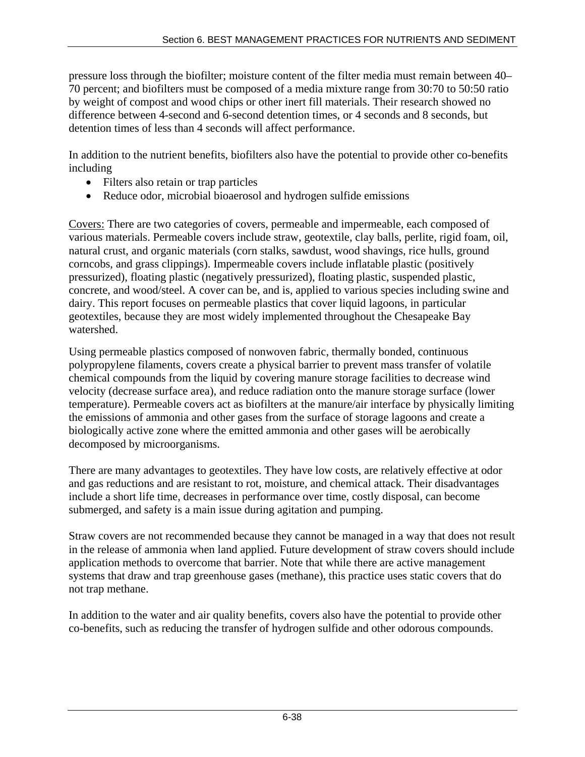pressure loss through the biofilter; moisture content of the filter media must remain between 40– 70 percent; and biofilters must be composed of a media mixture range from 30:70 to 50:50 ratio by weight of compost and wood chips or other inert fill materials. Their research showed no difference between 4-second and 6-second detention times, or 4 seconds and 8 seconds, but detention times of less than 4 seconds will affect performance.

In addition to the nutrient benefits, biofilters also have the potential to provide other co-benefits including

- Filters also retain or trap particles
- Reduce odor, microbial bioaerosol and hydrogen sulfide emissions

Covers: There are two categories of covers, permeable and impermeable, each composed of various materials. Permeable covers include straw, geotextile, clay balls, perlite, rigid foam, oil, natural crust, and organic materials (corn stalks, sawdust, wood shavings, rice hulls, ground corncobs, and grass clippings). Impermeable covers include inflatable plastic (positively pressurized), floating plastic (negatively pressurized), floating plastic, suspended plastic, concrete, and wood/steel. A cover can be, and is, applied to various species including swine and dairy. This report focuses on permeable plastics that cover liquid lagoons, in particular geotextiles, because they are most widely implemented throughout the Chesapeake Bay watershed.

Using permeable plastics composed of nonwoven fabric, thermally bonded, continuous polypropylene filaments, covers create a physical barrier to prevent mass transfer of volatile chemical compounds from the liquid by covering manure storage facilities to decrease wind velocity (decrease surface area), and reduce radiation onto the manure storage surface (lower temperature). Permeable covers act as biofilters at the manure/air interface by physically limiting the emissions of ammonia and other gases from the surface of storage lagoons and create a biologically active zone where the emitted ammonia and other gases will be aerobically decomposed by microorganisms.

There are many advantages to geotextiles. They have low costs, are relatively effective at odor and gas reductions and are resistant to rot, moisture, and chemical attack. Their disadvantages include a short life time, decreases in performance over time, costly disposal, can become submerged, and safety is a main issue during agitation and pumping.

Straw covers are not recommended because they cannot be managed in a way that does not result in the release of ammonia when land applied. Future development of straw covers should include application methods to overcome that barrier. Note that while there are active management systems that draw and trap greenhouse gases (methane), this practice uses static covers that do not trap methane.

In addition to the water and air quality benefits, covers also have the potential to provide other co-benefits, such as reducing the transfer of hydrogen sulfide and other odorous compounds.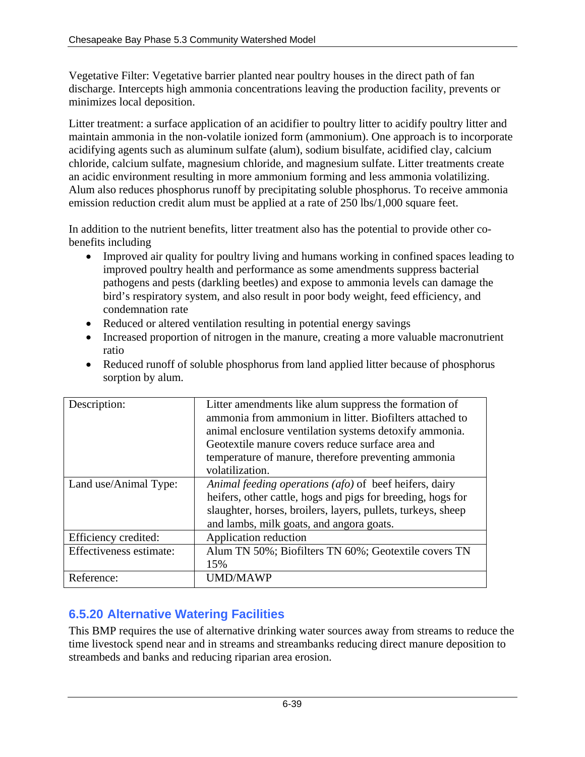Vegetative Filter: Vegetative barrier planted near poultry houses in the direct path of fan discharge. Intercepts high ammonia concentrations leaving the production facility, prevents or minimizes local deposition.

Litter treatment: a surface application of an acidifier to poultry litter to acidify poultry litter and maintain ammonia in the non-volatile ionized form (ammonium). One approach is to incorporate acidifying agents such as aluminum sulfate (alum), sodium bisulfate, acidified clay, calcium chloride, calcium sulfate, magnesium chloride, and magnesium sulfate. Litter treatments create an acidic environment resulting in more ammonium forming and less ammonia volatilizing. Alum also reduces phosphorus runoff by precipitating soluble phosphorus. To receive ammonia emission reduction credit alum must be applied at a rate of 250 lbs/1,000 square feet.

In addition to the nutrient benefits, litter treatment also has the potential to provide other cobenefits including

- Improved air quality for poultry living and humans working in confined spaces leading to improved poultry health and performance as some amendments suppress bacterial pathogens and pests (darkling beetles) and expose to ammonia levels can damage the bird's respiratory system, and also result in poor body weight, feed efficiency, and condemnation rate
- Reduced or altered ventilation resulting in potential energy savings
- Increased proportion of nitrogen in the manure, creating a more valuable macronutrient ratio

| $55.1$ $\mu$ to $\mu$ and $\mu$ . |                                                                                                                                                                                                                                                                                                          |
|-----------------------------------|----------------------------------------------------------------------------------------------------------------------------------------------------------------------------------------------------------------------------------------------------------------------------------------------------------|
| Description:                      | Litter amendments like alum suppress the formation of<br>ammonia from ammonium in litter. Biofilters attached to<br>animal enclosure ventilation systems detoxify ammonia.<br>Geotextile manure covers reduce surface area and<br>temperature of manure, therefore preventing ammonia<br>volatilization. |
| Land use/Animal Type:             | Animal feeding operations (afo) of beef heifers, dairy<br>heifers, other cattle, hogs and pigs for breeding, hogs for<br>slaughter, horses, broilers, layers, pullets, turkeys, sheep<br>and lambs, milk goats, and angora goats.                                                                        |
| Efficiency credited:              | Application reduction                                                                                                                                                                                                                                                                                    |
| Effectiveness estimate:           | Alum TN 50%; Biofilters TN 60%; Geotextile covers TN<br>15%                                                                                                                                                                                                                                              |
| Reference:                        | UMD/MAWP                                                                                                                                                                                                                                                                                                 |

• Reduced runoff of soluble phosphorus from land applied litter because of phosphorus sorption by alum.

# **6.5.20 Alternative Watering Facilities**

This BMP requires the use of alternative drinking water sources away from streams to reduce the time livestock spend near and in streams and streambanks reducing direct manure deposition to streambeds and banks and reducing riparian area erosion.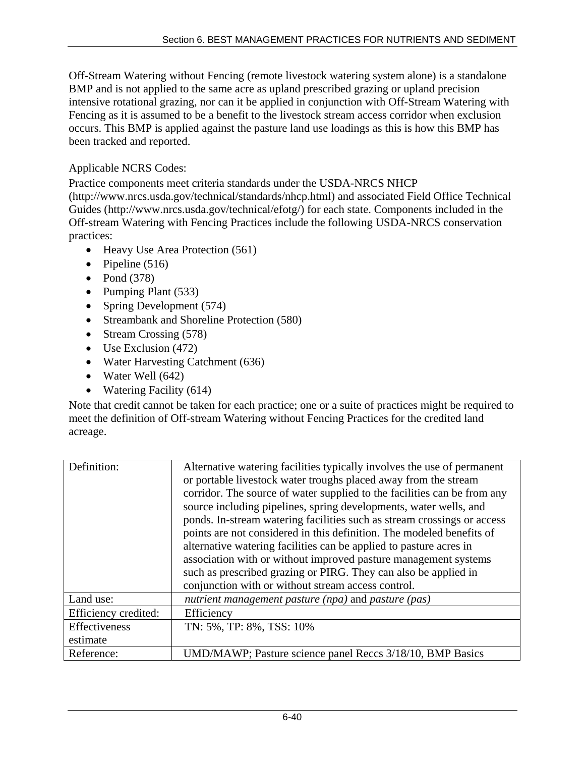Off-Stream Watering without Fencing (remote livestock watering system alone) is a standalone BMP and is not applied to the same acre as upland prescribed grazing or upland precision intensive rotational grazing, nor can it be applied in conjunction with Off-Stream Watering with Fencing as it is assumed to be a benefit to the livestock stream access corridor when exclusion occurs. This BMP is applied against the pasture land use loadings as this is how this BMP has been tracked and reported.

#### Applicable NCRS Codes:

Practice components meet criteria standards under the USDA-NRCS NHCP (http://www.nrcs.usda.gov/technical/standards/nhcp.html) and associated Field Office Technical Guides (http://www.nrcs.usda.gov/technical/efotg/) for each state. Components included in the Off-stream Watering with Fencing Practices include the following USDA-NRCS conservation practices:

- Heavy Use Area Protection (561)
- Pipeline  $(516)$
- Pond (378)
- Pumping Plant (533)
- Spring Development (574)
- Streambank and Shoreline Protection (580)
- Stream Crossing (578)
- Use Exclusion (472)
- Water Harvesting Catchment (636)
- Water Well (642)
- Watering Facility (614)

Note that credit cannot be taken for each practice; one or a suite of practices might be required to meet the definition of Off-stream Watering without Fencing Practices for the credited land acreage.

| Definition:          | Alternative watering facilities typically involves the use of permanent<br>or portable livestock water troughs placed away from the stream<br>corridor. The source of water supplied to the facilities can be from any<br>source including pipelines, spring developments, water wells, and<br>ponds. In-stream watering facilities such as stream crossings or access<br>points are not considered in this definition. The modeled benefits of<br>alternative watering facilities can be applied to pasture acres in<br>association with or without improved pasture management systems<br>such as prescribed grazing or PIRG. They can also be applied in<br>conjunction with or without stream access control. |
|----------------------|-------------------------------------------------------------------------------------------------------------------------------------------------------------------------------------------------------------------------------------------------------------------------------------------------------------------------------------------------------------------------------------------------------------------------------------------------------------------------------------------------------------------------------------------------------------------------------------------------------------------------------------------------------------------------------------------------------------------|
| Land use:            | nutrient management pasture (npa) and pasture (pas)                                                                                                                                                                                                                                                                                                                                                                                                                                                                                                                                                                                                                                                               |
| Efficiency credited: | Efficiency                                                                                                                                                                                                                                                                                                                                                                                                                                                                                                                                                                                                                                                                                                        |
| Effectiveness        | TN: 5%, TP: 8%, TSS: 10%                                                                                                                                                                                                                                                                                                                                                                                                                                                                                                                                                                                                                                                                                          |
| estimate             |                                                                                                                                                                                                                                                                                                                                                                                                                                                                                                                                                                                                                                                                                                                   |
| Reference:           | UMD/MAWP; Pasture science panel Reccs 3/18/10, BMP Basics                                                                                                                                                                                                                                                                                                                                                                                                                                                                                                                                                                                                                                                         |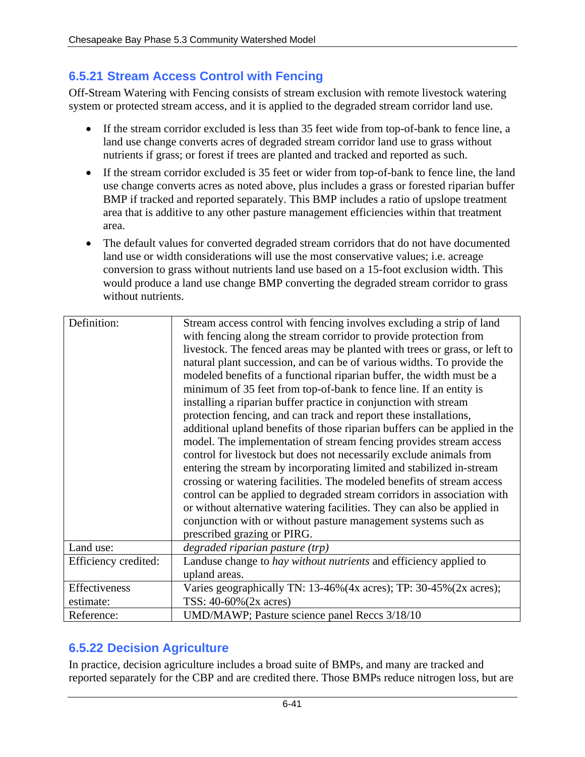### **6.5.21 Stream Access Control with Fencing**

Off-Stream Watering with Fencing consists of stream exclusion with remote livestock watering system or protected stream access, and it is applied to the degraded stream corridor land use.

- If the stream corridor excluded is less than 35 feet wide from top-of-bank to fence line, a land use change converts acres of degraded stream corridor land use to grass without nutrients if grass; or forest if trees are planted and tracked and reported as such.
- If the stream corridor excluded is 35 feet or wider from top-of-bank to fence line, the land use change converts acres as noted above, plus includes a grass or forested riparian buffer BMP if tracked and reported separately. This BMP includes a ratio of upslope treatment area that is additive to any other pasture management efficiencies within that treatment area.
- The default values for converted degraded stream corridors that do not have documented land use or width considerations will use the most conservative values; i.e. acreage conversion to grass without nutrients land use based on a 15-foot exclusion width. This would produce a land use change BMP converting the degraded stream corridor to grass without nutrients.

| Definition:                | Stream access control with fencing involves excluding a strip of land<br>with fencing along the stream corridor to provide protection from<br>livestock. The fenced areas may be planted with trees or grass, or left to<br>natural plant succession, and can be of various widths. To provide the<br>modeled benefits of a functional riparian buffer, the width must be a<br>minimum of 35 feet from top-of-bank to fence line. If an entity is<br>installing a riparian buffer practice in conjunction with stream<br>protection fencing, and can track and report these installations,<br>additional upland benefits of those riparian buffers can be applied in the<br>model. The implementation of stream fencing provides stream access<br>control for livestock but does not necessarily exclude animals from<br>entering the stream by incorporating limited and stabilized in-stream<br>crossing or watering facilities. The modeled benefits of stream access<br>control can be applied to degraded stream corridors in association with<br>or without alternative watering facilities. They can also be applied in<br>conjunction with or without pasture management systems such as<br>prescribed grazing or PIRG. |
|----------------------------|---------------------------------------------------------------------------------------------------------------------------------------------------------------------------------------------------------------------------------------------------------------------------------------------------------------------------------------------------------------------------------------------------------------------------------------------------------------------------------------------------------------------------------------------------------------------------------------------------------------------------------------------------------------------------------------------------------------------------------------------------------------------------------------------------------------------------------------------------------------------------------------------------------------------------------------------------------------------------------------------------------------------------------------------------------------------------------------------------------------------------------------------------------------------------------------------------------------------------------|
| Land use:                  | degraded riparian pasture (trp)                                                                                                                                                                                                                                                                                                                                                                                                                                                                                                                                                                                                                                                                                                                                                                                                                                                                                                                                                                                                                                                                                                                                                                                                 |
| Efficiency credited:       | Landuse change to hay without nutrients and efficiency applied to<br>upland areas.                                                                                                                                                                                                                                                                                                                                                                                                                                                                                                                                                                                                                                                                                                                                                                                                                                                                                                                                                                                                                                                                                                                                              |
| Effectiveness<br>estimate: | Varies geographically TN: 13-46% (4x acres); TP: 30-45% (2x acres);<br>TSS: 40-60% (2x acres)                                                                                                                                                                                                                                                                                                                                                                                                                                                                                                                                                                                                                                                                                                                                                                                                                                                                                                                                                                                                                                                                                                                                   |
| Reference:                 | UMD/MAWP; Pasture science panel Reccs 3/18/10                                                                                                                                                                                                                                                                                                                                                                                                                                                                                                                                                                                                                                                                                                                                                                                                                                                                                                                                                                                                                                                                                                                                                                                   |

## **6.5.22 Decision Agriculture**

In practice, decision agriculture includes a broad suite of BMPs, and many are tracked and reported separately for the CBP and are credited there. Those BMPs reduce nitrogen loss, but are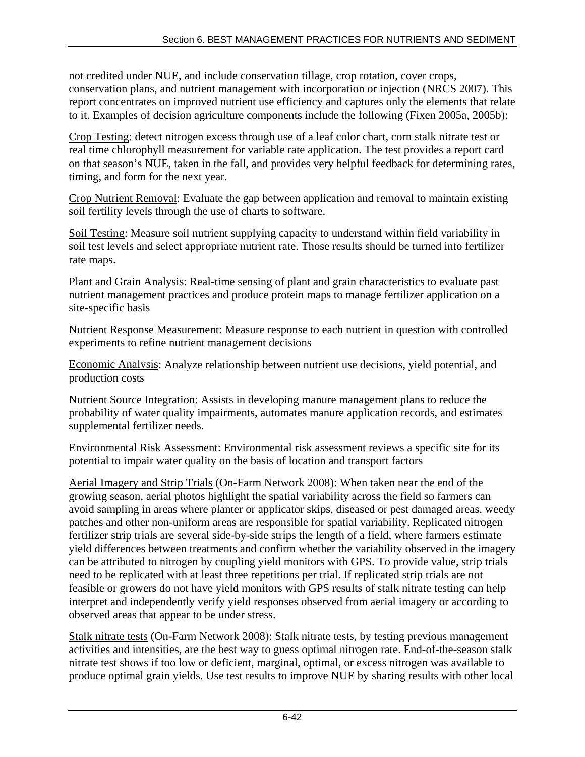not credited under NUE, and include conservation tillage, crop rotation, cover crops, conservation plans, and nutrient management with incorporation or injection (NRCS 2007). This report concentrates on improved nutrient use efficiency and captures only the elements that relate to it. Examples of decision agriculture components include the following (Fixen 2005a, 2005b):

Crop Testing: detect nitrogen excess through use of a leaf color chart, corn stalk nitrate test or real time chlorophyll measurement for variable rate application. The test provides a report card on that season's NUE, taken in the fall, and provides very helpful feedback for determining rates, timing, and form for the next year.

Crop Nutrient Removal: Evaluate the gap between application and removal to maintain existing soil fertility levels through the use of charts to software.

Soil Testing: Measure soil nutrient supplying capacity to understand within field variability in soil test levels and select appropriate nutrient rate. Those results should be turned into fertilizer rate maps.

Plant and Grain Analysis: Real-time sensing of plant and grain characteristics to evaluate past nutrient management practices and produce protein maps to manage fertilizer application on a site-specific basis

Nutrient Response Measurement: Measure response to each nutrient in question with controlled experiments to refine nutrient management decisions

Economic Analysis: Analyze relationship between nutrient use decisions, yield potential, and production costs

Nutrient Source Integration: Assists in developing manure management plans to reduce the probability of water quality impairments, automates manure application records, and estimates supplemental fertilizer needs.

Environmental Risk Assessment: Environmental risk assessment reviews a specific site for its potential to impair water quality on the basis of location and transport factors

Aerial Imagery and Strip Trials (On-Farm Network 2008): When taken near the end of the growing season, aerial photos highlight the spatial variability across the field so farmers can avoid sampling in areas where planter or applicator skips, diseased or pest damaged areas, weedy patches and other non-uniform areas are responsible for spatial variability. Replicated nitrogen fertilizer strip trials are several side-by-side strips the length of a field, where farmers estimate yield differences between treatments and confirm whether the variability observed in the imagery can be attributed to nitrogen by coupling yield monitors with GPS. To provide value, strip trials need to be replicated with at least three repetitions per trial. If replicated strip trials are not feasible or growers do not have yield monitors with GPS results of stalk nitrate testing can help interpret and independently verify yield responses observed from aerial imagery or according to observed areas that appear to be under stress.

Stalk nitrate tests (On-Farm Network 2008): Stalk nitrate tests, by testing previous management activities and intensities, are the best way to guess optimal nitrogen rate. End-of-the-season stalk nitrate test shows if too low or deficient, marginal, optimal, or excess nitrogen was available to produce optimal grain yields. Use test results to improve NUE by sharing results with other local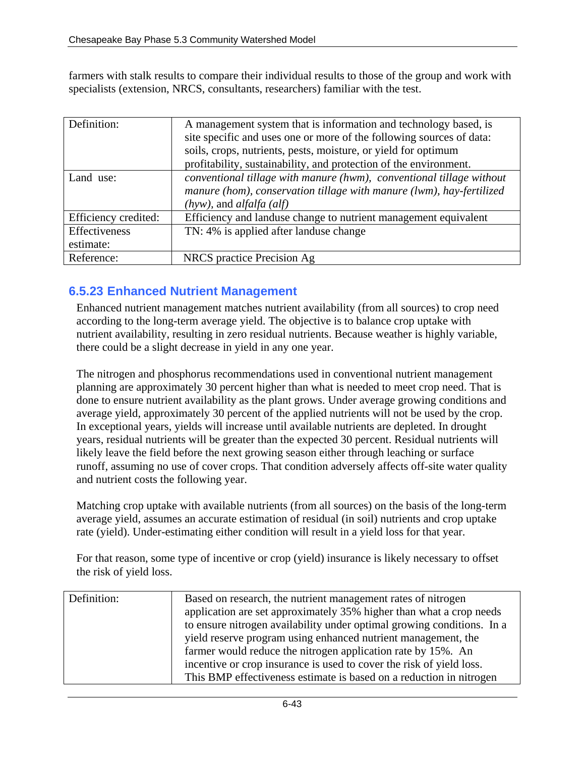farmers with stalk results to compare their individual results to those of the group and work with specialists (extension, NRCS, consultants, researchers) familiar with the test.

| Definition:          | A management system that is information and technology based, is     |
|----------------------|----------------------------------------------------------------------|
|                      | site specific and uses one or more of the following sources of data: |
|                      | soils, crops, nutrients, pests, moisture, or yield for optimum       |
|                      | profitability, sustainability, and protection of the environment.    |
| Land use:            | conventional tillage with manure (hwm), conventional tillage without |
|                      | manure (hom), conservation tillage with manure (lwm), hay-fertilized |
|                      | $(hyw)$ , and <i>alfalfa</i> $\text{ (alf)}$                         |
| Efficiency credited: | Efficiency and landuse change to nutrient management equivalent      |
| Effectiveness        | TN: 4% is applied after landuse change                               |
| estimate:            |                                                                      |
| Reference:           | NRCS practice Precision Ag                                           |

## **6.5.23 Enhanced Nutrient Management**

Enhanced nutrient management matches nutrient availability (from all sources) to crop need according to the long-term average yield. The objective is to balance crop uptake with nutrient availability, resulting in zero residual nutrients. Because weather is highly variable, there could be a slight decrease in yield in any one year.

The nitrogen and phosphorus recommendations used in conventional nutrient management planning are approximately 30 percent higher than what is needed to meet crop need. That is done to ensure nutrient availability as the plant grows. Under average growing conditions and average yield, approximately 30 percent of the applied nutrients will not be used by the crop. In exceptional years, yields will increase until available nutrients are depleted. In drought years, residual nutrients will be greater than the expected 30 percent. Residual nutrients will likely leave the field before the next growing season either through leaching or surface runoff, assuming no use of cover crops. That condition adversely affects off-site water quality and nutrient costs the following year.

Matching crop uptake with available nutrients (from all sources) on the basis of the long-term average yield, assumes an accurate estimation of residual (in soil) nutrients and crop uptake rate (yield). Under-estimating either condition will result in a yield loss for that year.

For that reason, some type of incentive or crop (yield) insurance is likely necessary to offset the risk of yield loss.

| Definition: | Based on research, the nutrient management rates of nitrogen           |
|-------------|------------------------------------------------------------------------|
|             | application are set approximately 35% higher than what a crop needs    |
|             | to ensure nitrogen availability under optimal growing conditions. In a |
|             | yield reserve program using enhanced nutrient management, the          |
|             | farmer would reduce the nitrogen application rate by 15%. An           |
|             | incentive or crop insurance is used to cover the risk of yield loss.   |
|             | This BMP effectiveness estimate is based on a reduction in nitrogen    |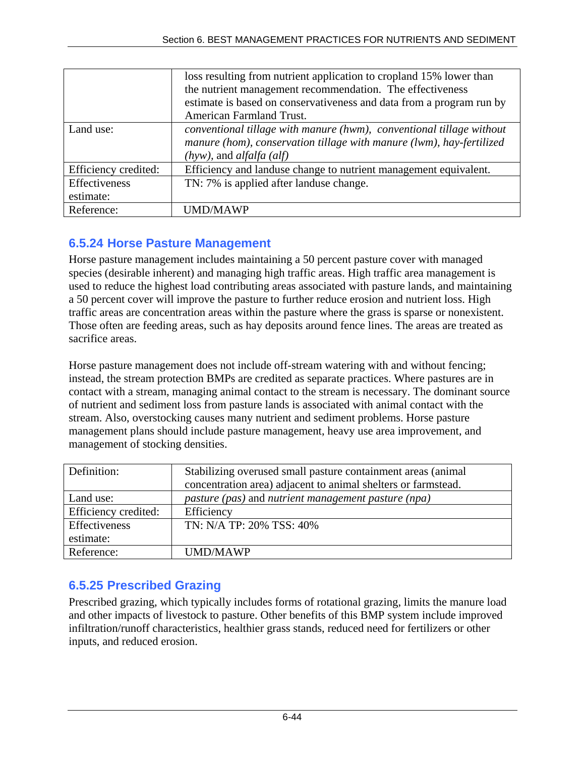|                      | loss resulting from nutrient application to cropland 15% lower than  |
|----------------------|----------------------------------------------------------------------|
|                      | the nutrient management recommendation. The effectiveness            |
|                      | estimate is based on conservativeness and data from a program run by |
|                      | <b>American Farmland Trust.</b>                                      |
| Land use:            | conventional tillage with manure (hwm), conventional tillage without |
|                      | manure (hom), conservation tillage with manure (lwm), hay-fertilized |
|                      | $(hyw)$ , and <i>alfalfa</i> ( <i>alf</i> )                          |
| Efficiency credited: | Efficiency and landuse change to nutrient management equivalent.     |
| Effectiveness        | TN: 7% is applied after landuse change.                              |
| estimate:            |                                                                      |
| Reference:           | <b>UMD/MAWP</b>                                                      |

## **6.5.24 Horse Pasture Management**

Horse pasture management includes maintaining a 50 percent pasture cover with managed species (desirable inherent) and managing high traffic areas. High traffic area management is used to reduce the highest load contributing areas associated with pasture lands, and maintaining a 50 percent cover will improve the pasture to further reduce erosion and nutrient loss. High traffic areas are concentration areas within the pasture where the grass is sparse or nonexistent. Those often are feeding areas, such as hay deposits around fence lines. The areas are treated as sacrifice areas.

Horse pasture management does not include off-stream watering with and without fencing; instead, the stream protection BMPs are credited as separate practices. Where pastures are in contact with a stream, managing animal contact to the stream is necessary. The dominant source of nutrient and sediment loss from pasture lands is associated with animal contact with the stream. Also, overstocking causes many nutrient and sediment problems. Horse pasture management plans should include pasture management, heavy use area improvement, and management of stocking densities.

| Definition:          | Stabilizing overused small pasture containment areas (animal  |
|----------------------|---------------------------------------------------------------|
|                      | concentration area) adjacent to animal shelters or farmstead. |
| Land use:            | pasture (pas) and nutrient management pasture (npa)           |
| Efficiency credited: | Efficiency                                                    |
| Effectiveness        | TN: N/A TP: 20% TSS: 40%                                      |
| estimate:            |                                                               |
| Reference:           | <b>UMD/MAWP</b>                                               |

## **6.5.25 Prescribed Grazing**

Prescribed grazing, which typically includes forms of rotational grazing, limits the manure load and other impacts of livestock to pasture. Other benefits of this BMP system include improved infiltration/runoff characteristics, healthier grass stands, reduced need for fertilizers or other inputs, and reduced erosion.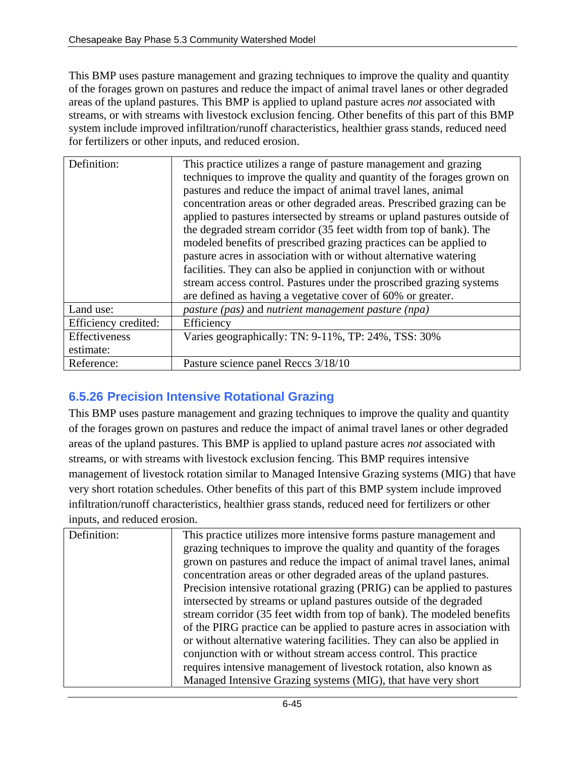This BMP uses pasture management and grazing techniques to improve the quality and quantity of the forages grown on pastures and reduce the impact of animal travel lanes or other degraded areas of the upland pastures. This BMP is applied to upland pasture acres *not* associated with streams, or with streams with livestock exclusion fencing. Other benefits of this part of this BMP system include improved infiltration/runoff characteristics, healthier grass stands, reduced need for fertilizers or other inputs, and reduced erosion.

| Definition:          | This practice utilizes a range of pasture management and grazing<br>techniques to improve the quality and quantity of the forages grown on<br>pastures and reduce the impact of animal travel lanes, animal<br>concentration areas or other degraded areas. Prescribed grazing can be<br>applied to pastures intersected by streams or upland pastures outside of<br>the degraded stream corridor (35 feet width from top of bank). The<br>modeled benefits of prescribed grazing practices can be applied to<br>pasture acres in association with or without alternative watering<br>facilities. They can also be applied in conjunction with or without<br>stream access control. Pastures under the proscribed grazing systems<br>are defined as having a vegetative cover of 60% or greater. |
|----------------------|--------------------------------------------------------------------------------------------------------------------------------------------------------------------------------------------------------------------------------------------------------------------------------------------------------------------------------------------------------------------------------------------------------------------------------------------------------------------------------------------------------------------------------------------------------------------------------------------------------------------------------------------------------------------------------------------------------------------------------------------------------------------------------------------------|
| Land use:            | pasture (pas) and nutrient management pasture (npa)                                                                                                                                                                                                                                                                                                                                                                                                                                                                                                                                                                                                                                                                                                                                              |
| Efficiency credited: | Efficiency                                                                                                                                                                                                                                                                                                                                                                                                                                                                                                                                                                                                                                                                                                                                                                                       |
| Effectiveness        | Varies geographically: TN: 9-11%, TP: 24%, TSS: 30%                                                                                                                                                                                                                                                                                                                                                                                                                                                                                                                                                                                                                                                                                                                                              |
| estimate:            |                                                                                                                                                                                                                                                                                                                                                                                                                                                                                                                                                                                                                                                                                                                                                                                                  |
| Reference:           | Pasture science panel Reccs 3/18/10                                                                                                                                                                                                                                                                                                                                                                                                                                                                                                                                                                                                                                                                                                                                                              |

## **6.5.26 Precision Intensive Rotational Grazing**

This BMP uses pasture management and grazing techniques to improve the quality and quantity of the forages grown on pastures and reduce the impact of animal travel lanes or other degraded areas of the upland pastures. This BMP is applied to upland pasture acres *not* associated with streams, or with streams with livestock exclusion fencing. This BMP requires intensive management of livestock rotation similar to Managed Intensive Grazing systems (MIG) that have very short rotation schedules. Other benefits of this part of this BMP system include improved infiltration/runoff characteristics, healthier grass stands, reduced need for fertilizers or other inputs, and reduced erosion.

| Definition: | This practice utilizes more intensive forms pasture management and<br>grazing techniques to improve the quality and quantity of the forages |
|-------------|---------------------------------------------------------------------------------------------------------------------------------------------|
|             | grown on pastures and reduce the impact of animal travel lanes, animal                                                                      |
|             | concentration areas or other degraded areas of the upland pastures.                                                                         |
|             | Precision intensive rotational grazing (PRIG) can be applied to pastures                                                                    |
|             | intersected by streams or upland pastures outside of the degraded                                                                           |
|             | stream corridor (35 feet width from top of bank). The modeled benefits                                                                      |
|             | of the PIRG practice can be applied to pasture acres in association with                                                                    |
|             | or without alternative watering facilities. They can also be applied in                                                                     |
|             | conjunction with or without stream access control. This practice                                                                            |
|             | requires intensive management of livestock rotation, also known as                                                                          |
|             | Managed Intensive Grazing systems (MIG), that have very short                                                                               |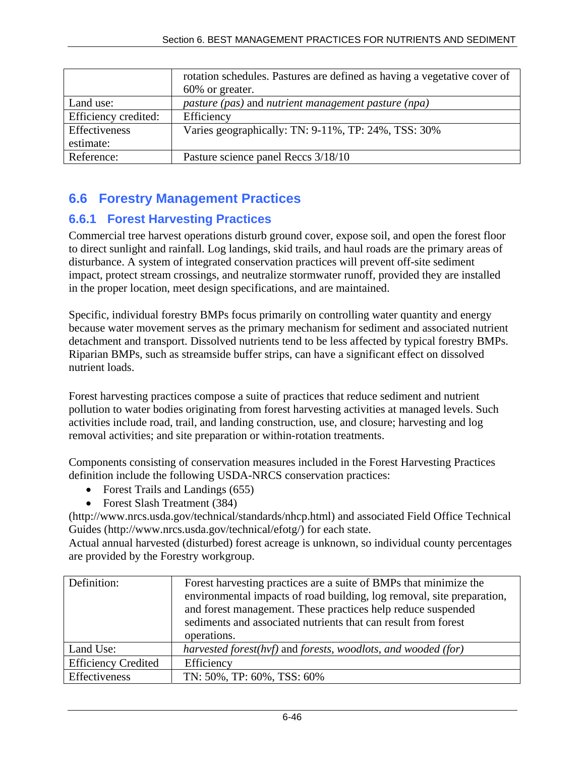|                      | rotation schedules. Pastures are defined as having a vegetative cover of<br>60% or greater. |
|----------------------|---------------------------------------------------------------------------------------------|
|                      |                                                                                             |
| Land use:            | <i>pasture (pas)</i> and <i>nutrient management pasture (npa)</i>                           |
| Efficiency credited: | Efficiency                                                                                  |
| Effectiveness        | Varies geographically: TN: 9-11%, TP: 24%, TSS: 30%                                         |
| estimate:            |                                                                                             |
| Reference:           | Pasture science panel Reccs 3/18/10                                                         |

# **6.6 Forestry Management Practices**

## **6.6.1 Forest Harvesting Practices**

Commercial tree harvest operations disturb ground cover, expose soil, and open the forest floor to direct sunlight and rainfall. Log landings, skid trails, and haul roads are the primary areas of disturbance. A system of integrated conservation practices will prevent off-site sediment impact, protect stream crossings, and neutralize stormwater runoff, provided they are installed in the proper location, meet design specifications, and are maintained.

Specific, individual forestry BMPs focus primarily on controlling water quantity and energy because water movement serves as the primary mechanism for sediment and associated nutrient detachment and transport. Dissolved nutrients tend to be less affected by typical forestry BMPs. Riparian BMPs, such as streamside buffer strips, can have a significant effect on dissolved nutrient loads.

Forest harvesting practices compose a suite of practices that reduce sediment and nutrient pollution to water bodies originating from forest harvesting activities at managed levels. Such activities include road, trail, and landing construction, use, and closure; harvesting and log removal activities; and site preparation or within-rotation treatments.

Components consisting of conservation measures included in the Forest Harvesting Practices definition include the following USDA-NRCS conservation practices:

- Forest Trails and Landings (655)
- Forest Slash Treatment (384)

(http://www.nrcs.usda.gov/technical/standards/nhcp.html) and associated Field Office Technical Guides (http://www.nrcs.usda.gov/technical/efotg/) for each state.

Actual annual harvested (disturbed) forest acreage is unknown, so individual county percentages are provided by the Forestry workgroup.

| Definition:                | Forest harvesting practices are a suite of BMPs that minimize the<br>environmental impacts of road building, log removal, site preparation,<br>and forest management. These practices help reduce suspended<br>sediments and associated nutrients that can result from forest |
|----------------------------|-------------------------------------------------------------------------------------------------------------------------------------------------------------------------------------------------------------------------------------------------------------------------------|
| Land Use:                  | operations.                                                                                                                                                                                                                                                                   |
|                            | harvested forest(hvf) and forests, woodlots, and wooded (for)                                                                                                                                                                                                                 |
| <b>Efficiency Credited</b> | Efficiency                                                                                                                                                                                                                                                                    |
| Effectiveness              | TN: 50%, TP: 60%, TSS: 60%                                                                                                                                                                                                                                                    |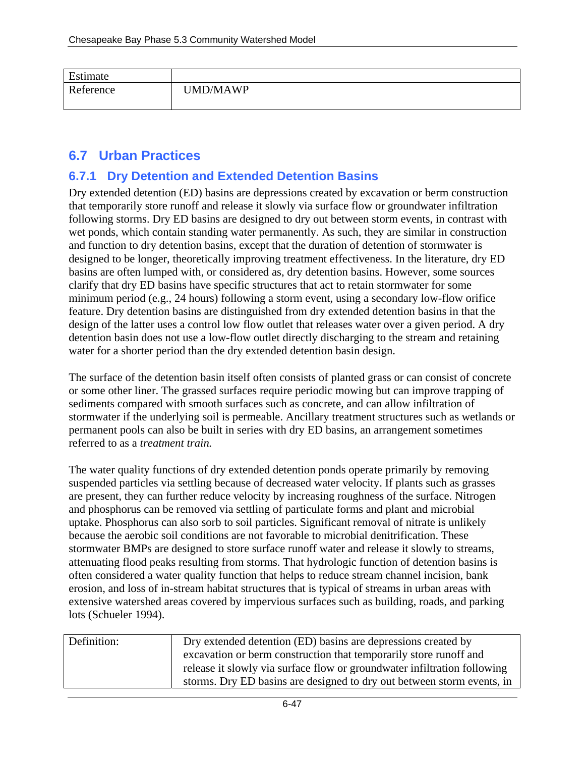| Estimate  |          |
|-----------|----------|
| Reference | UMD/MAWP |

### **6.7 Urban Practices**

#### **6.7.1 Dry Detention and Extended Detention Basins**

Dry extended detention (ED) basins are depressions created by excavation or berm construction that temporarily store runoff and release it slowly via surface flow or groundwater infiltration following storms. Dry ED basins are designed to dry out between storm events, in contrast with wet ponds, which contain standing water permanently. As such, they are similar in construction and function to dry detention basins, except that the duration of detention of stormwater is designed to be longer, theoretically improving treatment effectiveness. In the literature, dry ED basins are often lumped with, or considered as, dry detention basins. However, some sources clarify that dry ED basins have specific structures that act to retain stormwater for some minimum period (e.g., 24 hours) following a storm event, using a secondary low-flow orifice feature. Dry detention basins are distinguished from dry extended detention basins in that the design of the latter uses a control low flow outlet that releases water over a given period. A dry detention basin does not use a low-flow outlet directly discharging to the stream and retaining water for a shorter period than the dry extended detention basin design.

The surface of the detention basin itself often consists of planted grass or can consist of concrete or some other liner. The grassed surfaces require periodic mowing but can improve trapping of sediments compared with smooth surfaces such as concrete, and can allow infiltration of stormwater if the underlying soil is permeable. Ancillary treatment structures such as wetlands or permanent pools can also be built in series with dry ED basins, an arrangement sometimes referred to as a *treatment train.*

The water quality functions of dry extended detention ponds operate primarily by removing suspended particles via settling because of decreased water velocity. If plants such as grasses are present, they can further reduce velocity by increasing roughness of the surface. Nitrogen and phosphorus can be removed via settling of particulate forms and plant and microbial uptake. Phosphorus can also sorb to soil particles. Significant removal of nitrate is unlikely because the aerobic soil conditions are not favorable to microbial denitrification. These stormwater BMPs are designed to store surface runoff water and release it slowly to streams, attenuating flood peaks resulting from storms. That hydrologic function of detention basins is often considered a water quality function that helps to reduce stream channel incision, bank erosion, and loss of in-stream habitat structures that is typical of streams in urban areas with extensive watershed areas covered by impervious surfaces such as building, roads, and parking lots (Schueler 1994).

| Definition: | Dry extended detention (ED) basins are depressions created by            |
|-------------|--------------------------------------------------------------------------|
|             | excavation or berm construction that temporarily store runoff and        |
|             | release it slowly via surface flow or groundwater infiltration following |
|             | storms. Dry ED basins are designed to dry out between storm events, in   |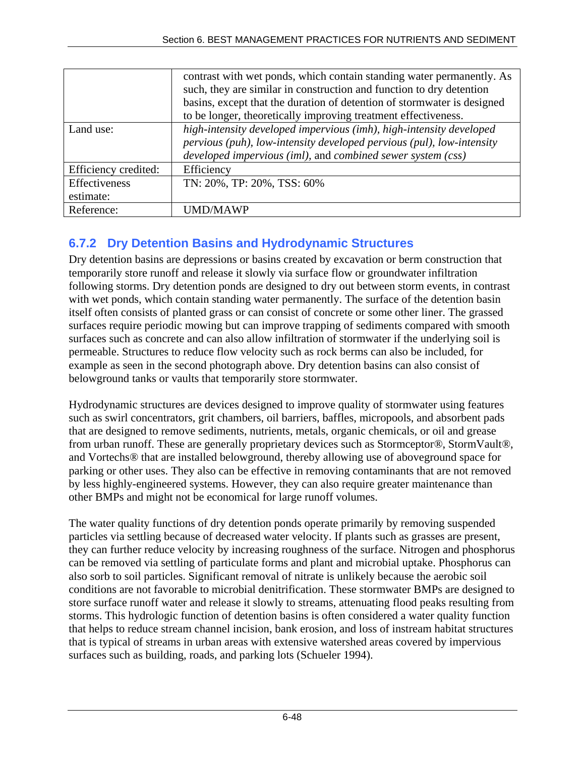|                      | contrast with wet ponds, which contain standing water permanently. As<br>such, they are similar in construction and function to dry detention<br>basins, except that the duration of detention of stormwater is designed<br>to be longer, theoretically improving treatment effectiveness. |
|----------------------|--------------------------------------------------------------------------------------------------------------------------------------------------------------------------------------------------------------------------------------------------------------------------------------------|
| Land use:            | high-intensity developed impervious (imh), high-intensity developed<br>pervious (puh), low-intensity developed pervious (pul), low-intensity<br>developed impervious (iml), and combined sewer system (css)                                                                                |
| Efficiency credited: | Efficiency                                                                                                                                                                                                                                                                                 |
| Effectiveness        | TN: 20%, TP: 20%, TSS: 60%                                                                                                                                                                                                                                                                 |
| estimate:            |                                                                                                                                                                                                                                                                                            |
| Reference:           | I IMD/MAWP                                                                                                                                                                                                                                                                                 |

## **6.7.2 Dry Detention Basins and Hydrodynamic Structures**

Dry detention basins are depressions or basins created by excavation or berm construction that temporarily store runoff and release it slowly via surface flow or groundwater infiltration following storms. Dry detention ponds are designed to dry out between storm events, in contrast with wet ponds, which contain standing water permanently. The surface of the detention basin itself often consists of planted grass or can consist of concrete or some other liner. The grassed surfaces require periodic mowing but can improve trapping of sediments compared with smooth surfaces such as concrete and can also allow infiltration of stormwater if the underlying soil is permeable. Structures to reduce flow velocity such as rock berms can also be included, for example as seen in the second photograph above. Dry detention basins can also consist of belowground tanks or vaults that temporarily store stormwater.

Hydrodynamic structures are devices designed to improve quality of stormwater using features such as swirl concentrators, grit chambers, oil barriers, baffles, micropools, and absorbent pads that are designed to remove sediments, nutrients, metals, organic chemicals, or oil and grease from urban runoff. These are generally proprietary devices such as Stormceptor*®*, StormVault*®*, and Vortechs*®* that are installed belowground, thereby allowing use of aboveground space for parking or other uses. They also can be effective in removing contaminants that are not removed by less highly-engineered systems. However, they can also require greater maintenance than other BMPs and might not be economical for large runoff volumes.

The water quality functions of dry detention ponds operate primarily by removing suspended particles via settling because of decreased water velocity. If plants such as grasses are present, they can further reduce velocity by increasing roughness of the surface. Nitrogen and phosphorus can be removed via settling of particulate forms and plant and microbial uptake. Phosphorus can also sorb to soil particles. Significant removal of nitrate is unlikely because the aerobic soil conditions are not favorable to microbial denitrification. These stormwater BMPs are designed to store surface runoff water and release it slowly to streams, attenuating flood peaks resulting from storms. This hydrologic function of detention basins is often considered a water quality function that helps to reduce stream channel incision, bank erosion, and loss of instream habitat structures that is typical of streams in urban areas with extensive watershed areas covered by impervious surfaces such as building, roads, and parking lots (Schueler 1994).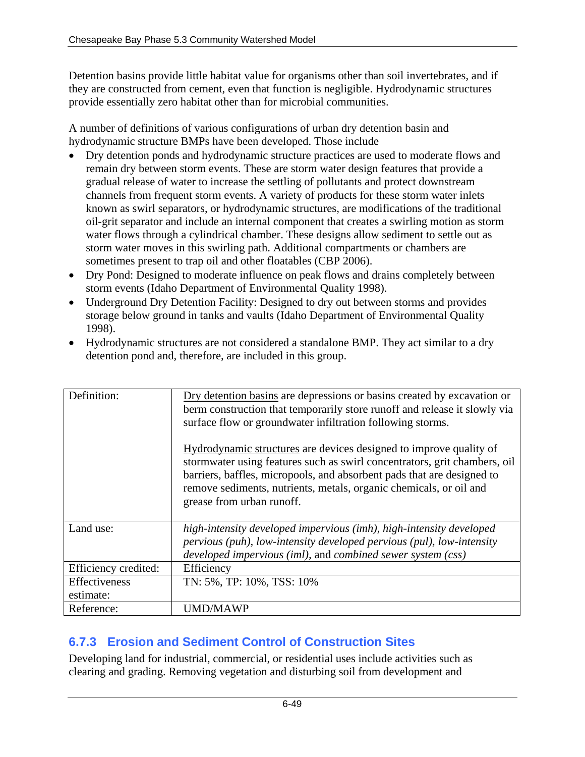Detention basins provide little habitat value for organisms other than soil invertebrates, and if they are constructed from cement, even that function is negligible. Hydrodynamic structures provide essentially zero habitat other than for microbial communities.

A number of definitions of various configurations of urban dry detention basin and hydrodynamic structure BMPs have been developed. Those include

- Dry detention ponds and hydrodynamic structure practices are used to moderate flows and remain dry between storm events. These are storm water design features that provide a gradual release of water to increase the settling of pollutants and protect downstream channels from frequent storm events. A variety of products for these storm water inlets known as swirl separators, or hydrodynamic structures, are modifications of the traditional oil-grit separator and include an internal component that creates a swirling motion as storm water flows through a cylindrical chamber. These designs allow sediment to settle out as storm water moves in this swirling path. Additional compartments or chambers are sometimes present to trap oil and other floatables (CBP 2006).
- Dry Pond: Designed to moderate influence on peak flows and drains completely between storm events (Idaho Department of Environmental Quality 1998).
- Underground Dry Detention Facility: Designed to dry out between storms and provides storage below ground in tanks and vaults (Idaho Department of Environmental Quality 1998).
- Hydrodynamic structures are not considered a standalone BMP. They act similar to a dry detention pond and, therefore, are included in this group.

| Definition:          | Dry detention basins are depressions or basins created by excavation or<br>berm construction that temporarily store runoff and release it slowly via<br>surface flow or groundwater infiltration following storms.                                                                                                           |
|----------------------|------------------------------------------------------------------------------------------------------------------------------------------------------------------------------------------------------------------------------------------------------------------------------------------------------------------------------|
|                      | Hydrodynamic structures are devices designed to improve quality of<br>stormwater using features such as swirl concentrators, grit chambers, oil<br>barriers, baffles, micropools, and absorbent pads that are designed to<br>remove sediments, nutrients, metals, organic chemicals, or oil and<br>grease from urban runoff. |
| Land use:            | high-intensity developed impervious (imh), high-intensity developed<br>pervious (puh), low-intensity developed pervious (pul), low-intensity<br>developed impervious (iml), and combined sewer system (css)                                                                                                                  |
| Efficiency credited: | Efficiency                                                                                                                                                                                                                                                                                                                   |
| Effectiveness        | TN: 5%, TP: 10%, TSS: 10%                                                                                                                                                                                                                                                                                                    |
| estimate:            |                                                                                                                                                                                                                                                                                                                              |
| Reference:           | <b>UMD/MAWP</b>                                                                                                                                                                                                                                                                                                              |

## **6.7.3 Erosion and Sediment Control of Construction Sites**

Developing land for industrial, commercial, or residential uses include activities such as clearing and grading. Removing vegetation and disturbing soil from development and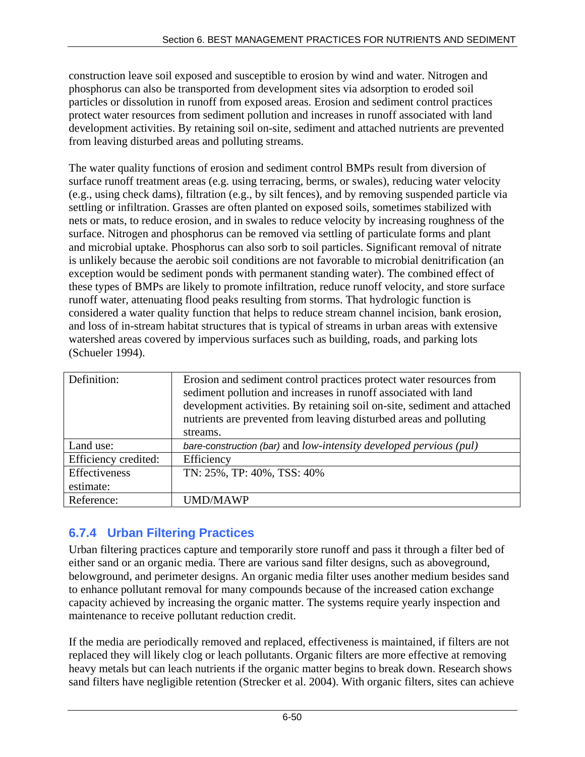construction leave soil exposed and susceptible to erosion by wind and water. Nitrogen and phosphorus can also be transported from development sites via adsorption to eroded soil particles or dissolution in runoff from exposed areas. Erosion and sediment control practices protect water resources from sediment pollution and increases in runoff associated with land development activities. By retaining soil on-site, sediment and attached nutrients are prevented from leaving disturbed areas and polluting streams.

The water quality functions of erosion and sediment control BMPs result from diversion of surface runoff treatment areas (e.g. using terracing, berms, or swales), reducing water velocity (e.g., using check dams), filtration (e.g., by silt fences), and by removing suspended particle via settling or infiltration. Grasses are often planted on exposed soils, sometimes stabilized with nets or mats, to reduce erosion, and in swales to reduce velocity by increasing roughness of the surface. Nitrogen and phosphorus can be removed via settling of particulate forms and plant and microbial uptake. Phosphorus can also sorb to soil particles. Significant removal of nitrate is unlikely because the aerobic soil conditions are not favorable to microbial denitrification (an exception would be sediment ponds with permanent standing water). The combined effect of these types of BMPs are likely to promote infiltration, reduce runoff velocity, and store surface runoff water, attenuating flood peaks resulting from storms. That hydrologic function is considered a water quality function that helps to reduce stream channel incision, bank erosion, and loss of in-stream habitat structures that is typical of streams in urban areas with extensive watershed areas covered by impervious surfaces such as building, roads, and parking lots (Schueler 1994).

| Definition:          | Erosion and sediment control practices protect water resources from<br>sediment pollution and increases in runoff associated with land<br>development activities. By retaining soil on-site, sediment and attached<br>nutrients are prevented from leaving disturbed areas and polluting<br>streams. |
|----------------------|------------------------------------------------------------------------------------------------------------------------------------------------------------------------------------------------------------------------------------------------------------------------------------------------------|
| Land use:            | bare-construction (bar) and low-intensity developed pervious (pul)                                                                                                                                                                                                                                   |
| Efficiency credited: | Efficiency                                                                                                                                                                                                                                                                                           |
| Effectiveness        | TN: 25%, TP: 40%, TSS: 40%                                                                                                                                                                                                                                                                           |
| estimate:            |                                                                                                                                                                                                                                                                                                      |
| Reference:           | UMD/MAWP                                                                                                                                                                                                                                                                                             |

## **6.7.4 Urban Filtering Practices**

Urban filtering practices capture and temporarily store runoff and pass it through a filter bed of either sand or an organic media. There are various sand filter designs, such as aboveground, belowground, and perimeter designs. An organic media filter uses another medium besides sand to enhance pollutant removal for many compounds because of the increased cation exchange capacity achieved by increasing the organic matter. The systems require yearly inspection and maintenance to receive pollutant reduction credit.

If the media are periodically removed and replaced, effectiveness is maintained, if filters are not replaced they will likely clog or leach pollutants. Organic filters are more effective at removing heavy metals but can leach nutrients if the organic matter begins to break down. Research shows sand filters have negligible retention (Strecker et al. 2004). With organic filters, sites can achieve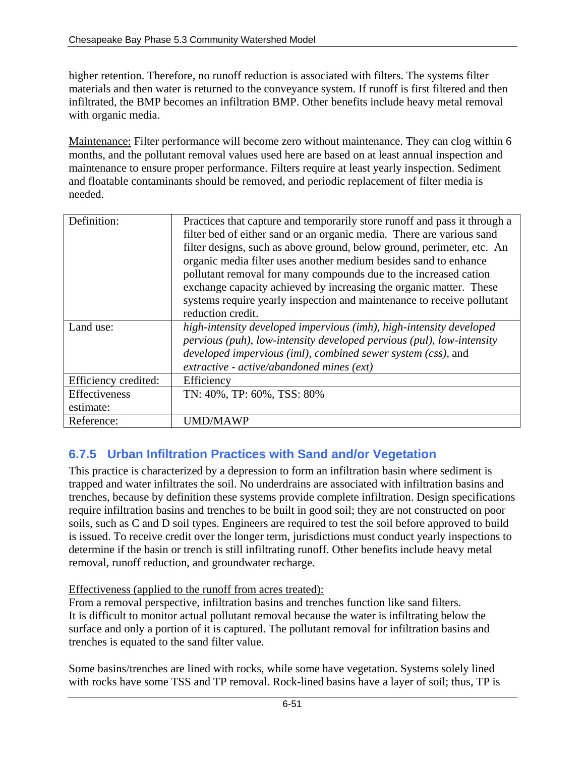higher retention. Therefore, no runoff reduction is associated with filters. The systems filter materials and then water is returned to the conveyance system. If runoff is first filtered and then infiltrated, the BMP becomes an infiltration BMP. Other benefits include heavy metal removal with organic media.

Maintenance: Filter performance will become zero without maintenance. They can clog within 6 months, and the pollutant removal values used here are based on at least annual inspection and maintenance to ensure proper performance. Filters require at least yearly inspection. Sediment and floatable contaminants should be removed, and periodic replacement of filter media is needed.

| Definition:          | Practices that capture and temporarily store runoff and pass it through a<br>filter bed of either sand or an organic media. There are various sand<br>filter designs, such as above ground, below ground, perimeter, etc. An<br>organic media filter uses another medium besides sand to enhance<br>pollutant removal for many compounds due to the increased cation<br>exchange capacity achieved by increasing the organic matter. These |
|----------------------|--------------------------------------------------------------------------------------------------------------------------------------------------------------------------------------------------------------------------------------------------------------------------------------------------------------------------------------------------------------------------------------------------------------------------------------------|
|                      | systems require yearly inspection and maintenance to receive pollutant<br>reduction credit.                                                                                                                                                                                                                                                                                                                                                |
| Land use:            | high-intensity developed impervious (imh), high-intensity developed<br>pervious (puh), low-intensity developed pervious (pul), low-intensity<br>developed impervious (iml), combined sewer system (css), and<br>extractive - active/abandoned mines (ext)                                                                                                                                                                                  |
| Efficiency credited: | Efficiency                                                                                                                                                                                                                                                                                                                                                                                                                                 |
| Effectiveness        | TN: 40%, TP: 60%, TSS: 80%                                                                                                                                                                                                                                                                                                                                                                                                                 |
| estimate:            |                                                                                                                                                                                                                                                                                                                                                                                                                                            |
| Reference:           | <b>UMD/MAWP</b>                                                                                                                                                                                                                                                                                                                                                                                                                            |

## **6.7.5 Urban Infiltration Practices with Sand and/or Vegetation**

This practice is characterized by a depression to form an infiltration basin where sediment is trapped and water infiltrates the soil. No underdrains are associated with infiltration basins and trenches, because by definition these systems provide complete infiltration. Design specifications require infiltration basins and trenches to be built in good soil; they are not constructed on poor soils, such as C and D soil types. Engineers are required to test the soil before approved to build is issued. To receive credit over the longer term, jurisdictions must conduct yearly inspections to determine if the basin or trench is still infiltrating runoff. Other benefits include heavy metal removal, runoff reduction, and groundwater recharge.

Effectiveness (applied to the runoff from acres treated):

From a removal perspective, infiltration basins and trenches function like sand filters. It is difficult to monitor actual pollutant removal because the water is infiltrating below the surface and only a portion of it is captured. The pollutant removal for infiltration basins and trenches is equated to the sand filter value.

Some basins/trenches are lined with rocks, while some have vegetation. Systems solely lined with rocks have some TSS and TP removal. Rock-lined basins have a layer of soil; thus, TP is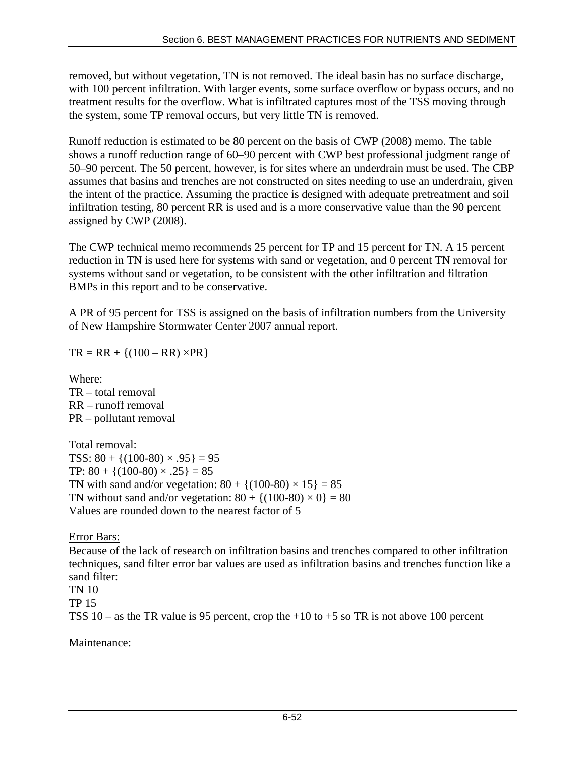removed, but without vegetation, TN is not removed. The ideal basin has no surface discharge, with 100 percent infiltration. With larger events, some surface overflow or bypass occurs, and no treatment results for the overflow. What is infiltrated captures most of the TSS moving through the system, some TP removal occurs, but very little TN is removed.

Runoff reduction is estimated to be 80 percent on the basis of CWP (2008) memo. The table shows a runoff reduction range of 60–90 percent with CWP best professional judgment range of 50–90 percent. The 50 percent, however, is for sites where an underdrain must be used. The CBP assumes that basins and trenches are not constructed on sites needing to use an underdrain, given the intent of the practice. Assuming the practice is designed with adequate pretreatment and soil infiltration testing, 80 percent RR is used and is a more conservative value than the 90 percent assigned by CWP (2008).

The CWP technical memo recommends 25 percent for TP and 15 percent for TN. A 15 percent reduction in TN is used here for systems with sand or vegetation, and 0 percent TN removal for systems without sand or vegetation, to be consistent with the other infiltration and filtration BMPs in this report and to be conservative.

A PR of 95 percent for TSS is assigned on the basis of infiltration numbers from the University of New Hampshire Stormwater Center 2007 annual report.

 $TR = RR + \{(100 - RR) \times PR\}$ 

Where: TR – total removal RR – runoff removal PR – pollutant removal

Total removal: TSS:  $80 + \{(100-80) \times .95\} = 95$ TP:  $80 + \{(100-80) \times .25\} = 85$ TN with sand and/or vegetation:  $80 + \{(100-80) \times 15\} = 85$ TN without sand and/or vegetation:  $80 + \{(100-80) \times 0\} = 80$ Values are rounded down to the nearest factor of 5

Error Bars:

Because of the lack of research on infiltration basins and trenches compared to other infiltration techniques, sand filter error bar values are used as infiltration basins and trenches function like a sand filter: TN 10 TP 15 TSS 10 – as the TR value is 95 percent, crop the  $+10$  to  $+5$  so TR is not above 100 percent

Maintenance: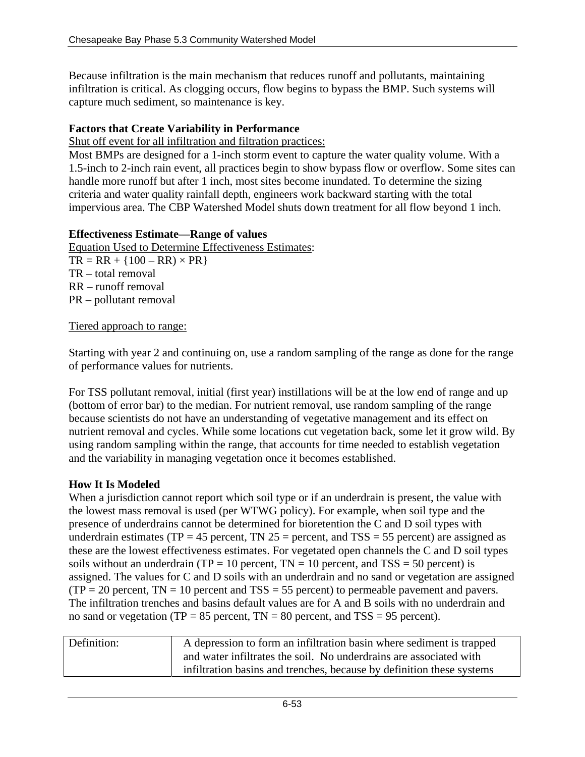Because infiltration is the main mechanism that reduces runoff and pollutants, maintaining infiltration is critical. As clogging occurs, flow begins to bypass the BMP. Such systems will capture much sediment, so maintenance is key.

#### **Factors that Create Variability in Performance**

Shut off event for all infiltration and filtration practices:

Most BMPs are designed for a 1-inch storm event to capture the water quality volume. With a 1.5-inch to 2-inch rain event, all practices begin to show bypass flow or overflow. Some sites can handle more runoff but after 1 inch, most sites become inundated. To determine the sizing criteria and water quality rainfall depth, engineers work backward starting with the total impervious area. The CBP Watershed Model shuts down treatment for all flow beyond 1 inch.

#### **Effectiveness Estimate—Range of values**

Equation Used to Determine Effectiveness Estimates:  $TR = RR + \{100 - RR) \times PR\}$ TR – total removal RR – runoff removal PR – pollutant removal

#### Tiered approach to range:

Starting with year 2 and continuing on, use a random sampling of the range as done for the range of performance values for nutrients.

For TSS pollutant removal, initial (first year) instillations will be at the low end of range and up (bottom of error bar) to the median. For nutrient removal, use random sampling of the range because scientists do not have an understanding of vegetative management and its effect on nutrient removal and cycles. While some locations cut vegetation back, some let it grow wild. By using random sampling within the range, that accounts for time needed to establish vegetation and the variability in managing vegetation once it becomes established.

#### **How It Is Modeled**

When a jurisdiction cannot report which soil type or if an underdrain is present, the value with the lowest mass removal is used (per WTWG policy). For example, when soil type and the presence of underdrains cannot be determined for bioretention the C and D soil types with underdrain estimates (TP = 45 percent, TN  $25$  = percent, and TSS = 55 percent) are assigned as these are the lowest effectiveness estimates. For vegetated open channels the C and D soil types soils without an underdrain (TP = 10 percent, TN = 10 percent, and TSS = 50 percent) is assigned. The values for C and D soils with an underdrain and no sand or vegetation are assigned  $(TP = 20$  percent,  $TN = 10$  percent and  $TSS = 55$  percent) to permeable pavement and pavers. The infiltration trenches and basins default values are for A and B soils with no underdrain and no sand or vegetation (TP = 85 percent, TN = 80 percent, and TSS = 95 percent).

| Definition: | A depression to form an infiltration basin where sediment is trapped  |
|-------------|-----------------------------------------------------------------------|
|             | and water infiltrates the soil. No underdrains are associated with    |
|             | infiltration basins and trenches, because by definition these systems |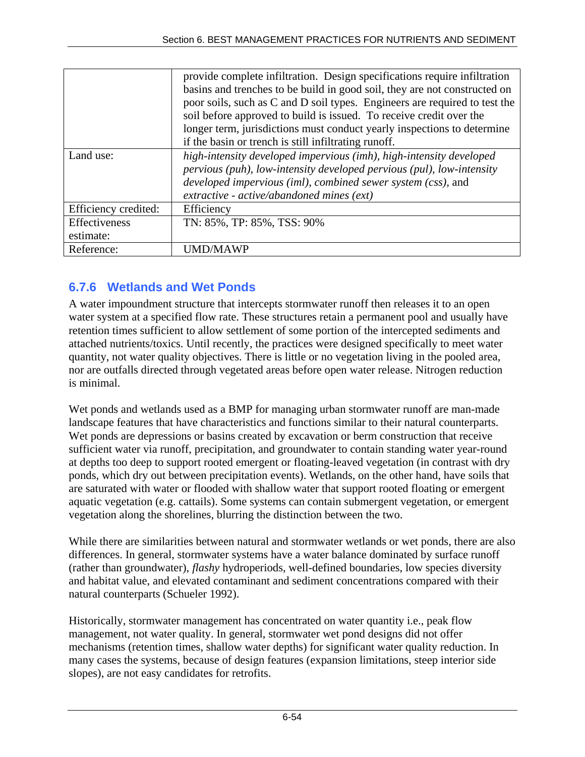|                      | provide complete infiltration. Design specifications require infiltration<br>basins and trenches to be build in good soil, they are not constructed on<br>poor soils, such as C and D soil types. Engineers are required to test the<br>soil before approved to build is issued. To receive credit over the |
|----------------------|-------------------------------------------------------------------------------------------------------------------------------------------------------------------------------------------------------------------------------------------------------------------------------------------------------------|
|                      | longer term, jurisdictions must conduct yearly inspections to determine                                                                                                                                                                                                                                     |
|                      | if the basin or trench is still infiltrating runoff.                                                                                                                                                                                                                                                        |
| Land use:            | high-intensity developed impervious (imh), high-intensity developed                                                                                                                                                                                                                                         |
|                      | pervious (puh), low-intensity developed pervious (pul), low-intensity                                                                                                                                                                                                                                       |
|                      | developed impervious (iml), combined sewer system (css), and                                                                                                                                                                                                                                                |
|                      | extractive - active/abandoned mines (ext)                                                                                                                                                                                                                                                                   |
| Efficiency credited: | Efficiency                                                                                                                                                                                                                                                                                                  |
| Effectiveness        | TN: 85%, TP: 85%, TSS: 90%                                                                                                                                                                                                                                                                                  |
| estimate:            |                                                                                                                                                                                                                                                                                                             |
| Reference:           | <b>UMD/MAWP</b>                                                                                                                                                                                                                                                                                             |

## **6.7.6 Wetlands and Wet Ponds**

A water impoundment structure that intercepts stormwater runoff then releases it to an open water system at a specified flow rate. These structures retain a permanent pool and usually have retention times sufficient to allow settlement of some portion of the intercepted sediments and attached nutrients/toxics. Until recently, the practices were designed specifically to meet water quantity, not water quality objectives. There is little or no vegetation living in the pooled area, nor are outfalls directed through vegetated areas before open water release. Nitrogen reduction is minimal.

Wet ponds and wetlands used as a BMP for managing urban stormwater runoff are man-made landscape features that have characteristics and functions similar to their natural counterparts. Wet ponds are depressions or basins created by excavation or berm construction that receive sufficient water via runoff, precipitation, and groundwater to contain standing water year-round at depths too deep to support rooted emergent or floating-leaved vegetation (in contrast with dry ponds, which dry out between precipitation events). Wetlands, on the other hand, have soils that are saturated with water or flooded with shallow water that support rooted floating or emergent aquatic vegetation (e.g. cattails). Some systems can contain submergent vegetation, or emergent vegetation along the shorelines, blurring the distinction between the two.

While there are similarities between natural and stormwater wetlands or wet ponds, there are also differences. In general, stormwater systems have a water balance dominated by surface runoff (rather than groundwater), *flashy* hydroperiods, well-defined boundaries, low species diversity and habitat value, and elevated contaminant and sediment concentrations compared with their natural counterparts (Schueler 1992).

Historically, stormwater management has concentrated on water quantity i.e., peak flow management, not water quality. In general, stormwater wet pond designs did not offer mechanisms (retention times, shallow water depths) for significant water quality reduction. In many cases the systems, because of design features (expansion limitations, steep interior side slopes), are not easy candidates for retrofits.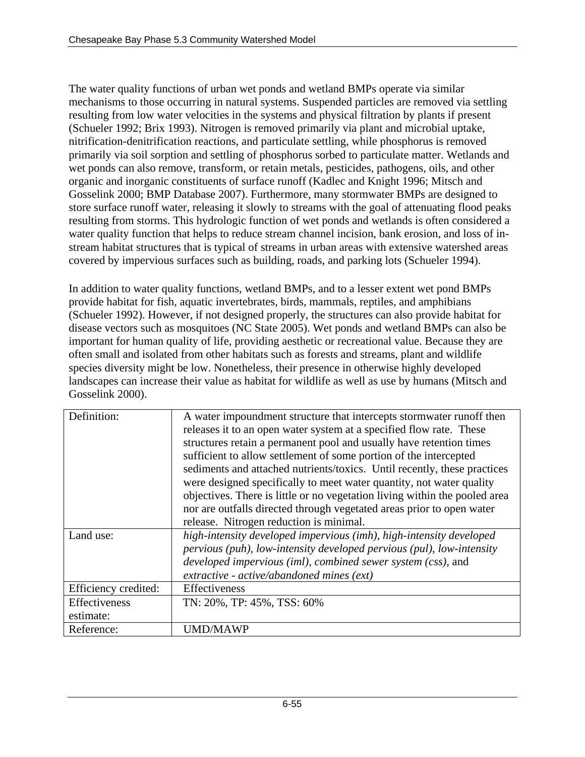The water quality functions of urban wet ponds and wetland BMPs operate via similar mechanisms to those occurring in natural systems. Suspended particles are removed via settling resulting from low water velocities in the systems and physical filtration by plants if present (Schueler 1992; Brix 1993). Nitrogen is removed primarily via plant and microbial uptake, nitrification-denitrification reactions, and particulate settling, while phosphorus is removed primarily via soil sorption and settling of phosphorus sorbed to particulate matter. Wetlands and wet ponds can also remove, transform, or retain metals, pesticides, pathogens, oils, and other organic and inorganic constituents of surface runoff (Kadlec and Knight 1996; Mitsch and Gosselink 2000; BMP Database 2007). Furthermore, many stormwater BMPs are designed to store surface runoff water, releasing it slowly to streams with the goal of attenuating flood peaks resulting from storms. This hydrologic function of wet ponds and wetlands is often considered a water quality function that helps to reduce stream channel incision, bank erosion, and loss of instream habitat structures that is typical of streams in urban areas with extensive watershed areas covered by impervious surfaces such as building, roads, and parking lots (Schueler 1994).

In addition to water quality functions, wetland BMPs, and to a lesser extent wet pond BMPs provide habitat for fish, aquatic invertebrates, birds, mammals, reptiles, and amphibians (Schueler 1992). However, if not designed properly, the structures can also provide habitat for disease vectors such as mosquitoes (NC State 2005). Wet ponds and wetland BMPs can also be important for human quality of life, providing aesthetic or recreational value. Because they are often small and isolated from other habitats such as forests and streams, plant and wildlife species diversity might be low. Nonetheless, their presence in otherwise highly developed landscapes can increase their value as habitat for wildlife as well as use by humans (Mitsch and Gosselink 2000).

| Definition:          | A water impoundment structure that intercepts stormwater runoff then       |
|----------------------|----------------------------------------------------------------------------|
|                      | releases it to an open water system at a specified flow rate. These        |
|                      | structures retain a permanent pool and usually have retention times        |
|                      | sufficient to allow settlement of some portion of the intercepted          |
|                      | sediments and attached nutrients/toxics. Until recently, these practices   |
|                      | were designed specifically to meet water quantity, not water quality       |
|                      | objectives. There is little or no vegetation living within the pooled area |
|                      | nor are outfalls directed through vegetated areas prior to open water      |
|                      | release. Nitrogen reduction is minimal.                                    |
| Land use:            | high-intensity developed impervious (imh), high-intensity developed        |
|                      | pervious (puh), low-intensity developed pervious (pul), low-intensity      |
|                      | developed impervious (iml), combined sewer system (css), and               |
|                      | extractive - active/abandoned mines (ext)                                  |
| Efficiency credited: | Effectiveness                                                              |
| Effectiveness        | TN: 20%, TP: 45%, TSS: 60%                                                 |
| estimate:            |                                                                            |
| Reference:           | UMD/MAWP                                                                   |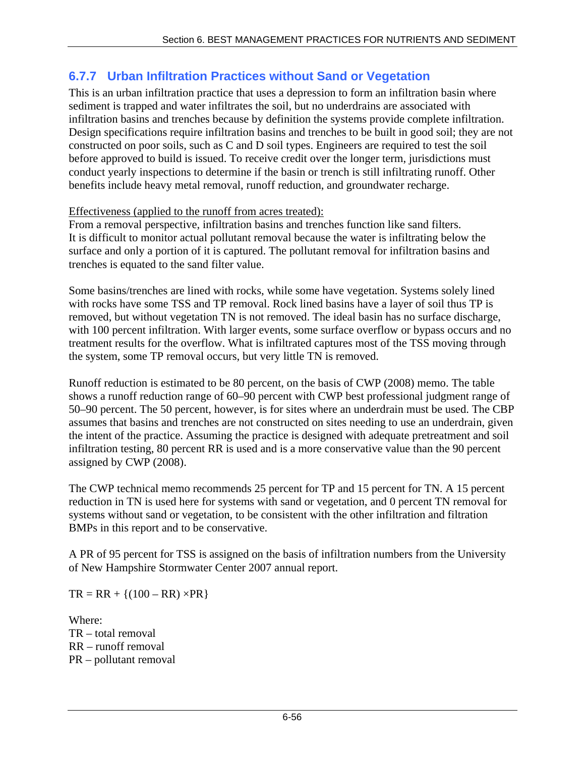## **6.7.7 Urban Infiltration Practices without Sand or Vegetation**

This is an urban infiltration practice that uses a depression to form an infiltration basin where sediment is trapped and water infiltrates the soil, but no underdrains are associated with infiltration basins and trenches because by definition the systems provide complete infiltration. Design specifications require infiltration basins and trenches to be built in good soil; they are not constructed on poor soils, such as C and D soil types. Engineers are required to test the soil before approved to build is issued. To receive credit over the longer term, jurisdictions must conduct yearly inspections to determine if the basin or trench is still infiltrating runoff. Other benefits include heavy metal removal, runoff reduction, and groundwater recharge.

#### Effectiveness (applied to the runoff from acres treated):

From a removal perspective, infiltration basins and trenches function like sand filters. It is difficult to monitor actual pollutant removal because the water is infiltrating below the surface and only a portion of it is captured. The pollutant removal for infiltration basins and trenches is equated to the sand filter value.

Some basins/trenches are lined with rocks, while some have vegetation. Systems solely lined with rocks have some TSS and TP removal. Rock lined basins have a layer of soil thus TP is removed, but without vegetation TN is not removed. The ideal basin has no surface discharge, with 100 percent infiltration. With larger events, some surface overflow or bypass occurs and no treatment results for the overflow. What is infiltrated captures most of the TSS moving through the system, some TP removal occurs, but very little TN is removed.

Runoff reduction is estimated to be 80 percent, on the basis of CWP (2008) memo. The table shows a runoff reduction range of 60–90 percent with CWP best professional judgment range of 50–90 percent. The 50 percent, however, is for sites where an underdrain must be used. The CBP assumes that basins and trenches are not constructed on sites needing to use an underdrain, given the intent of the practice. Assuming the practice is designed with adequate pretreatment and soil infiltration testing, 80 percent RR is used and is a more conservative value than the 90 percent assigned by CWP (2008).

The CWP technical memo recommends 25 percent for TP and 15 percent for TN. A 15 percent reduction in TN is used here for systems with sand or vegetation, and 0 percent TN removal for systems without sand or vegetation, to be consistent with the other infiltration and filtration BMPs in this report and to be conservative.

A PR of 95 percent for TSS is assigned on the basis of infiltration numbers from the University of New Hampshire Stormwater Center 2007 annual report.

 $TR = RR + \{(100 - RR) \times PR\}$ 

Where: TR – total removal RR – runoff removal PR – pollutant removal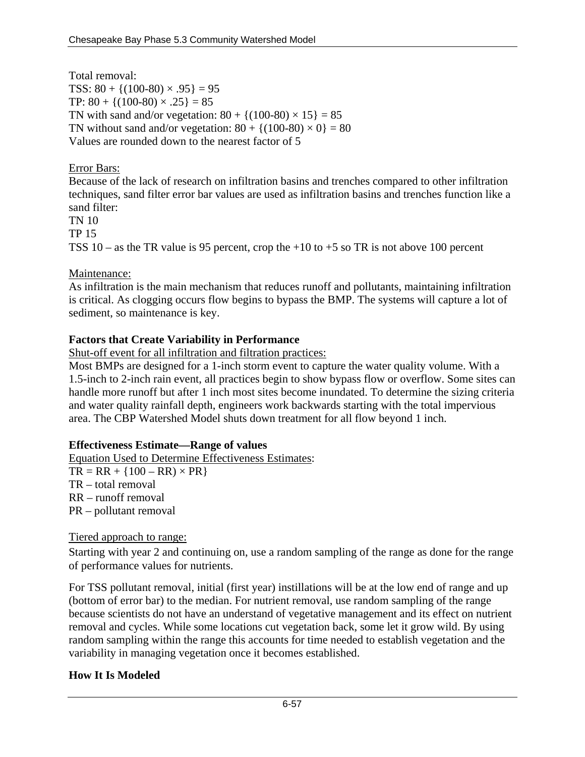Total removal: TSS:  $80 + \{(100-80) \times .95\} = 95$ TP:  $80 + \{(100-80) \times .25\} = 85$ TN with sand and/or vegetation:  $80 + \{(100-80) \times 15\} = 85$ TN without sand and/or vegetation:  $80 + \{(100-80) \times 0\} = 80$ Values are rounded down to the nearest factor of 5

#### Error Bars:

Because of the lack of research on infiltration basins and trenches compared to other infiltration techniques, sand filter error bar values are used as infiltration basins and trenches function like a sand filter:

TN 10 TP 15 TSS 10 – as the TR value is 95 percent, crop the +10 to +5 so TR is not above 100 percent

#### Maintenance:

As infiltration is the main mechanism that reduces runoff and pollutants, maintaining infiltration is critical. As clogging occurs flow begins to bypass the BMP. The systems will capture a lot of sediment, so maintenance is key.

#### **Factors that Create Variability in Performance**

Shut-off event for all infiltration and filtration practices:

Most BMPs are designed for a 1-inch storm event to capture the water quality volume. With a 1.5-inch to 2-inch rain event, all practices begin to show bypass flow or overflow. Some sites can handle more runoff but after 1 inch most sites become inundated. To determine the sizing criteria and water quality rainfall depth, engineers work backwards starting with the total impervious area. The CBP Watershed Model shuts down treatment for all flow beyond 1 inch.

#### **Effectiveness Estimate—Range of values**

Equation Used to Determine Effectiveness Estimates:  $TR = RR + \{100 - RR) \times PR\}$ TR – total removal

RR – runoff removal

PR – pollutant removal

#### Tiered approach to range:

Starting with year 2 and continuing on, use a random sampling of the range as done for the range of performance values for nutrients.

For TSS pollutant removal, initial (first year) instillations will be at the low end of range and up (bottom of error bar) to the median. For nutrient removal, use random sampling of the range because scientists do not have an understand of vegetative management and its effect on nutrient removal and cycles. While some locations cut vegetation back, some let it grow wild. By using random sampling within the range this accounts for time needed to establish vegetation and the variability in managing vegetation once it becomes established.

#### **How It Is Modeled**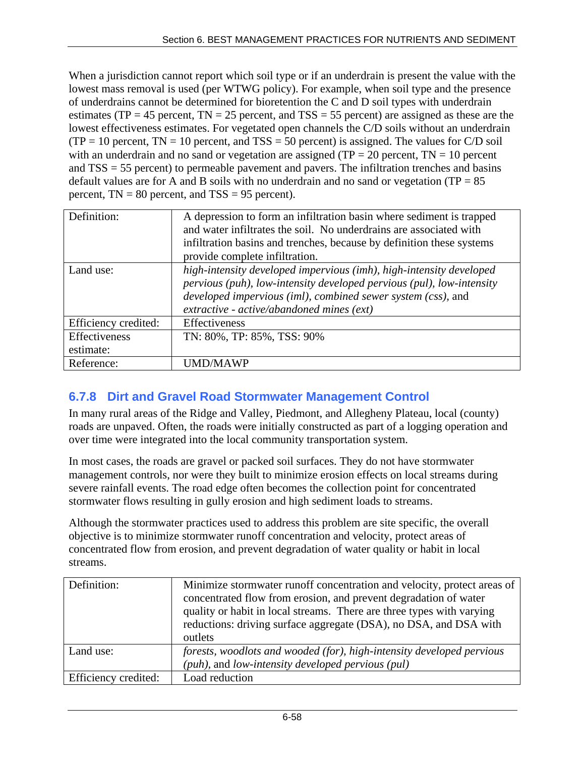When a jurisdiction cannot report which soil type or if an underdrain is present the value with the lowest mass removal is used (per WTWG policy). For example, when soil type and the presence of underdrains cannot be determined for bioretention the C and D soil types with underdrain estimates (TP = 45 percent, TN = 25 percent, and TSS = 55 percent) are assigned as these are the lowest effectiveness estimates. For vegetated open channels the C/D soils without an underdrain  $(TP = 10$  percent,  $TN = 10$  percent, and  $TSS = 50$  percent) is assigned. The values for C/D soil with an underdrain and no sand or vegetation are assigned ( $TP = 20$  percent,  $TN = 10$  percent and TSS = 55 percent) to permeable pavement and pavers. The infiltration trenches and basins default values are for A and B soils with no underdrain and no sand or vegetation ( $TP = 85$ ) percent,  $TN = 80$  percent, and  $TSS = 95$  percent).

| Definition:          | A depression to form an infiltration basin where sediment is trapped<br>and water infiltrates the soil. No underdrains are associated with<br>infiltration basins and trenches, because by definition these systems<br>provide complete infiltration.     |
|----------------------|-----------------------------------------------------------------------------------------------------------------------------------------------------------------------------------------------------------------------------------------------------------|
| Land use:            | high-intensity developed impervious (imh), high-intensity developed<br>pervious (puh), low-intensity developed pervious (pul), low-intensity<br>developed impervious (iml), combined sewer system (css), and<br>extractive - active/abandoned mines (ext) |
| Efficiency credited: | Effectiveness                                                                                                                                                                                                                                             |
| Effectiveness        | TN: 80%, TP: 85%, TSS: 90%                                                                                                                                                                                                                                |
| estimate:            |                                                                                                                                                                                                                                                           |
| Reference:           | <b>UMD/MAWP</b>                                                                                                                                                                                                                                           |

## **6.7.8 Dirt and Gravel Road Stormwater Management Control**

In many rural areas of the Ridge and Valley, Piedmont, and Allegheny Plateau, local (county) roads are unpaved. Often, the roads were initially constructed as part of a logging operation and over time were integrated into the local community transportation system.

In most cases, the roads are gravel or packed soil surfaces. They do not have stormwater management controls, nor were they built to minimize erosion effects on local streams during severe rainfall events. The road edge often becomes the collection point for concentrated stormwater flows resulting in gully erosion and high sediment loads to streams.

Although the stormwater practices used to address this problem are site specific, the overall objective is to minimize stormwater runoff concentration and velocity, protect areas of concentrated flow from erosion, and prevent degradation of water quality or habit in local streams.

| Definition:          | Minimize stormwater runoff concentration and velocity, protect areas of<br>concentrated flow from erosion, and prevent degradation of water<br>quality or habit in local streams. There are three types with varying<br>reductions: driving surface aggregate (DSA), no DSA, and DSA with<br>outlets |
|----------------------|------------------------------------------------------------------------------------------------------------------------------------------------------------------------------------------------------------------------------------------------------------------------------------------------------|
| Land use:            | forests, woodlots and wooded (for), high-intensity developed pervious<br>(puh), and low-intensity developed pervious (pul)                                                                                                                                                                           |
| Efficiency credited: | Load reduction                                                                                                                                                                                                                                                                                       |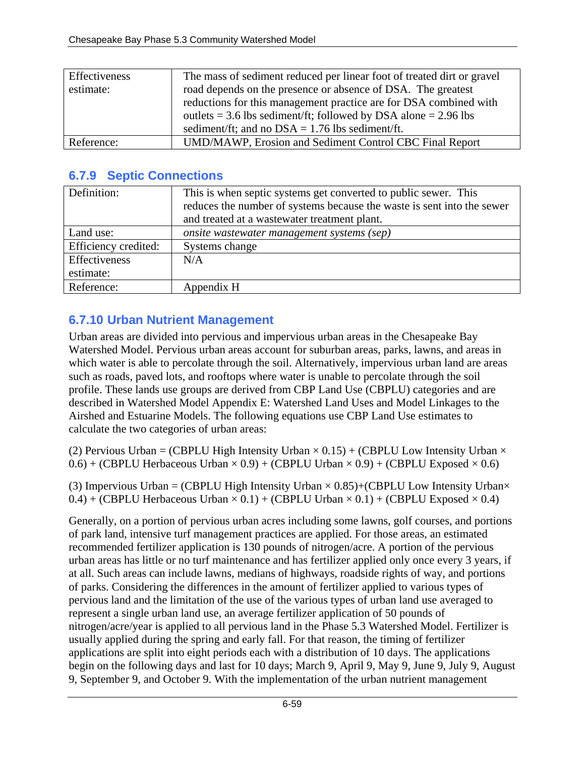| Effectiveness | The mass of sediment reduced per linear foot of treated dirt or gravel |
|---------------|------------------------------------------------------------------------|
| estimate:     | road depends on the presence or absence of DSA. The greatest           |
|               | reductions for this management practice are for DSA combined with      |
|               | outlets = 3.6 lbs sediment/ft; followed by DSA alone = 2.96 lbs        |
|               | sediment/ft; and no $DSA = 1.76$ lbs sediment/ft.                      |
| Reference:    | UMD/MAWP, Erosion and Sediment Control CBC Final Report                |

## **6.7.9 Septic Connections**

| Definition:          | This is when septic systems get converted to public sewer. This        |
|----------------------|------------------------------------------------------------------------|
|                      | reduces the number of systems because the waste is sent into the sewer |
|                      | and treated at a wastewater treatment plant.                           |
| Land use:            | onsite wastewater management systems (sep)                             |
| Efficiency credited: | Systems change                                                         |
| Effectiveness        | N/A                                                                    |
| estimate:            |                                                                        |
| Reference:           | Appendix H                                                             |

## **6.7.10 Urban Nutrient Management**

Urban areas are divided into pervious and impervious urban areas in the Chesapeake Bay Watershed Model. Pervious urban areas account for suburban areas, parks, lawns, and areas in which water is able to percolate through the soil. Alternatively, impervious urban land are areas such as roads, paved lots, and rooftops where water is unable to percolate through the soil profile. These lands use groups are derived from CBP Land Use (CBPLU) categories and are described in Watershed Model Appendix E: Watershed Land Uses and Model Linkages to the Airshed and Estuarine Models. The following equations use CBP Land Use estimates to calculate the two categories of urban areas:

(2) Pervious Urban = (CBPLU High Intensity Urban  $\times$  0.15) + (CBPLU Low Intensity Urban  $\times$  $(0.6) + (CBPLU Herbaceous Urban \times 0.9) + (CBPLU Urban \times 0.9) + (CBPLU Exposed \times 0.6)$ 

(3) Impervious Urban = (CBPLU High Intensity Urban  $\times$  0.85)+(CBPLU Low Intensity Urban $\times$  $(0.4) + (CBPLU Herbaceous Urban \times 0.1) + (CBPLU Urban \times 0.1) + (CBPLU Exposed \times 0.4)$ 

Generally, on a portion of pervious urban acres including some lawns, golf courses, and portions of park land, intensive turf management practices are applied. For those areas, an estimated recommended fertilizer application is 130 pounds of nitrogen/acre. A portion of the pervious urban areas has little or no turf maintenance and has fertilizer applied only once every 3 years, if at all. Such areas can include lawns, medians of highways, roadside rights of way, and portions of parks. Considering the differences in the amount of fertilizer applied to various types of pervious land and the limitation of the use of the various types of urban land use averaged to represent a single urban land use, an average fertilizer application of 50 pounds of nitrogen/acre/year is applied to all pervious land in the Phase 5.3 Watershed Model. Fertilizer is usually applied during the spring and early fall. For that reason, the timing of fertilizer applications are split into eight periods each with a distribution of 10 days. The applications begin on the following days and last for 10 days; March 9, April 9, May 9, June 9, July 9, August 9, September 9, and October 9. With the implementation of the urban nutrient management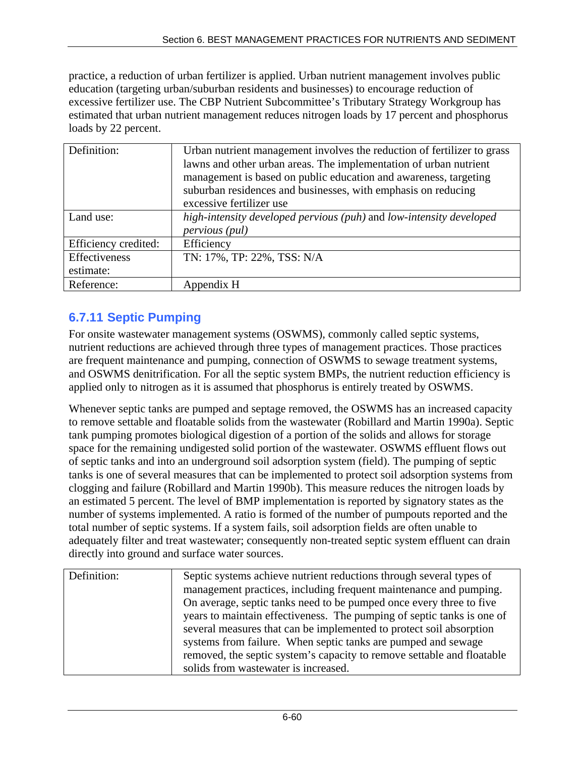practice, a reduction of urban fertilizer is applied. Urban nutrient management involves public education (targeting urban/suburban residents and businesses) to encourage reduction of excessive fertilizer use. The CBP Nutrient Subcommittee's Tributary Strategy Workgroup has estimated that urban nutrient management reduces nitrogen loads by 17 percent and phosphorus loads by 22 percent.

| Definition:          | Urban nutrient management involves the reduction of fertilizer to grass<br>lawns and other urban areas. The implementation of urban nutrient<br>management is based on public education and awareness, targeting<br>suburban residences and businesses, with emphasis on reducing<br>excessive fertilizer use |
|----------------------|---------------------------------------------------------------------------------------------------------------------------------------------------------------------------------------------------------------------------------------------------------------------------------------------------------------|
| Land use:            | high-intensity developed pervious (puh) and low-intensity developed                                                                                                                                                                                                                                           |
|                      | <i>pervious</i> ( <i>pul</i> )                                                                                                                                                                                                                                                                                |
| Efficiency credited: | Efficiency                                                                                                                                                                                                                                                                                                    |
| Effectiveness        | TN: 17%, TP: 22%, TSS: N/A                                                                                                                                                                                                                                                                                    |
| estimate:            |                                                                                                                                                                                                                                                                                                               |
| Reference:           | Appendix H                                                                                                                                                                                                                                                                                                    |

## **6.7.11 Septic Pumping**

For onsite wastewater management systems (OSWMS), commonly called septic systems, nutrient reductions are achieved through three types of management practices. Those practices are frequent maintenance and pumping, connection of OSWMS to sewage treatment systems, and OSWMS denitrification. For all the septic system BMPs, the nutrient reduction efficiency is applied only to nitrogen as it is assumed that phosphorus is entirely treated by OSWMS.

Whenever septic tanks are pumped and septage removed, the OSWMS has an increased capacity to remove settable and floatable solids from the wastewater (Robillard and Martin 1990a). Septic tank pumping promotes biological digestion of a portion of the solids and allows for storage space for the remaining undigested solid portion of the wastewater. OSWMS effluent flows out of septic tanks and into an underground soil adsorption system (field). The pumping of septic tanks is one of several measures that can be implemented to protect soil adsorption systems from clogging and failure (Robillard and Martin 1990b). This measure reduces the nitrogen loads by an estimated 5 percent. The level of BMP implementation is reported by signatory states as the number of systems implemented. A ratio is formed of the number of pumpouts reported and the total number of septic systems. If a system fails, soil adsorption fields are often unable to adequately filter and treat wastewater; consequently non-treated septic system effluent can drain directly into ground and surface water sources.

| Definition: | Septic systems achieve nutrient reductions through several types of    |
|-------------|------------------------------------------------------------------------|
|             | management practices, including frequent maintenance and pumping.      |
|             | On average, septic tanks need to be pumped once every three to five    |
|             | years to maintain effectiveness. The pumping of septic tanks is one of |
|             | several measures that can be implemented to protect soil absorption    |
|             | systems from failure. When septic tanks are pumped and sewage          |
|             | removed, the septic system's capacity to remove settable and floatable |
|             | solids from wastewater is increased.                                   |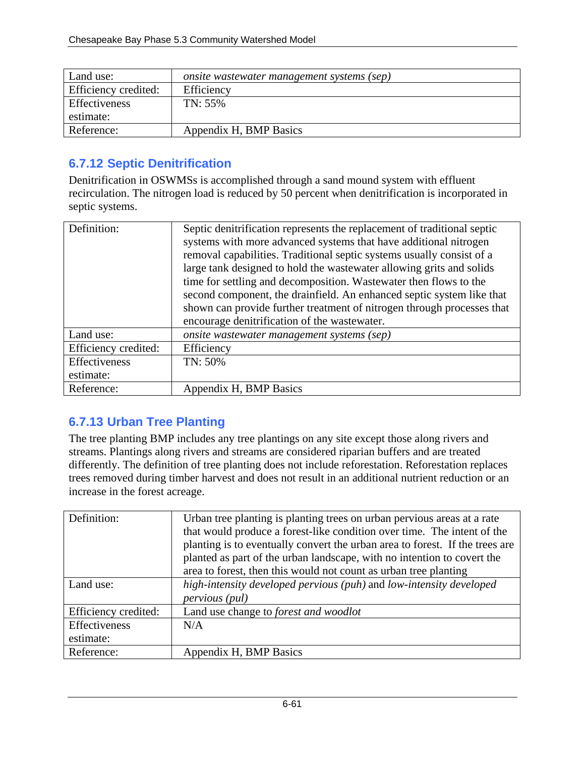| Land use:            | onsite wastewater management systems (sep) |
|----------------------|--------------------------------------------|
| Efficiency credited: | Efficiency                                 |
| Effectiveness        | TN: 55%                                    |
| estimate:            |                                            |
| Reference:           | Appendix H, BMP Basics                     |

## **6.7.12 Septic Denitrification**

Denitrification in OSWMSs is accomplished through a sand mound system with effluent recirculation. The nitrogen load is reduced by 50 percent when denitrification is incorporated in septic systems.

| Definition:          | Septic denitrification represents the replacement of traditional septic<br>systems with more advanced systems that have additional nitrogen<br>removal capabilities. Traditional septic systems usually consist of a<br>large tank designed to hold the wastewater allowing grits and solids<br>time for settling and decomposition. Wastewater then flows to the<br>second component, the drainfield. An enhanced septic system like that<br>shown can provide further treatment of nitrogen through processes that<br>encourage denitrification of the wastewater. |
|----------------------|----------------------------------------------------------------------------------------------------------------------------------------------------------------------------------------------------------------------------------------------------------------------------------------------------------------------------------------------------------------------------------------------------------------------------------------------------------------------------------------------------------------------------------------------------------------------|
| Land use:            | onsite wastewater management systems (sep)                                                                                                                                                                                                                                                                                                                                                                                                                                                                                                                           |
| Efficiency credited: | Efficiency                                                                                                                                                                                                                                                                                                                                                                                                                                                                                                                                                           |
| Effectiveness        | TN: 50%                                                                                                                                                                                                                                                                                                                                                                                                                                                                                                                                                              |
| estimate:            |                                                                                                                                                                                                                                                                                                                                                                                                                                                                                                                                                                      |
| Reference:           | Appendix H, BMP Basics                                                                                                                                                                                                                                                                                                                                                                                                                                                                                                                                               |

## **6.7.13 Urban Tree Planting**

The tree planting BMP includes any tree plantings on any site except those along rivers and streams. Plantings along rivers and streams are considered riparian buffers and are treated differently. The definition of tree planting does not include reforestation. Reforestation replaces trees removed during timber harvest and does not result in an additional nutrient reduction or an increase in the forest acreage.

| Definition:          | Urban tree planting is planting trees on urban pervious areas at a rate<br>that would produce a forest-like condition over time. The intent of the<br>planting is to eventually convert the urban area to forest. If the trees are<br>planted as part of the urban landscape, with no intention to covert the<br>area to forest, then this would not count as urban tree planting |
|----------------------|-----------------------------------------------------------------------------------------------------------------------------------------------------------------------------------------------------------------------------------------------------------------------------------------------------------------------------------------------------------------------------------|
| Land use:            | high-intensity developed pervious (puh) and low-intensity developed<br><i>pervious (pul)</i>                                                                                                                                                                                                                                                                                      |
|                      |                                                                                                                                                                                                                                                                                                                                                                                   |
| Efficiency credited: | Land use change to <i>forest and woodlot</i>                                                                                                                                                                                                                                                                                                                                      |
| Effectiveness        | N/A                                                                                                                                                                                                                                                                                                                                                                               |
| estimate:            |                                                                                                                                                                                                                                                                                                                                                                                   |
| Reference:           | Appendix H, BMP Basics                                                                                                                                                                                                                                                                                                                                                            |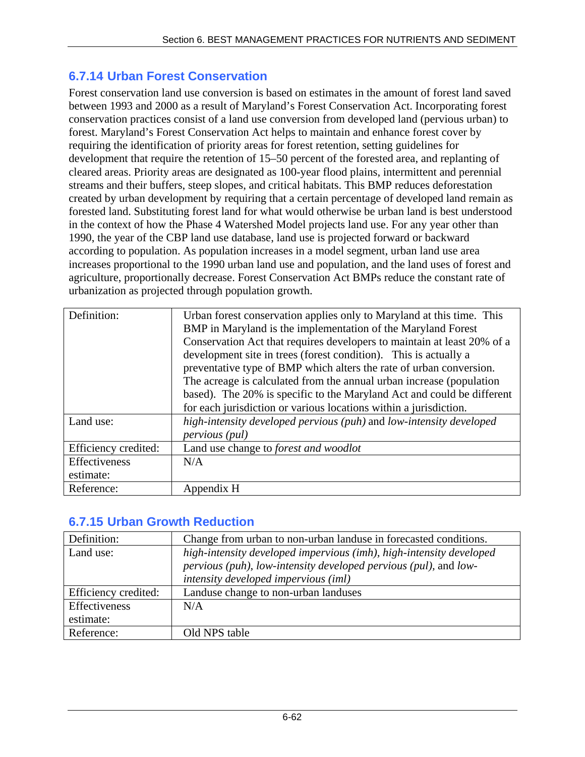## **6.7.14 Urban Forest Conservation**

Forest conservation land use conversion is based on estimates in the amount of forest land saved between 1993 and 2000 as a result of Maryland's Forest Conservation Act. Incorporating forest conservation practices consist of a land use conversion from developed land (pervious urban) to forest. Maryland's Forest Conservation Act helps to maintain and enhance forest cover by requiring the identification of priority areas for forest retention, setting guidelines for development that require the retention of 15–50 percent of the forested area, and replanting of cleared areas. Priority areas are designated as 100-year flood plains, intermittent and perennial streams and their buffers, steep slopes, and critical habitats. This BMP reduces deforestation created by urban development by requiring that a certain percentage of developed land remain as forested land. Substituting forest land for what would otherwise be urban land is best understood in the context of how the Phase 4 Watershed Model projects land use. For any year other than 1990, the year of the CBP land use database, land use is projected forward or backward according to population. As population increases in a model segment, urban land use area increases proportional to the 1990 urban land use and population, and the land uses of forest and agriculture, proportionally decrease. Forest Conservation Act BMPs reduce the constant rate of urbanization as projected through population growth.

| Definition:          | Urban forest conservation applies only to Maryland at this time. This   |
|----------------------|-------------------------------------------------------------------------|
|                      | BMP in Maryland is the implementation of the Maryland Forest            |
|                      | Conservation Act that requires developers to maintain at least 20% of a |
|                      | development site in trees (forest condition). This is actually a        |
|                      | preventative type of BMP which alters the rate of urban conversion.     |
|                      | The acreage is calculated from the annual urban increase (population    |
|                      | based). The 20% is specific to the Maryland Act and could be different  |
|                      | for each jurisdiction or various locations within a jurisdiction.       |
| Land use:            | high-intensity developed pervious (puh) and low-intensity developed     |
|                      | <i>pervious (pul)</i>                                                   |
| Efficiency credited: | Land use change to <i>forest and woodlot</i>                            |
| Effectiveness        | N/A                                                                     |
| estimate:            |                                                                         |
| Reference:           | Appendix H                                                              |

### **6.7.15 Urban Growth Reduction**

| Definition:          | Change from urban to non-urban landuse in forecasted conditions.    |
|----------------------|---------------------------------------------------------------------|
| Land use:            | high-intensity developed impervious (imh), high-intensity developed |
|                      | pervious (puh), low-intensity developed pervious (pul), and low-    |
|                      | <i>intensity developed impervious (iml)</i>                         |
| Efficiency credited: | Landuse change to non-urban landuses                                |
| Effectiveness        | N/A                                                                 |
| estimate:            |                                                                     |
| Reference:           | Old NPS table                                                       |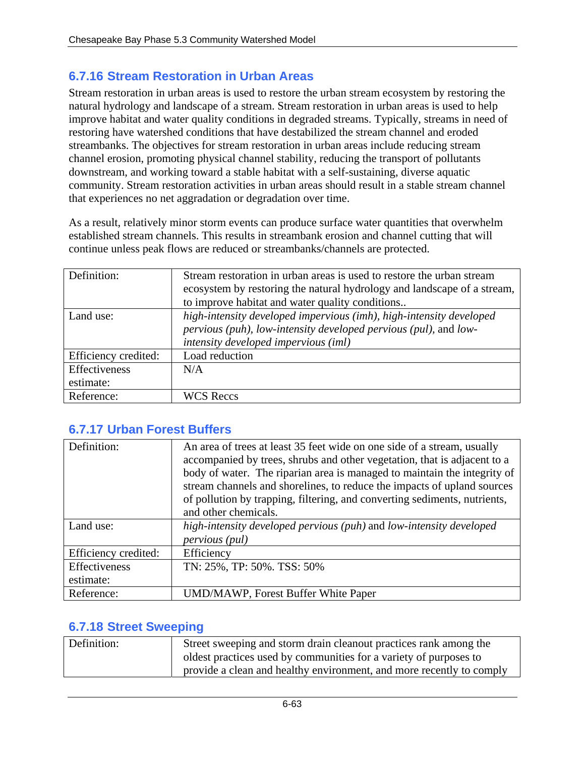## **6.7.16 Stream Restoration in Urban Areas**

Stream restoration in urban areas is used to restore the urban stream ecosystem by restoring the natural hydrology and landscape of a stream. Stream restoration in urban areas is used to help improve habitat and water quality conditions in degraded streams. Typically, streams in need of restoring have watershed conditions that have destabilized the stream channel and eroded streambanks. The objectives for stream restoration in urban areas include reducing stream channel erosion, promoting physical channel stability, reducing the transport of pollutants downstream, and working toward a stable habitat with a self-sustaining, diverse aquatic community. Stream restoration activities in urban areas should result in a stable stream channel that experiences no net aggradation or degradation over time.

As a result, relatively minor storm events can produce surface water quantities that overwhelm established stream channels. This results in streambank erosion and channel cutting that will continue unless peak flows are reduced or streambanks/channels are protected.

| Definition:          | Stream restoration in urban areas is used to restore the urban stream<br>ecosystem by restoring the natural hydrology and landscape of a stream,<br>to improve habitat and water quality conditions |
|----------------------|-----------------------------------------------------------------------------------------------------------------------------------------------------------------------------------------------------|
| Land use:            | high-intensity developed impervious (imh), high-intensity developed<br>pervious (puh), low-intensity developed pervious (pul), and low-<br>intensity developed impervious (iml)                     |
| Efficiency credited: | Load reduction                                                                                                                                                                                      |
| Effectiveness        | N/A                                                                                                                                                                                                 |
| estimate:            |                                                                                                                                                                                                     |
| Reference:           | <b>WCS Reccs</b>                                                                                                                                                                                    |

## **6.7.17 Urban Forest Buffers**

| Definition:          | An area of trees at least 35 feet wide on one side of a stream, usually<br>accompanied by trees, shrubs and other vegetation, that is adjacent to a<br>body of water. The riparian area is managed to maintain the integrity of<br>stream channels and shorelines, to reduce the impacts of upland sources<br>of pollution by trapping, filtering, and converting sediments, nutrients,<br>and other chemicals. |
|----------------------|-----------------------------------------------------------------------------------------------------------------------------------------------------------------------------------------------------------------------------------------------------------------------------------------------------------------------------------------------------------------------------------------------------------------|
| Land use:            | high-intensity developed pervious (puh) and low-intensity developed<br><i>pervious (pul)</i>                                                                                                                                                                                                                                                                                                                    |
| Efficiency credited: | Efficiency                                                                                                                                                                                                                                                                                                                                                                                                      |
| Effectiveness        | TN: 25%, TP: 50%. TSS: 50%                                                                                                                                                                                                                                                                                                                                                                                      |
| estimate:            |                                                                                                                                                                                                                                                                                                                                                                                                                 |
| Reference:           | UMD/MAWP, Forest Buffer White Paper                                                                                                                                                                                                                                                                                                                                                                             |

## **6.7.18 Street Sweeping**

| Definition: | Street sweeping and storm drain cleanout practices rank among the    |
|-------------|----------------------------------------------------------------------|
|             | oldest practices used by communities for a variety of purposes to    |
|             | provide a clean and healthy environment, and more recently to comply |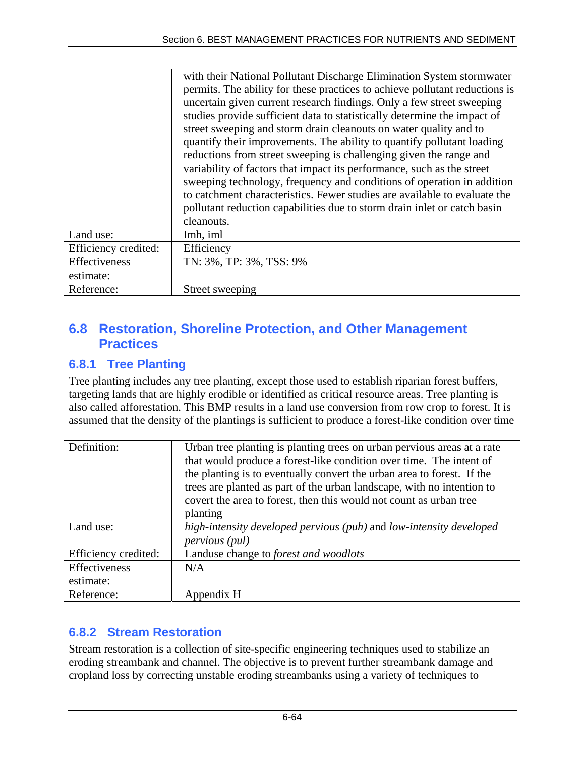|                            | with their National Pollutant Discharge Elimination System stormwater<br>permits. The ability for these practices to achieve pollutant reductions is<br>uncertain given current research findings. Only a few street sweeping<br>studies provide sufficient data to statistically determine the impact of<br>street sweeping and storm drain cleanouts on water quality and to<br>quantify their improvements. The ability to quantify pollutant loading<br>reductions from street sweeping is challenging given the range and<br>variability of factors that impact its performance, such as the street<br>sweeping technology, frequency and conditions of operation in addition<br>to catchment characteristics. Fewer studies are available to evaluate the<br>pollutant reduction capabilities due to storm drain inlet or catch basin |
|----------------------------|---------------------------------------------------------------------------------------------------------------------------------------------------------------------------------------------------------------------------------------------------------------------------------------------------------------------------------------------------------------------------------------------------------------------------------------------------------------------------------------------------------------------------------------------------------------------------------------------------------------------------------------------------------------------------------------------------------------------------------------------------------------------------------------------------------------------------------------------|
|                            | cleanouts.                                                                                                                                                                                                                                                                                                                                                                                                                                                                                                                                                                                                                                                                                                                                                                                                                                  |
| Land use:                  | Imh, iml                                                                                                                                                                                                                                                                                                                                                                                                                                                                                                                                                                                                                                                                                                                                                                                                                                    |
| Efficiency credited:       | Efficiency                                                                                                                                                                                                                                                                                                                                                                                                                                                                                                                                                                                                                                                                                                                                                                                                                                  |
| Effectiveness<br>estimate: | TN: 3%, TP: 3%, TSS: 9%                                                                                                                                                                                                                                                                                                                                                                                                                                                                                                                                                                                                                                                                                                                                                                                                                     |
|                            |                                                                                                                                                                                                                                                                                                                                                                                                                                                                                                                                                                                                                                                                                                                                                                                                                                             |
| Reference:                 | Street sweeping                                                                                                                                                                                                                                                                                                                                                                                                                                                                                                                                                                                                                                                                                                                                                                                                                             |

## **6.8 Restoration, Shoreline Protection, and Other Management Practices**

## **6.8.1 Tree Planting**

Tree planting includes any tree planting, except those used to establish riparian forest buffers, targeting lands that are highly erodible or identified as critical resource areas. Tree planting is also called afforestation. This BMP results in a land use conversion from row crop to forest. It is assumed that the density of the plantings is sufficient to produce a forest-like condition over time

| Definition:          | Urban tree planting is planting trees on urban pervious areas at a rate<br>that would produce a forest-like condition over time. The intent of<br>the planting is to eventually convert the urban area to forest. If the |  |  |  |  |
|----------------------|--------------------------------------------------------------------------------------------------------------------------------------------------------------------------------------------------------------------------|--|--|--|--|
|                      | trees are planted as part of the urban landscape, with no intention to<br>covert the area to forest, then this would not count as urban tree<br>planting                                                                 |  |  |  |  |
| Land use:            | high-intensity developed pervious (puh) and low-intensity developed<br><i>pervious (pul)</i>                                                                                                                             |  |  |  |  |
| Efficiency credited: | Landuse change to <i>forest and woodlots</i>                                                                                                                                                                             |  |  |  |  |
| Effectiveness        | N/A                                                                                                                                                                                                                      |  |  |  |  |
| estimate:            |                                                                                                                                                                                                                          |  |  |  |  |
| Reference:           | Appendix H                                                                                                                                                                                                               |  |  |  |  |

## **6.8.2 Stream Restoration**

Stream restoration is a collection of site-specific engineering techniques used to stabilize an eroding streambank and channel. The objective is to prevent further streambank damage and cropland loss by correcting unstable eroding streambanks using a variety of techniques to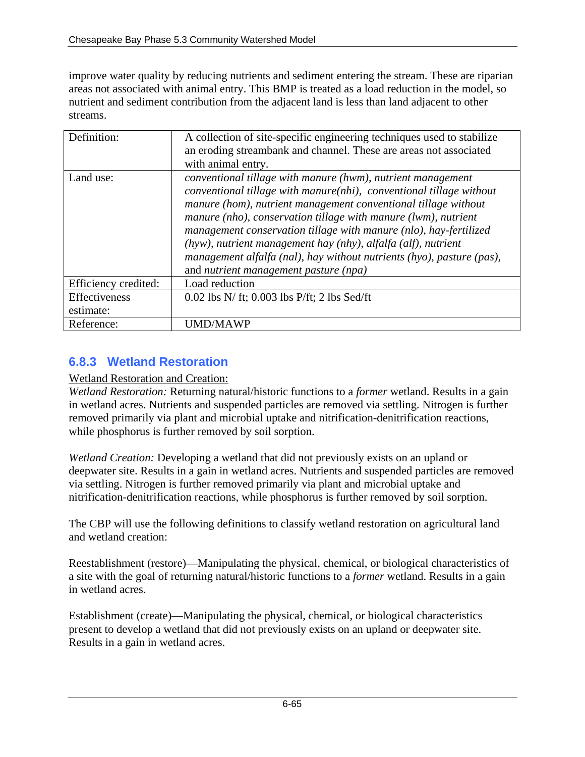improve water quality by reducing nutrients and sediment entering the stream. These are riparian areas not associated with animal entry. This BMP is treated as a load reduction in the model, so nutrient and sediment contribution from the adjacent land is less than land adjacent to other streams.

| Definition:          | A collection of site-specific engineering techniques used to stabilize<br>an eroding streambank and channel. These are areas not associated<br>with animal entry.                                                                                                                                                                                                                                                                                                                                                              |
|----------------------|--------------------------------------------------------------------------------------------------------------------------------------------------------------------------------------------------------------------------------------------------------------------------------------------------------------------------------------------------------------------------------------------------------------------------------------------------------------------------------------------------------------------------------|
| Land use:            | conventional tillage with manure (hwm), nutrient management<br>conventional tillage with manure(nhi), conventional tillage without<br>manure (hom), nutrient management conventional tillage without<br>manure (nho), conservation tillage with manure (lwm), nutrient<br>management conservation tillage with manure (nlo), hay-fertilized<br>(hyw), nutrient management hay (nhy), alfalfa (alf), nutrient<br>management alfalfa (nal), hay without nutrients (hyo), pasture (pas),<br>and nutrient management pasture (npa) |
| Efficiency credited: | Load reduction                                                                                                                                                                                                                                                                                                                                                                                                                                                                                                                 |
| Effectiveness        | 0.02 lbs N/ft; 0.003 lbs $P/ft$ ; 2 lbs Sed/ft                                                                                                                                                                                                                                                                                                                                                                                                                                                                                 |
| estimate:            |                                                                                                                                                                                                                                                                                                                                                                                                                                                                                                                                |
| Reference:           |                                                                                                                                                                                                                                                                                                                                                                                                                                                                                                                                |

## **6.8.3 Wetland Restoration**

#### Wetland Restoration and Creation:

*Wetland Restoration:* Returning natural/historic functions to a *former* wetland. Results in a gain in wetland acres. Nutrients and suspended particles are removed via settling. Nitrogen is further removed primarily via plant and microbial uptake and nitrification-denitrification reactions, while phosphorus is further removed by soil sorption.

*Wetland Creation:* Developing a wetland that did not previously exists on an upland or deepwater site. Results in a gain in wetland acres. Nutrients and suspended particles are removed via settling. Nitrogen is further removed primarily via plant and microbial uptake and nitrification-denitrification reactions, while phosphorus is further removed by soil sorption.

The CBP will use the following definitions to classify wetland restoration on agricultural land and wetland creation:

Reestablishment (restore)—Manipulating the physical, chemical, or biological characteristics of a site with the goal of returning natural/historic functions to a *former* wetland. Results in a gain in wetland acres.

Establishment (create)—Manipulating the physical, chemical, or biological characteristics present to develop a wetland that did not previously exists on an upland or deepwater site. Results in a gain in wetland acres.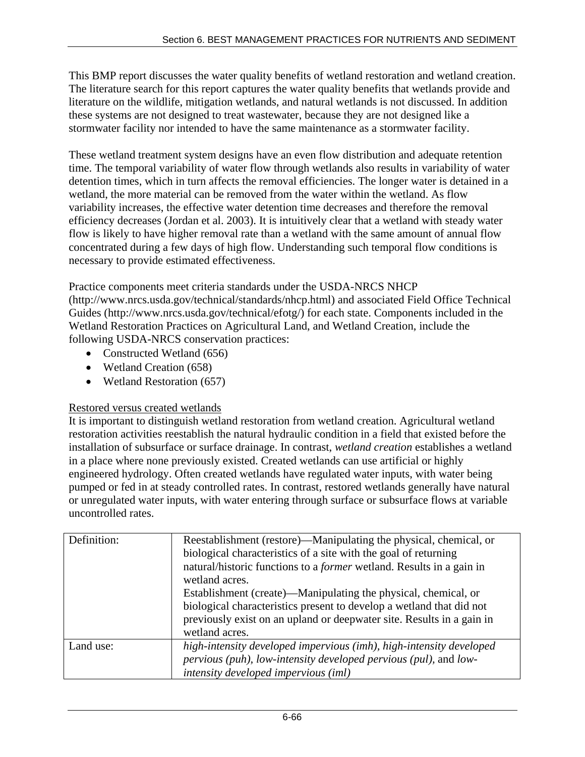This BMP report discusses the water quality benefits of wetland restoration and wetland creation. The literature search for this report captures the water quality benefits that wetlands provide and literature on the wildlife, mitigation wetlands, and natural wetlands is not discussed. In addition these systems are not designed to treat wastewater, because they are not designed like a stormwater facility nor intended to have the same maintenance as a stormwater facility.

These wetland treatment system designs have an even flow distribution and adequate retention time. The temporal variability of water flow through wetlands also results in variability of water detention times, which in turn affects the removal efficiencies. The longer water is detained in a wetland, the more material can be removed from the water within the wetland. As flow variability increases, the effective water detention time decreases and therefore the removal efficiency decreases (Jordan et al. 2003). It is intuitively clear that a wetland with steady water flow is likely to have higher removal rate than a wetland with the same amount of annual flow concentrated during a few days of high flow. Understanding such temporal flow conditions is necessary to provide estimated effectiveness.

Practice components meet criteria standards under the USDA-NRCS NHCP (http://www.nrcs.usda.gov/technical/standards/nhcp.html) and associated Field Office Technical Guides (http://www.nrcs.usda.gov/technical/efotg/) for each state. Components included in the Wetland Restoration Practices on Agricultural Land, and Wetland Creation, include the following USDA-NRCS conservation practices:

- Constructed Wetland (656)
- Wetland Creation (658)
- Wetland Restoration (657)

### Restored versus created wetlands

It is important to distinguish wetland restoration from wetland creation. Agricultural wetland restoration activities reestablish the natural hydraulic condition in a field that existed before the installation of subsurface or surface drainage. In contrast, *wetland creation* establishes a wetland in a place where none previously existed. Created wetlands can use artificial or highly engineered hydrology. Often created wetlands have regulated water inputs, with water being pumped or fed in at steady controlled rates. In contrast, restored wetlands generally have natural or unregulated water inputs, with water entering through surface or subsurface flows at variable uncontrolled rates.

| Definition: | Reestablishment (restore)—Manipulating the physical, chemical, or<br>biological characteristics of a site with the goal of returning<br>natural/historic functions to a <i>former</i> wetland. Results in a gain in<br>wetland acres.<br>Establishment (create)—Manipulating the physical, chemical, or<br>biological characteristics present to develop a wetland that did not<br>previously exist on an upland or deepwater site. Results in a gain in<br>wetland acres. |
|-------------|----------------------------------------------------------------------------------------------------------------------------------------------------------------------------------------------------------------------------------------------------------------------------------------------------------------------------------------------------------------------------------------------------------------------------------------------------------------------------|
| Land use:   | high-intensity developed impervious (imh), high-intensity developed<br>pervious (puh), low-intensity developed pervious (pul), and low-<br><i>intensity developed impervious (iml)</i>                                                                                                                                                                                                                                                                                     |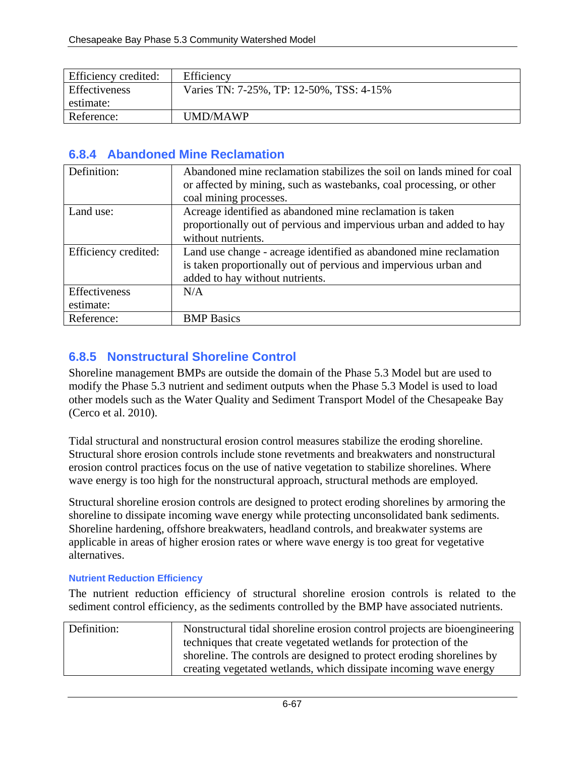| Efficiency credited: | Efficiency                               |
|----------------------|------------------------------------------|
| <b>Effectiveness</b> | Varies TN: 7-25%, TP: 12-50%, TSS: 4-15% |
| estimate:            |                                          |
| Reference:           | UMD/MAWP                                 |

### **6.8.4 Abandoned Mine Reclamation**

| Definition:          | Abandoned mine reclamation stabilizes the soil on lands mined for coal<br>or affected by mining, such as was tebanks, coal processing, or other<br>coal mining processes. |
|----------------------|---------------------------------------------------------------------------------------------------------------------------------------------------------------------------|
| Land use:            | Acreage identified as abandoned mine reclamation is taken                                                                                                                 |
|                      | proportionally out of pervious and impervious urban and added to hay                                                                                                      |
|                      | without nutrients.                                                                                                                                                        |
| Efficiency credited: | Land use change - acreage identified as abandoned mine reclamation                                                                                                        |
|                      | is taken proportionally out of pervious and impervious urban and                                                                                                          |
|                      | added to hay without nutrients.                                                                                                                                           |
| Effectiveness        | N/A                                                                                                                                                                       |
| estimate:            |                                                                                                                                                                           |
| Reference:           | <b>BMP</b> Basics                                                                                                                                                         |

## **6.8.5 Nonstructural Shoreline Control**

Shoreline management BMPs are outside the domain of the Phase 5.3 Model but are used to modify the Phase 5.3 nutrient and sediment outputs when the Phase 5.3 Model is used to load other models such as the Water Quality and Sediment Transport Model of the Chesapeake Bay (Cerco et al. 2010).

Tidal structural and nonstructural erosion control measures stabilize the eroding shoreline. Structural shore erosion controls include stone revetments and breakwaters and nonstructural erosion control practices focus on the use of native vegetation to stabilize shorelines. Where wave energy is too high for the nonstructural approach, structural methods are employed.

Structural shoreline erosion controls are designed to protect eroding shorelines by armoring the shoreline to dissipate incoming wave energy while protecting unconsolidated bank sediments. Shoreline hardening, offshore breakwaters, headland controls, and breakwater systems are applicable in areas of higher erosion rates or where wave energy is too great for vegetative alternatives.

#### **Nutrient Reduction Efficiency**

The nutrient reduction efficiency of structural shoreline erosion controls is related to the sediment control efficiency, as the sediments controlled by the BMP have associated nutrients.

| Definition: | Nonstructural tidal shoreline erosion control projects are bioengineering |  |  |  |  |  |
|-------------|---------------------------------------------------------------------------|--|--|--|--|--|
|             | techniques that create vegetated wetlands for protection of the           |  |  |  |  |  |
|             | shoreline. The controls are designed to protect eroding shorelines by     |  |  |  |  |  |
|             | creating vegetated wetlands, which dissipate incoming wave energy         |  |  |  |  |  |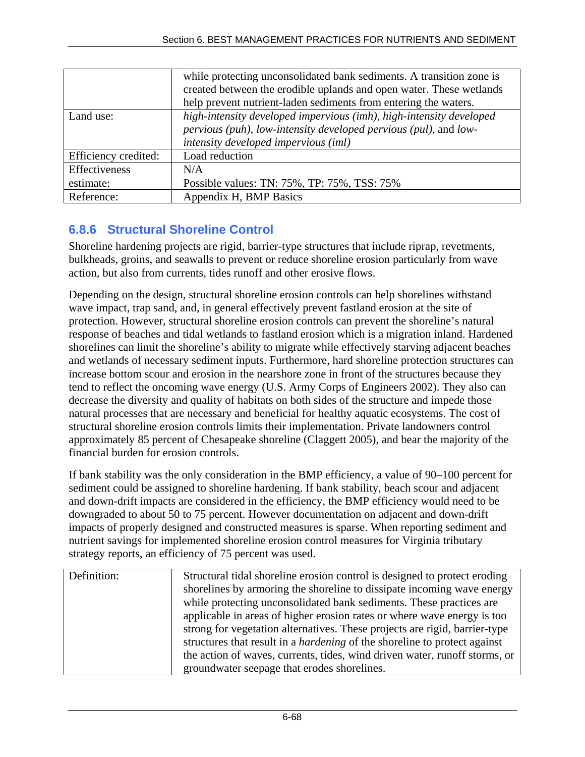|                      | while protecting unconsolidated bank sediments. A transition zone is<br>created between the erodible uplands and open water. These wetlands<br>help prevent nutrient-laden sediments from entering the waters. |
|----------------------|----------------------------------------------------------------------------------------------------------------------------------------------------------------------------------------------------------------|
| Land use:            | high-intensity developed impervious (imh), high-intensity developed<br>pervious (puh), low-intensity developed pervious (pul), and low-<br><i>intensity developed impervious (iml)</i>                         |
| Efficiency credited: | Load reduction                                                                                                                                                                                                 |
| Effectiveness        | N/A                                                                                                                                                                                                            |
| estimate:            | Possible values: TN: 75%, TP: 75%, TSS: 75%                                                                                                                                                                    |
| Reference:           | Appendix H, BMP Basics                                                                                                                                                                                         |

## **6.8.6 Structural Shoreline Control**

Shoreline hardening projects are rigid, barrier-type structures that include riprap, revetments, bulkheads, groins, and seawalls to prevent or reduce shoreline erosion particularly from wave action, but also from currents, tides runoff and other erosive flows.

Depending on the design, structural shoreline erosion controls can help shorelines withstand wave impact, trap sand, and, in general effectively prevent fastland erosion at the site of protection. However, structural shoreline erosion controls can prevent the shoreline's natural response of beaches and tidal wetlands to fastland erosion which is a migration inland. Hardened shorelines can limit the shoreline's ability to migrate while effectively starving adjacent beaches and wetlands of necessary sediment inputs. Furthermore, hard shoreline protection structures can increase bottom scour and erosion in the nearshore zone in front of the structures because they tend to reflect the oncoming wave energy (U.S. Army Corps of Engineers 2002). They also can decrease the diversity and quality of habitats on both sides of the structure and impede those natural processes that are necessary and beneficial for healthy aquatic ecosystems. The cost of structural shoreline erosion controls limits their implementation. Private landowners control approximately 85 percent of Chesapeake shoreline (Claggett 2005), and bear the majority of the financial burden for erosion controls.

If bank stability was the only consideration in the BMP efficiency, a value of 90–100 percent for sediment could be assigned to shoreline hardening. If bank stability, beach scour and adjacent and down-drift impacts are considered in the efficiency, the BMP efficiency would need to be downgraded to about 50 to 75 percent. However documentation on adjacent and down-drift impacts of properly designed and constructed measures is sparse. When reporting sediment and nutrient savings for implemented shoreline erosion control measures for Virginia tributary strategy reports, an efficiency of 75 percent was used.

| Definition: | Structural tidal shoreline erosion control is designed to protect eroding        |
|-------------|----------------------------------------------------------------------------------|
|             | shorelines by armoring the shoreline to dissipate incoming wave energy           |
|             | while protecting unconsolidated bank sediments. These practices are              |
|             | applicable in areas of higher erosion rates or where wave energy is too          |
|             | strong for vegetation alternatives. These projects are rigid, barrier-type       |
|             | structures that result in a <i>hardening</i> of the shoreline to protect against |
|             | the action of waves, currents, tides, wind driven water, runoff storms, or       |
|             | groundwater seepage that erodes shorelines.                                      |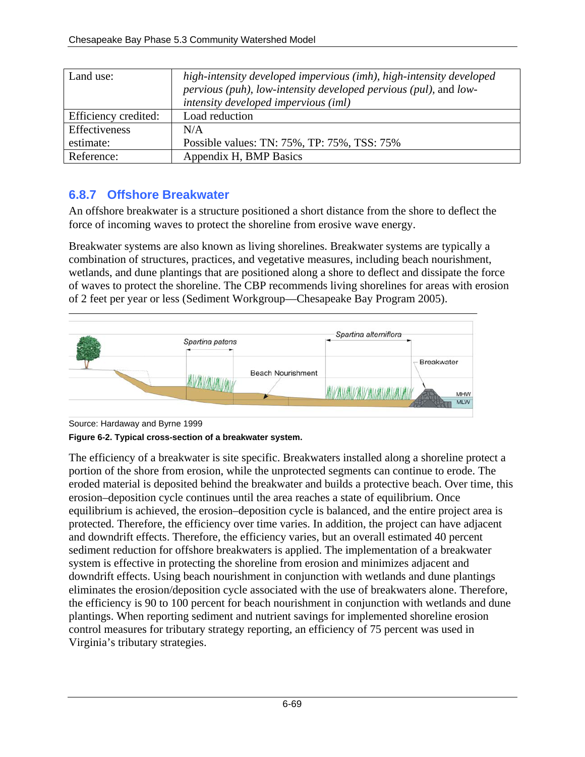| Land use:            | high-intensity developed impervious (imh), high-intensity developed<br>pervious (puh), low-intensity developed pervious (pul), and low-<br><i>intensity developed impervious (iml)</i> |  |  |  |
|----------------------|----------------------------------------------------------------------------------------------------------------------------------------------------------------------------------------|--|--|--|
| Efficiency credited: | Load reduction                                                                                                                                                                         |  |  |  |
| Effectiveness        | N/A                                                                                                                                                                                    |  |  |  |
| estimate:            | Possible values: TN: 75%, TP: 75%, TSS: 75%                                                                                                                                            |  |  |  |
| Reference:           | Appendix H, BMP Basics                                                                                                                                                                 |  |  |  |

## **6.8.7 Offshore Breakwater**

An offshore breakwater is a structure positioned a short distance from the shore to deflect the force of incoming waves to protect the shoreline from erosive wave energy.

Breakwater systems are also known as living shorelines. Breakwater systems are typically a combination of structures, practices, and vegetative measures, including beach nourishment, wetlands, and dune plantings that are positioned along a shore to deflect and dissipate the force of waves to protect the shoreline. The CBP recommends living shorelines for areas with erosion of 2 feet per year or less (Sediment Workgroup—Chesapeake Bay Program 2005).



Source: Hardaway and Byrne 1999

The efficiency of a breakwater is site specific. Breakwaters installed along a shoreline protect a portion of the shore from erosion, while the unprotected segments can continue to erode. The eroded material is deposited behind the breakwater and builds a protective beach. Over time, this erosion–deposition cycle continues until the area reaches a state of equilibrium. Once equilibrium is achieved, the erosion–deposition cycle is balanced, and the entire project area is protected. Therefore, the efficiency over time varies. In addition, the project can have adjacent and downdrift effects. Therefore, the efficiency varies, but an overall estimated 40 percent sediment reduction for offshore breakwaters is applied. The implementation of a breakwater system is effective in protecting the shoreline from erosion and minimizes adjacent and downdrift effects. Using beach nourishment in conjunction with wetlands and dune plantings eliminates the erosion/deposition cycle associated with the use of breakwaters alone. Therefore, the efficiency is 90 to 100 percent for beach nourishment in conjunction with wetlands and dune plantings. When reporting sediment and nutrient savings for implemented shoreline erosion control measures for tributary strategy reporting, an efficiency of 75 percent was used in Virginia's tributary strategies.

**Figure 6-2. Typical cross-section of a breakwater system.**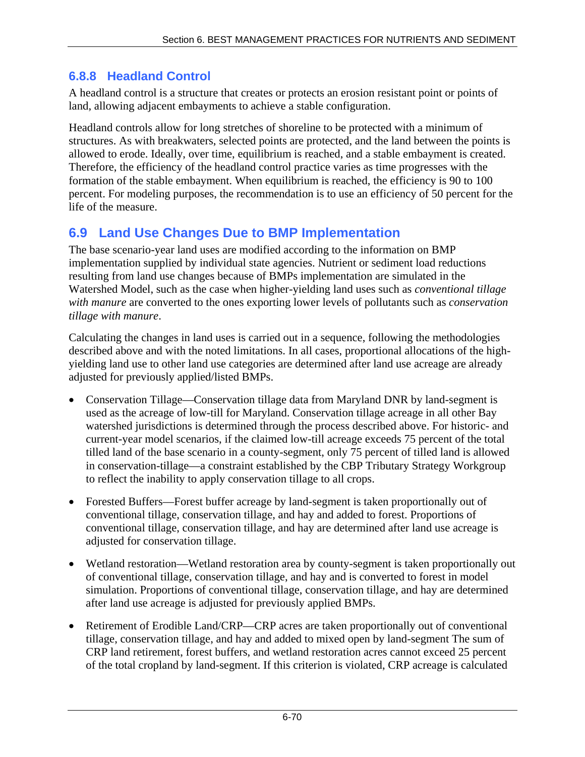### **6.8.8 Headland Control**

A headland control is a structure that creates or protects an erosion resistant point or points of land, allowing adjacent embayments to achieve a stable configuration.

Headland controls allow for long stretches of shoreline to be protected with a minimum of structures. As with breakwaters, selected points are protected, and the land between the points is allowed to erode. Ideally, over time, equilibrium is reached, and a stable embayment is created. Therefore, the efficiency of the headland control practice varies as time progresses with the formation of the stable embayment. When equilibrium is reached, the efficiency is 90 to 100 percent. For modeling purposes, the recommendation is to use an efficiency of 50 percent for the life of the measure.

## **6.9 Land Use Changes Due to BMP Implementation**

The base scenario-year land uses are modified according to the information on BMP implementation supplied by individual state agencies. Nutrient or sediment load reductions resulting from land use changes because of BMPs implementation are simulated in the Watershed Model, such as the case when higher-yielding land uses such as *conventional tillage with manure* are converted to the ones exporting lower levels of pollutants such as *conservation tillage with manure*.

Calculating the changes in land uses is carried out in a sequence, following the methodologies described above and with the noted limitations. In all cases, proportional allocations of the highyielding land use to other land use categories are determined after land use acreage are already adjusted for previously applied/listed BMPs.

- Conservation Tillage—Conservation tillage data from Maryland DNR by land-segment is used as the acreage of low-till for Maryland. Conservation tillage acreage in all other Bay watershed jurisdictions is determined through the process described above. For historic- and current-year model scenarios, if the claimed low-till acreage exceeds 75 percent of the total tilled land of the base scenario in a county-segment, only 75 percent of tilled land is allowed in conservation-tillage—a constraint established by the CBP Tributary Strategy Workgroup to reflect the inability to apply conservation tillage to all crops.
- Forested Buffers—Forest buffer acreage by land-segment is taken proportionally out of conventional tillage, conservation tillage, and hay and added to forest. Proportions of conventional tillage, conservation tillage, and hay are determined after land use acreage is adjusted for conservation tillage.
- Wetland restoration—Wetland restoration area by county-segment is taken proportionally out of conventional tillage, conservation tillage, and hay and is converted to forest in model simulation. Proportions of conventional tillage, conservation tillage, and hay are determined after land use acreage is adjusted for previously applied BMPs.
- Retirement of Erodible Land/CRP—CRP acres are taken proportionally out of conventional tillage, conservation tillage, and hay and added to mixed open by land-segment The sum of CRP land retirement, forest buffers, and wetland restoration acres cannot exceed 25 percent of the total cropland by land-segment. If this criterion is violated, CRP acreage is calculated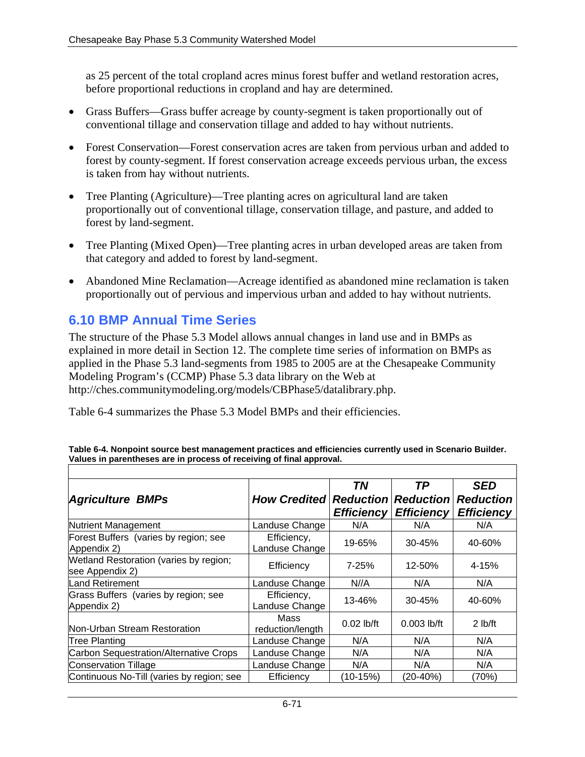as 25 percent of the total cropland acres minus forest buffer and wetland restoration acres, before proportional reductions in cropland and hay are determined.

- Grass Buffers—Grass buffer acreage by county-segment is taken proportionally out of conventional tillage and conservation tillage and added to hay without nutrients.
- Forest Conservation—Forest conservation acres are taken from pervious urban and added to forest by county-segment. If forest conservation acreage exceeds pervious urban, the excess is taken from hay without nutrients.
- Tree Planting (Agriculture)—Tree planting acres on agricultural land are taken proportionally out of conventional tillage, conservation tillage, and pasture, and added to forest by land-segment.
- Tree Planting (Mixed Open)—Tree planting acres in urban developed areas are taken from that category and added to forest by land-segment.
- Abandoned Mine Reclamation—Acreage identified as abandoned mine reclamation is taken proportionally out of pervious and impervious urban and added to hay without nutrients.

## **6.10 BMP Annual Time Series**

The structure of the Phase 5.3 Model allows annual changes in land use and in BMPs as explained in more detail in Section 12. The complete time series of information on BMPs as applied in the Phase 5.3 land-segments from 1985 to 2005 are at the Chesapeake Community Modeling Program's (CCMP) Phase 5.3 data library on the Web at http://ches.communitymodeling.org/models/CBPhase5/datalibrary.php.

Table 6-4 summarizes the Phase 5.3 Model BMPs and their efficiencies.

|                                                           |                               | ΤN                | ТP                | <b>SED</b>        |
|-----------------------------------------------------------|-------------------------------|-------------------|-------------------|-------------------|
| <b>Agriculture BMPs</b>                                   | <b>How Credited Reduction</b> |                   | <b>Reduction</b>  | <b>Reduction</b>  |
|                                                           |                               | <b>Efficiency</b> | <b>Efficiency</b> | <b>Efficiency</b> |
| Nutrient Management                                       | Landuse Change                | N/A               | N/A               | N/A               |
| Forest Buffers (varies by region; see<br>Appendix 2)      | Efficiency,<br>Landuse Change | 19-65%            | $30 - 45%$        | 40-60%            |
| Wetland Restoration (varies by region;<br>see Appendix 2) | Efficiency                    | $7 - 25%$         | 12-50%            | 4-15%             |
| <b>Land Retirement</b>                                    | Landuse Change                | N//A              | N/A               | N/A               |
| Grass Buffers (varies by region; see<br>Appendix 2)       | Efficiency,<br>Landuse Change | 13-46%            | $30 - 45%$        | 40-60%            |
| Non-Urban Stream Restoration                              | Mass<br>reduction/length      | $0.02$ lb/ft      | $0.003$ lb/ft     | $2$ lb/ft         |
| Tree Planting                                             | Landuse Change                | N/A               | N/A               | N/A               |
| Carbon Sequestration/Alternative Crops                    | Landuse Change                | N/A               | N/A               | N/A               |
| <b>Conservation Tillage</b>                               | Landuse Change                | N/A               | N/A               | N/A               |
| Continuous No-Till (varies by region; see                 | Efficiency                    | (10-15%)          | $(20-40%)$        | (70%)             |

**Table 6-4. Nonpoint source best management practices and efficiencies currently used in Scenario Builder. Values in parentheses are in process of receiving of final approval.**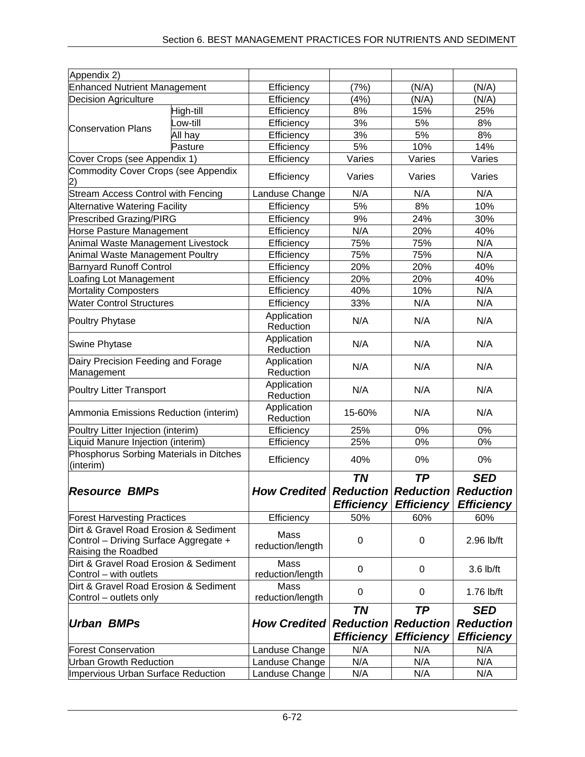| Appendix 2)                                          |           |                                                   |                   |                   |                   |
|------------------------------------------------------|-----------|---------------------------------------------------|-------------------|-------------------|-------------------|
| <b>Enhanced Nutrient Management</b>                  |           | Efficiency                                        | (7%)              | (N/A)             | (N/A)             |
| <b>Decision Agriculture</b>                          |           | Efficiency                                        | (4%)              | (N/A)             | (N/A)             |
|                                                      | High-till | Efficiency                                        | 8%                | 15%               | 25%               |
| <b>Conservation Plans</b>                            | Low-till  | Efficiency                                        | 3%                | 5%                | 8%                |
|                                                      | All hay   | Efficiency                                        | 3%                | 5%                | 8%                |
|                                                      | Pasture   | Efficiency                                        | 5%                | 10%               | 14%               |
| Cover Crops (see Appendix 1)                         |           | Efficiency                                        | Varies            | Varies            | Varies            |
| Commodity Cover Crops (see Appendix<br>2)            |           | Efficiency                                        | Varies            | Varies            | Varies            |
| Stream Access Control with Fencing                   |           | Landuse Change                                    | N/A               | N/A               | N/A               |
| <b>Alternative Watering Facility</b>                 |           | Efficiency                                        | 5%                | 8%                | 10%               |
| <b>Prescribed Grazing/PIRG</b>                       |           | Efficiency                                        | 9%                | 24%               | 30%               |
| Horse Pasture Management                             |           | Efficiency                                        | N/A               | 20%               | 40%               |
| Animal Waste Management Livestock                    |           | Efficiency                                        | 75%               | 75%               | N/A               |
| Animal Waste Management Poultry                      |           | Efficiency                                        | 75%               | 75%               | N/A               |
| <b>Barnyard Runoff Control</b>                       |           | Efficiency                                        | 20%               | 20%               | 40%               |
| Loafing Lot Management                               |           | Efficiency                                        | 20%               | 20%               | 40%               |
| <b>Mortality Composters</b>                          |           | Efficiency                                        | 40%               | 10%               | N/A               |
| <b>Water Control Structures</b>                      |           | Efficiency                                        | 33%               | N/A               | N/A               |
| <b>Poultry Phytase</b>                               |           | Application                                       | N/A               | N/A               | N/A               |
| <b>Swine Phytase</b>                                 |           | Reduction<br>Application                          | N/A               | N/A               | N/A               |
| Dairy Precision Feeding and Forage                   |           | Reduction<br>Application                          | N/A               | N/A               | N/A               |
| Management                                           |           | Reduction                                         |                   |                   |                   |
| <b>Poultry Litter Transport</b>                      |           | Application<br>Reduction                          | N/A               | N/A               | N/A               |
| Ammonia Emissions Reduction (interim)                |           | Application<br>Reduction                          | 15-60%            | N/A               | N/A               |
| Poultry Litter Injection (interim)                   |           | Efficiency                                        | 25%               | 0%                | 0%                |
| Liquid Manure Injection (interim)                    |           | Efficiency                                        | 25%               | 0%                | 0%                |
| Phosphorus Sorbing Materials in Ditches<br>(interim) |           | Efficiency                                        | 40%               | 0%                | 0%                |
|                                                      |           | <b>How Credited Reduction Reduction Reduction</b> | <b>TN</b>         | <b>TP</b>         | <b>SED</b>        |
| <b>Resource BMPs</b>                                 |           |                                                   |                   |                   |                   |
|                                                      |           |                                                   | <b>Efficiency</b> | <b>Efficiency</b> | <b>Efficiency</b> |
| <b>Forest Harvesting Practices</b>                   |           | Efficiency                                        | 50%               | 60%               | 60%               |
| Dirt & Gravel Road Erosion & Sediment                |           |                                                   |                   |                   |                   |
| Control - Driving Surface Aggregate +                |           | Mass                                              | 0                 | 0                 | 2.96 lb/ft        |
| Raising the Roadbed                                  |           | reduction/length                                  |                   |                   |                   |
| Dirt & Gravel Road Erosion & Sediment                |           | Mass                                              |                   |                   |                   |
| Control - with outlets                               |           | reduction/length                                  | 0                 | 0                 | 3.6 lb/ft         |
| Dirt & Gravel Road Erosion & Sediment                |           | Mass                                              |                   |                   |                   |
| Control - outlets only                               |           | reduction/length                                  | 0                 | 0                 | 1.76 lb/ft        |
|                                                      |           |                                                   | <b>TN</b>         | TP                | <b>SED</b>        |
| <b>Urban BMPs</b>                                    |           | <b>How Credited</b>                               | <b>Reduction</b>  | <b>Reduction</b>  | <b>Reduction</b>  |
|                                                      |           |                                                   | <b>Efficiency</b> | <b>Efficiency</b> | <b>Efficiency</b> |
| <b>Forest Conservation</b>                           |           | Landuse Change                                    | N/A               | N/A               | N/A               |
| <b>Urban Growth Reduction</b>                        |           | Landuse Change                                    | N/A               | N/A               | N/A               |
|                                                      |           |                                                   | N/A               | N/A               | N/A               |
| Impervious Urban Surface Reduction                   |           | Landuse Change                                    |                   |                   |                   |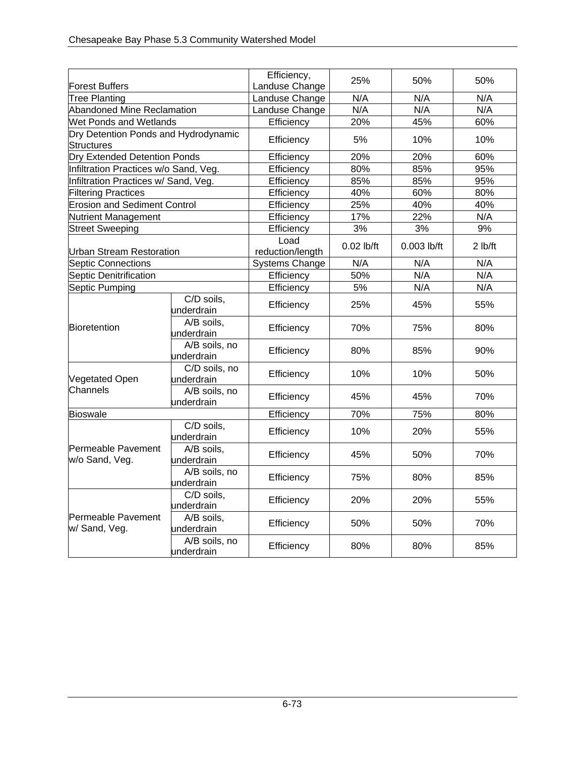|                                                           |                             | Efficiency,              |              |             |           |
|-----------------------------------------------------------|-----------------------------|--------------------------|--------------|-------------|-----------|
| <b>Forest Buffers</b>                                     |                             | 25%<br>Landuse Change    |              | 50%         | 50%       |
| <b>Tree Planting</b>                                      |                             | Landuse Change           | N/A          | N/A         | N/A       |
| <b>Abandoned Mine Reclamation</b>                         |                             | Landuse Change           | N/A          | N/A         | N/A       |
| Wet Ponds and Wetlands                                    |                             | Efficiency               | 20%          | 45%         | 60%       |
| Dry Detention Ponds and Hydrodynamic<br><b>Structures</b> |                             | Efficiency               | 5%           | 10%         | 10%       |
| Dry Extended Detention Ponds                              |                             | Efficiency               | 20%          | 20%         | 60%       |
| Infiltration Practices w/o Sand, Veg.                     |                             | Efficiency               | 80%          | 85%         | 95%       |
| Infiltration Practices w/ Sand, Veg.                      |                             | Efficiency               | 85%          | 85%         | 95%       |
| <b>Filtering Practices</b>                                |                             | Efficiency               | 40%          | 60%         | 80%       |
| <b>Erosion and Sediment Control</b>                       |                             | Efficiency               | 25%          | 40%         | 40%       |
| Nutrient Management                                       |                             | Efficiency               | 17%          | 22%         | N/A       |
| <b>Street Sweeping</b>                                    |                             | Efficiency               | 3%           | 3%          | 9%        |
| <b>Urban Stream Restoration</b>                           |                             | Load<br>reduction/length | $0.02$ lb/ft | 0.003 lb/ft | $2$ lb/ft |
| <b>Septic Connections</b>                                 |                             | <b>Systems Change</b>    | N/A          | N/A         | N/A       |
| Septic Denitrification                                    |                             | Efficiency               | 50%          | N/A         | N/A       |
| Septic Pumping                                            |                             | Efficiency               | 5%           | N/A         | N/A       |
| Bioretention                                              | C/D soils,<br>underdrain    | Efficiency               | 25%          | 45%         | 55%       |
|                                                           | A/B soils,<br>underdrain    | Efficiency               | 70%          | 75%         | 80%       |
|                                                           | A/B soils, no<br>underdrain | Efficiency               | 80%          | 85%         | 90%       |
| Vegetated Open<br>Channels                                | C/D soils, no<br>underdrain | Efficiency               | 10%          | 10%         | 50%       |
|                                                           | A/B soils, no<br>underdrain | Efficiency               | 45%          | 45%         | 70%       |
| <b>Bioswale</b>                                           |                             | Efficiency               | 70%          | 75%         | 80%       |
| Permeable Pavement<br>w/o Sand, Veg.                      | C/D soils,<br>underdrain    | Efficiency               | 10%          | 20%         | 55%       |
|                                                           | A/B soils,<br>underdrain    | Efficiency               | 45%          | 50%         | 70%       |
|                                                           | A/B soils, no<br>underdrain | Efficiency               | 75%          | 80%         | 85%       |
| Permeable Pavement<br>w/ Sand, Veg.                       | C/D soils,<br>underdrain    | Efficiency               | 20%          | 20%         | 55%       |
|                                                           | A/B soils,<br>underdrain    | Efficiency               | 50%          | 50%         | 70%       |
|                                                           | A/B soils, no<br>underdrain | Efficiency               | 80%          | 80%         | 85%       |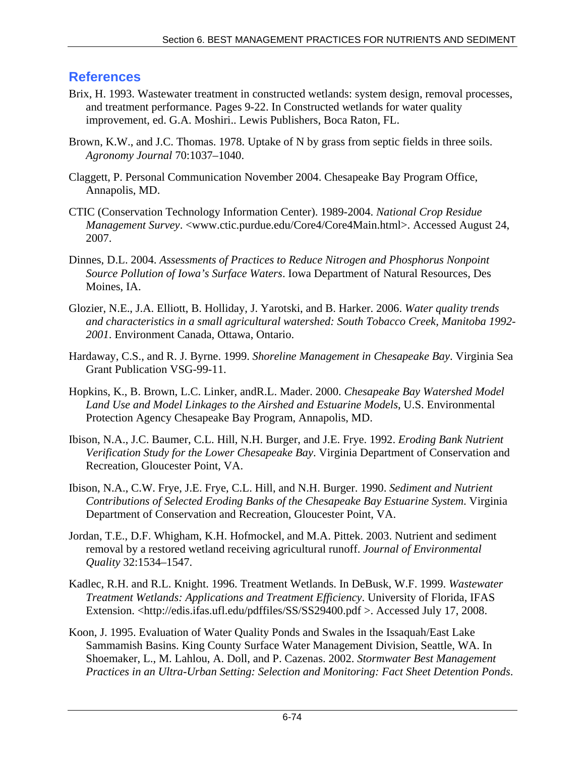## **References**

- Brix, H. 1993. Wastewater treatment in constructed wetlands: system design, removal processes, and treatment performance. Pages 9-22. In Constructed wetlands for water quality improvement, ed. G.A. Moshiri.. Lewis Publishers, Boca Raton, FL.
- Brown, K.W., and J.C. Thomas. 1978. Uptake of N by grass from septic fields in three soils. *Agronomy Journal* 70:1037–1040.
- Claggett, P. Personal Communication November 2004. Chesapeake Bay Program Office, Annapolis, MD.
- CTIC (Conservation Technology Information Center). 1989-2004. *National Crop Residue Management Survey*. <www.ctic.purdue.edu/Core4/Core4Main.html>. Accessed August 24, 2007.
- Dinnes, D.L. 2004. *Assessments of Practices to Reduce Nitrogen and Phosphorus Nonpoint Source Pollution of Iowa's Surface Waters*. Iowa Department of Natural Resources, Des Moines, IA.
- Glozier, N.E., J.A. Elliott, B. Holliday, J. Yarotski, and B. Harker. 2006. *Water quality trends and characteristics in a small agricultural watershed: South Tobacco Creek, Manitoba 1992- 2001*. Environment Canada, Ottawa, Ontario.
- Hardaway, C.S., and R. J. Byrne. 1999. *Shoreline Management in Chesapeake Bay*. Virginia Sea Grant Publication VSG-99-11.
- Hopkins, K., B. Brown, L.C. Linker, andR.L. Mader. 2000. *Chesapeake Bay Watershed Model Land Use and Model Linkages to the Airshed and Estuarine Models*, U.S. Environmental Protection Agency Chesapeake Bay Program, Annapolis, MD.
- Ibison, N.A., J.C. Baumer, C.L. Hill, N.H. Burger, and J.E. Frye. 1992. *Eroding Bank Nutrient Verification Study for the Lower Chesapeake Bay*. Virginia Department of Conservation and Recreation, Gloucester Point, VA.
- Ibison, N.A., C.W. Frye, J.E. Frye, C.L. Hill, and N.H. Burger. 1990. *Sediment and Nutrient Contributions of Selected Eroding Banks of the Chesapeake Bay Estuarine System*. Virginia Department of Conservation and Recreation, Gloucester Point, VA.
- Jordan, T.E., D.F. Whigham, K.H. Hofmockel, and M.A. Pittek. 2003. Nutrient and sediment removal by a restored wetland receiving agricultural runoff. *Journal of Environmental Quality* 32:1534–1547.
- Kadlec, R.H. and R.L. Knight. 1996. Treatment Wetlands. In DeBusk, W.F. 1999. *Wastewater Treatment Wetlands: Applications and Treatment Efficiency*. University of Florida, IFAS Extension. <http://edis.ifas.ufl.edu/pdffiles/SS/SS29400.pdf >. Accessed July 17, 2008.
- Koon, J. 1995. Evaluation of Water Quality Ponds and Swales in the Issaquah/East Lake Sammamish Basins. King County Surface Water Management Division, Seattle, WA. In Shoemaker, L., M. Lahlou, A. Doll, and P. Cazenas. 2002. *Stormwater Best Management Practices in an Ultra-Urban Setting: Selection and Monitoring: Fact Sheet Detention Ponds*.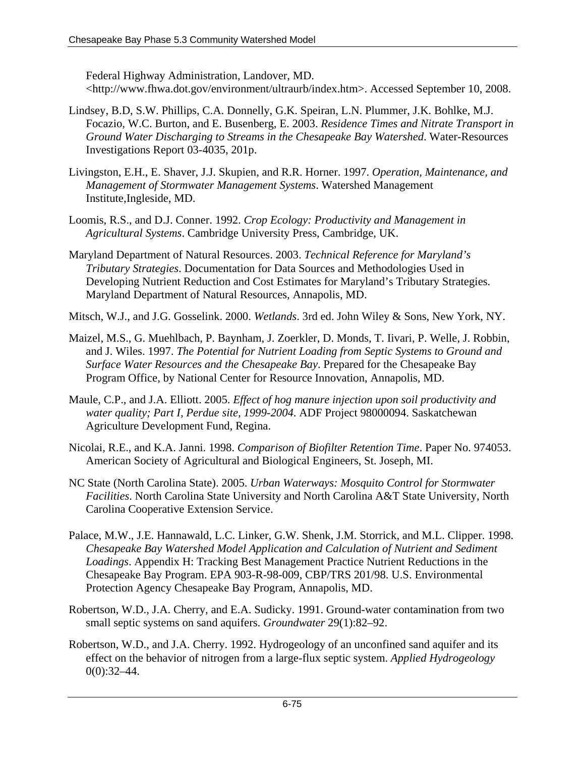Federal Highway Administration, Landover, MD. <http://www.fhwa.dot.gov/environment/ultraurb/index.htm>. Accessed September 10, 2008.

- Lindsey, B.D, S.W. Phillips, C.A. Donnelly, G.K. Speiran, L.N. Plummer, J.K. Bohlke, M.J. Focazio, W.C. Burton, and E. Busenberg, E. 2003. *Residence Times and Nitrate Transport in Ground Water Discharging to Streams in the Chesapeake Bay Watershed*. Water-Resources Investigations Report 03-4035, 201p.
- Livingston, E.H., E. Shaver, J.J. Skupien, and R.R. Horner. 1997. *Operation, Maintenance, and Management of Stormwater Management Systems*. Watershed Management Institute,Ingleside, MD.
- Loomis, R.S., and D.J. Conner. 1992. *Crop Ecology: Productivity and Management in Agricultural Systems*. Cambridge University Press, Cambridge, UK.
- Maryland Department of Natural Resources. 2003. *Technical Reference for Maryland's Tributary Strategies*. Documentation for Data Sources and Methodologies Used in Developing Nutrient Reduction and Cost Estimates for Maryland's Tributary Strategies. Maryland Department of Natural Resources, Annapolis, MD.
- Mitsch, W.J., and J.G. Gosselink. 2000. *Wetlands*. 3rd ed. John Wiley & Sons, New York, NY.
- Maizel, M.S., G. Muehlbach, P. Baynham, J. Zoerkler, D. Monds, T. Iivari, P. Welle, J. Robbin, and J. Wiles. 1997. *The Potential for Nutrient Loading from Septic Systems to Ground and Surface Water Resources and the Chesapeake Bay*. Prepared for the Chesapeake Bay Program Office, by National Center for Resource Innovation, Annapolis, MD.
- Maule, C.P., and J.A. Elliott. 2005. *Effect of hog manure injection upon soil productivity and water quality; Part I, Perdue site, 1999-2004*. ADF Project 98000094. Saskatchewan Agriculture Development Fund, Regina.
- Nicolai, R.E., and K.A. Janni. 1998. *Comparison of Biofilter Retention Time*. Paper No. 974053. American Society of Agricultural and Biological Engineers, St. Joseph, MI.
- NC State (North Carolina State). 2005. *Urban Waterways: Mosquito Control for Stormwater Facilities*. North Carolina State University and North Carolina A&T State University, North Carolina Cooperative Extension Service.
- Palace, M.W., J.E. Hannawald, L.C. Linker, G.W. Shenk, J.M. Storrick, and M.L. Clipper. 1998. *Chesapeake Bay Watershed Model Application and Calculation of Nutrient and Sediment Loadings*. Appendix H: Tracking Best Management Practice Nutrient Reductions in the Chesapeake Bay Program. EPA 903-R-98-009, CBP/TRS 201/98. U.S. Environmental Protection Agency Chesapeake Bay Program, Annapolis, MD.
- Robertson, W.D., J.A. Cherry, and E.A. Sudicky. 1991. Ground-water contamination from two small septic systems on sand aquifers. *Groundwater* 29(1):82–92.
- Robertson, W.D., and J.A. Cherry. 1992. Hydrogeology of an unconfined sand aquifer and its effect on the behavior of nitrogen from a large-flux septic system. *Applied Hydrogeology*  $0(0):32-44.$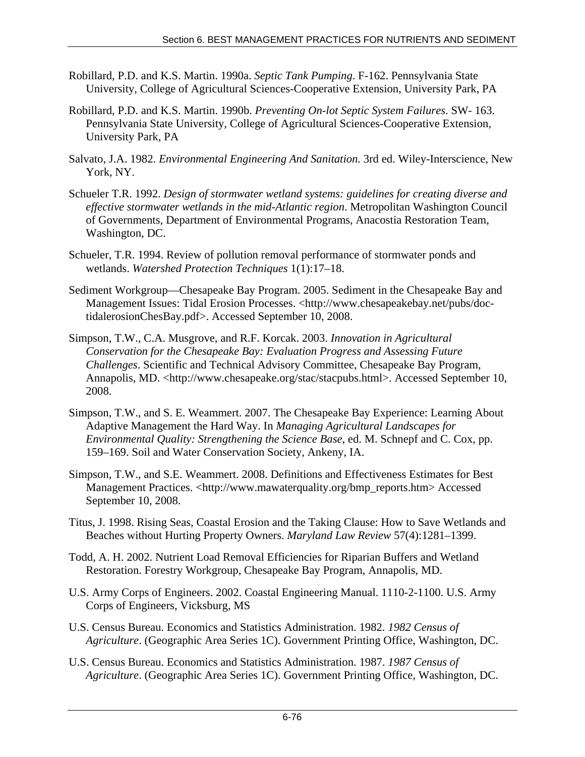- Robillard, P.D. and K.S. Martin. 1990a. *Septic Tank Pumping*. F-162. Pennsylvania State University, College of Agricultural Sciences-Cooperative Extension, University Park, PA
- Robillard, P.D. and K.S. Martin. 1990b. *Preventing On-lot Septic System Failures*. SW- 163. Pennsylvania State University, College of Agricultural Sciences-Cooperative Extension, University Park, PA
- Salvato, J.A. 1982. *Environmental Engineering And Sanitation.* 3rd ed. Wiley-Interscience, New York, NY.
- Schueler T.R. 1992. *Design of stormwater wetland systems: guidelines for creating diverse and effective stormwater wetlands in the mid-Atlantic region*. Metropolitan Washington Council of Governments, Department of Environmental Programs, Anacostia Restoration Team, Washington, DC.
- Schueler, T.R. 1994. Review of pollution removal performance of stormwater ponds and wetlands. *Watershed Protection Techniques* 1(1):17–18.
- Sediment Workgroup—Chesapeake Bay Program. 2005. Sediment in the Chesapeake Bay and Management Issues: Tidal Erosion Processes. <http://www.chesapeakebay.net/pubs/doctidalerosionChesBay.pdf>. Accessed September 10, 2008.
- Simpson, T.W., C.A. Musgrove, and R.F. Korcak. 2003. *Innovation in Agricultural Conservation for the Chesapeake Bay: Evaluation Progress and Assessing Future Challenges*. Scientific and Technical Advisory Committee, Chesapeake Bay Program, Annapolis, MD. <http://www.chesapeake.org/stac/stacpubs.html>. Accessed September 10, 2008.
- Simpson, T.W., and S. E. Weammert. 2007. The Chesapeake Bay Experience: Learning About Adaptive Management the Hard Way. In *Managing Agricultural Landscapes for Environmental Quality: Strengthening the Science Base*, ed. M. Schnepf and C. Cox, pp. 159–169. Soil and Water Conservation Society, Ankeny, IA.
- Simpson, T.W., and S.E. Weammert. 2008. Definitions and Effectiveness Estimates for Best Management Practices. <http://www.mawaterquality.org/bmp\_reports.htm> Accessed September 10, 2008.
- Titus, J. 1998. Rising Seas, Coastal Erosion and the Taking Clause: How to Save Wetlands and Beaches without Hurting Property Owners. *Maryland Law Review* 57(4):1281–1399.
- Todd, A. H. 2002. Nutrient Load Removal Efficiencies for Riparian Buffers and Wetland Restoration. Forestry Workgroup, Chesapeake Bay Program, Annapolis, MD.
- U.S. Army Corps of Engineers. 2002. Coastal Engineering Manual. 1110-2-1100. U.S. Army Corps of Engineers, Vicksburg, MS
- U.S. Census Bureau. Economics and Statistics Administration. 1982. *1982 Census of Agriculture*. (Geographic Area Series 1C). Government Printing Office, Washington, DC.
- U.S. Census Bureau. Economics and Statistics Administration. 1987. *1987 Census of Agriculture*. (Geographic Area Series 1C). Government Printing Office, Washington, DC.